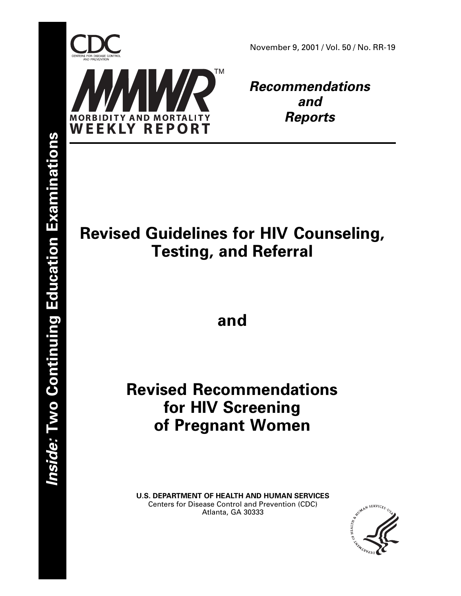

November 9, 2001 / Vol. 50 / No. RR-19

**Recommendations and Reports**

# **Revised Guidelines for HIV Counseling, Testing, and Referral**

**and**

# **Revised Recommendations for HIV Screening of Pregnant Women**

**U.S. DEPARTMENT OF HEALTH AND HUMAN SERVICES** Centers for Disease Control and Prevention (CDC) Atlanta, GA 30333

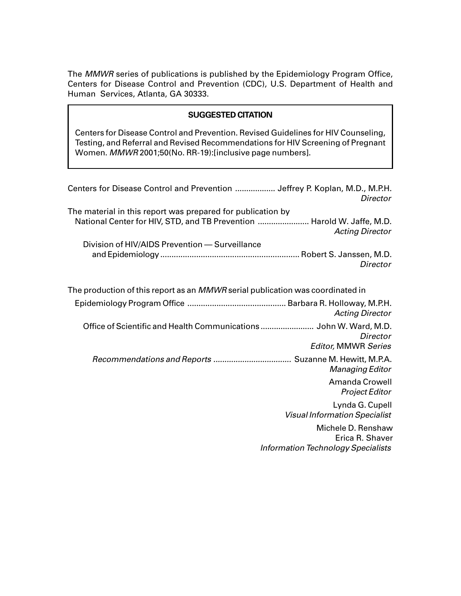The MMWR series of publications is published by the Epidemiology Program Office, Centers for Disease Control and Prevention (CDC), U.S. Department of Health and Human Services, Atlanta, GA 30333.

### **SUGGESTED CITATION**

Centers for Disease Control and Prevention. Revised Guidelines for HIV Counseling, Testing, and Referral and Revised Recommendations for HIV Screening of Pregnant Women. MMWR 2001;50(No. RR-19):[inclusive page numbers].

| Centers for Disease Control and Prevention  Jeffrey P. Koplan, M.D., M.P.H.<br><b>Director</b>                                                                  |
|-----------------------------------------------------------------------------------------------------------------------------------------------------------------|
| The material in this report was prepared for publication by<br>National Center for HIV, STD, and TB Prevention  Harold W. Jaffe, M.D.<br><b>Acting Director</b> |
| Division of HIV/AIDS Prevention - Surveillance                                                                                                                  |
| Director                                                                                                                                                        |
| The production of this report as an MMWR serial publication was coordinated in                                                                                  |
| <b>Acting Director</b>                                                                                                                                          |
| Office of Scientific and Health Communications  John W. Ward, M.D.<br>Director<br><b>Editor, MMWR Series</b>                                                    |
| Recommendations and Reports  Suzanne M. Hewitt, M.P.A.<br><b>Managing Editor</b>                                                                                |
| <b>Amanda Crowell</b><br><b>Project Editor</b>                                                                                                                  |
| Lynda G. Cupell<br><b>Visual Information Specialist</b>                                                                                                         |
| Michele D. Renshaw<br>Erica R. Shaver                                                                                                                           |
| <b>Information Technology Specialists</b>                                                                                                                       |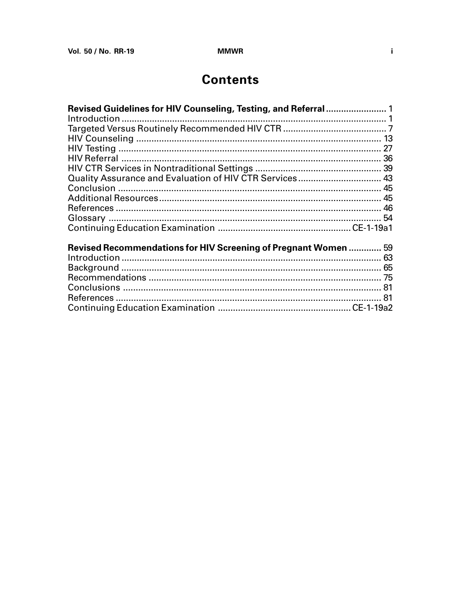## **Contents**

| Revised Guidelines for HIV Counseling, Testing, and Referral  1 |  |
|-----------------------------------------------------------------|--|
|                                                                 |  |
|                                                                 |  |
|                                                                 |  |
|                                                                 |  |
|                                                                 |  |
|                                                                 |  |
| Quality Assurance and Evaluation of HIV CTR Services 43         |  |
|                                                                 |  |
|                                                                 |  |
|                                                                 |  |
|                                                                 |  |
|                                                                 |  |
|                                                                 |  |
| Revised Recommendations for HIV Screening of Pregnant Women  59 |  |
|                                                                 |  |
|                                                                 |  |
|                                                                 |  |
|                                                                 |  |
|                                                                 |  |
|                                                                 |  |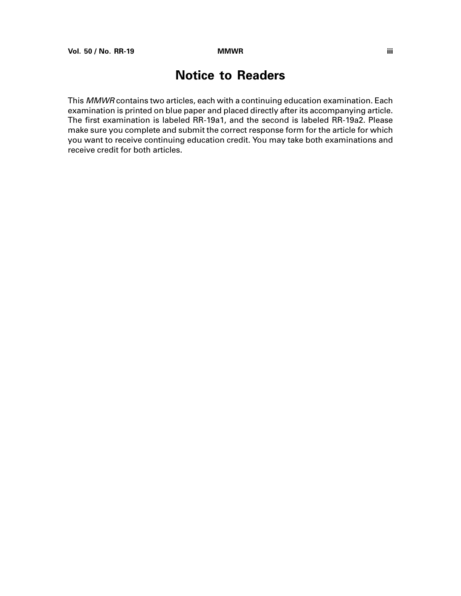## **Notice to Readers**

This MMWR contains two articles, each with a continuing education examination. Each examination is printed on blue paper and placed directly after its accompanying article. The first examination is labeled RR-19a1, and the second is labeled RR-19a2. Please make sure you complete and submit the correct response form for the article for which you want to receive continuing education credit. You may take both examinations and receive credit for both articles.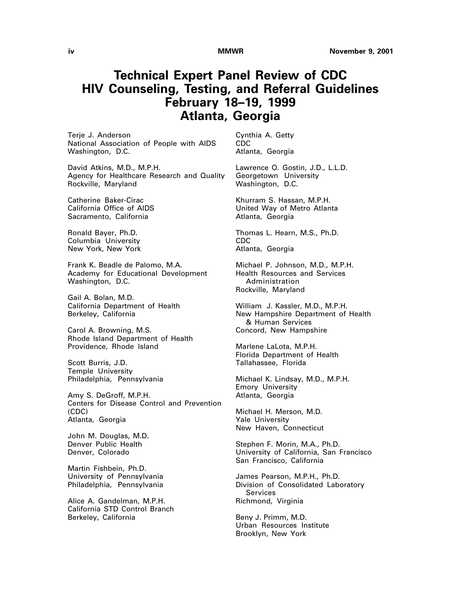## **Technical Expert Panel Review of CDC HIV Counseling, Testing, and Referral Guidelines February 18–19, 1999 Atlanta, Georgia**

Terje J. Anderson National Association of People with AIDS Washington, D.C.

David Atkins, M.D., M.P.H. Agency for Healthcare Research and Quality Rockville, Maryland

Catherine Baker-Cirac California Office of AIDS Sacramento, California

Ronald Bayer, Ph.D. Columbia University New York, New York

Frank K. Beadle de Palomo, M.A. Academy for Educational Development Washington, D.C.

Gail A. Bolan, M.D. California Department of Health Berkeley, California

Carol A. Browning, M.S. Rhode Island Department of Health Providence, Rhode Island

Scott Burris, J.D. Temple University Philadelphia, Pennsylvania

Amy S. DeGroff, M.P.H. Centers for Disease Control and Prevention (CDC) Atlanta, Georgia

John M. Douglas, M.D. Denver Public Health Denver, Colorado

Martin Fishbein, Ph.D. University of Pennsylvania Philadelphia, Pennsylvania

Alice A. Gandelman, M.P.H. California STD Control Branch Berkeley, California

Cynthia A. Getty CDC Atlanta, Georgia

Lawrence O. Gostin, J.D., L.L.D. Georgetown University Washington, D.C.

Khurram S. Hassan, M.P.H. United Way of Metro Atlanta Atlanta, Georgia

Thomas L. Hearn, M.S., Ph.D. CDC Atlanta, Georgia

Michael P. Johnson, M.D., M.P.H. Health Resources and Services Administration Rockville, Maryland

William J. Kassler, M.D., M.P.H. New Hampshire Department of Health & Human Services Concord, New Hampshire

Marlene LaLota, M.P.H. Florida Department of Health Tallahassee, Florida

Michael K. Lindsay, M.D., M.P.H. Emory University Atlanta, Georgia

Michael H. Merson, M.D. Yale University New Haven, Connecticut

Stephen F. Morin, M.A., Ph.D. University of California, San Francisco San Francisco, California

James Pearson, M.P.H., Ph.D. Division of Consolidated Laboratory Services Richmond, Virginia

Beny J. Primm, M.D. Urban Resources Institute Brooklyn, New York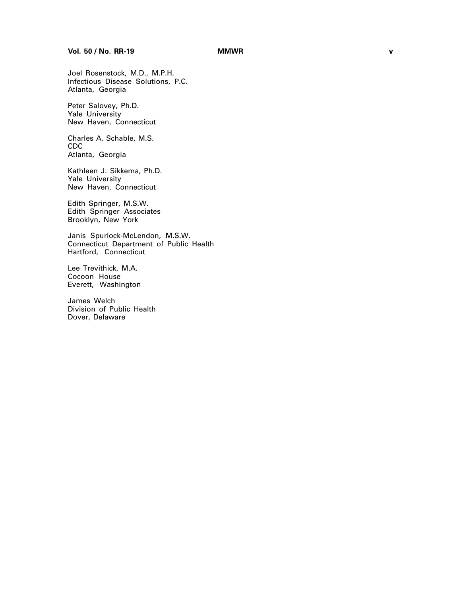Joel Rosenstock, M.D., M.P.H. Infectious Disease Solutions, P.C. Atlanta, Georgia

Peter Salovey, Ph.D. Yale University New Haven, Connecticut

Charles A. Schable, M.S. CDC Atlanta, Georgia

Kathleen J. Sikkema, Ph.D. Yale University New Haven, Connecticut

Edith Springer, M.S.W. Edith Springer Associates Brooklyn, New York

Janis Spurlock-McLendon, M.S.W. Connecticut Department of Public Health Hartford, Connecticut

Lee Trevithick, M.A. Cocoon House Everett, Washington

James Welch Division of Public Health Dover, Delaware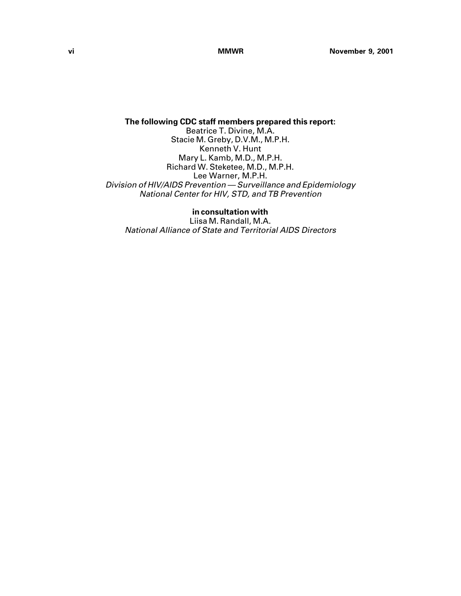**The following CDC staff members prepared this report:** Beatrice T. Divine, M.A. Stacie M. Greby, D.V.M., M.P.H. Kenneth V. Hunt Mary L. Kamb, M.D., M.P.H. Richard W. Steketee, M.D., M.P.H. Lee Warner, M.P.H. Division of HIV/AIDS Prevention — Surveillance and Epidemiology National Center for HIV, STD, and TB Prevention

**in consultation with** Liisa M. Randall, M.A. National Alliance of State and Territorial AIDS Directors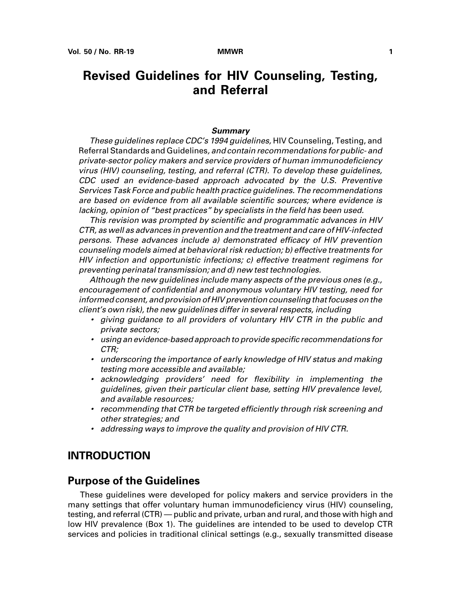## <span id="page-8-0"></span>**Revised Guidelines for HIV Counseling, Testing, and Referral**

### **Summary**

These guidelines replace CDC's 1994 guidelines, HIV Counseling, Testing, and Referral Standards and Guidelines, and contain recommendations for public- and private-sector policy makers and service providers of human immunodeficiency virus (HIV) counseling, testing, and referral (CTR). To develop these guidelines, CDC used an evidence-based approach advocated by the U.S. Preventive Services Task Force and public health practice guidelines. The recommendations are based on evidence from all available scientific sources; where evidence is lacking, opinion of "best practices" by specialists in the field has been used.

<span id="page-8-1"></span>This revision was prompted by scientific and programmatic advances in HIV CTR, as well as advances in prevention and the treatment and care of HIV-infected persons. These advances include a) demonstrated efficacy of HIV prevention counseling models aimed at behavioral risk reduction; b) effective treatments for HIV infection and opportunistic infections; c) effective treatment regimens for preventing perinatal transmission; and d) new test technologies.

Although the new guidelines include many aspects of the previous ones (e.g., encouragement of confidential and anonymous voluntary HIV testing, need for informed consent, and provision of HIV prevention counseling that focuses on the client's own risk), the new guidelines differ in several respects, including

- giving guidance to all providers of voluntary HIV CTR in the public and private sectors;
- using an evidence-based approach to provide specific recommendations for CTR;
- underscoring the importance of early knowledge of HIV status and making testing more accessible and available;
- acknowledging providers' need for flexibility in implementing the guidelines, given their particular client base, setting HIV prevalence level, and available resources;
- recommending that CTR be targeted efficiently through risk screening and other strategies; and
- addressing ways to improve the quality and provision of HIV CTR.

### **INTRODUCTION**

### **Purpose of the Guidelines**

These guidelines were developed for policy makers and service providers in the many settings that offer voluntary human immunodeficiency virus (HIV) counseling, testing, and referral (CTR) — public and private, urban and rural, and those with high and low HIV prevalence (Box 1). The guidelines are intended to be used to develop CTR services and policies in traditional clinical settings (e.g., sexually transmitted disease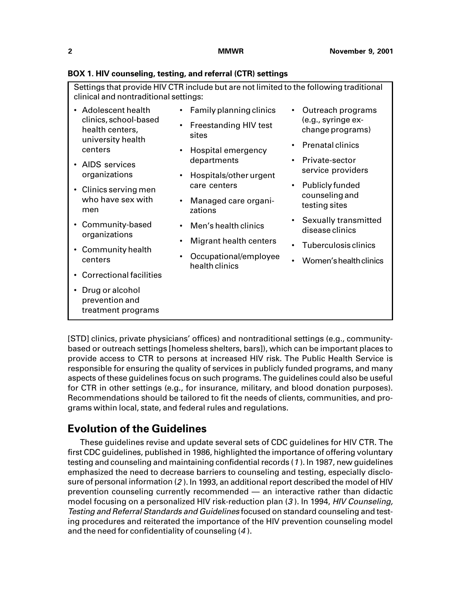| clinical and nontraditional settings:                         | Settings that provide HIV CTR include but are not limited to the following traditional                |                                         |
|---------------------------------------------------------------|-------------------------------------------------------------------------------------------------------|-----------------------------------------|
| Adolescent health                                             | Family planning clinics                                                                               | Outreach programs                       |
| clinics, school-based<br>health centers,<br>university health | <b>Freestanding HIV test</b><br>sites                                                                 | (e.g., syringe ex-<br>change programs)  |
| centers                                                       | Hospital emergency                                                                                    | <b>Prenatal clinics</b>                 |
| AIDS services                                                 | departments                                                                                           | Private-sector                          |
| organizations                                                 | Hospitals/other urgent                                                                                | service providers                       |
| Clinics serving men                                           |                                                                                                       |                                         |
| who have sex with<br>men                                      | Publicly funded<br>care centers<br>counseling and<br>Managed care organi-<br>testing sites<br>zations |                                         |
| Community-based                                               | Men's health clinics                                                                                  | Sexually transmitted<br>disease clinics |
| organizations<br>Community health                             | <b>Migrant health centers</b>                                                                         | Tuberculosis clinics                    |
| centers                                                       | Occupational/employee<br>health clinics                                                               | Women's health clinics                  |
| <b>Correctional facilities</b>                                |                                                                                                       |                                         |
| Drug or alcohol<br>prevention and<br>treatment programs       |                                                                                                       |                                         |

### **BOX 1. HIV counseling, testing, and referral (CTR) settings**

[STD] clinics, private physicians' offices) and nontraditional settings (e.g., communitybased or outreach settings [homeless shelters, bars]), which can be important places to provide access to CTR to persons at increased HIV risk. The Public Health Service is responsible for ensuring the quality of services in publicly funded programs, and many aspects of these guidelines focus on such programs. The guidelines could also be useful for CTR in other settings (e.g., for insurance, military, and blood donation purposes). Recommendations should be tailored to fit the needs of clients, communities, and programs within local, state, and federal rules and regulations.

## **Evolution of the Guidelines**

These guidelines revise and update several sets of CDC guidelines for HIV CTR. The first CDC guidelines, published in 1986, highlighted the importance of offering voluntary testing and counseling and maintaining confidential records (<sup>1</sup> ). In 1987, new guidelines emphasized the need to decrease barriers to counseling and testing, especially disclosure of personal information (2 ). In 1993, an additional report described the model of HIV prevention counseling currently recommended — an interactive rather than didactic model focusing on a personalized HIV risk-reduction plan (3). In 1994, HIV Counseling, Testing and Referral Standards and Guidelines focused on standard counseling and testing procedures and reiterated the importance of the HIV prevention counseling model and the need for confidentiality of counseling (<sup>4</sup> ).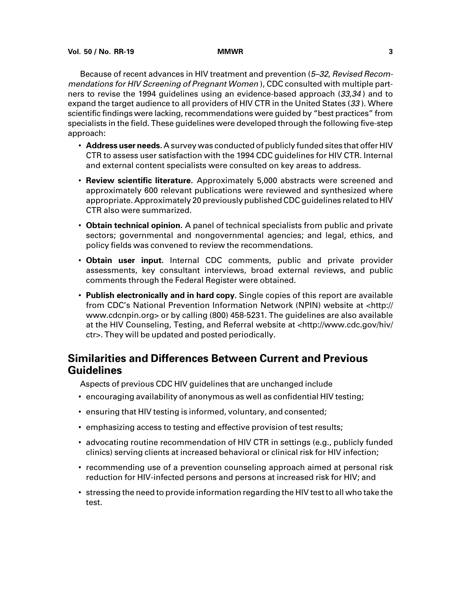Because of recent advances in HIV treatment and prevention (5–32, Revised Recommendations for HIV Screening of Pregnant Women ), CDC consulted with multiple partners to revise the 1994 guidelines using an evidence-based approach (33,34 ) and to expand the target audience to all providers of HIV CTR in the United States (33). Where scientific findings were lacking, recommendations were guided by "best practices" from specialists in the field. These guidelines were developed through the following five-step approach:

- **Address user needs.** A survey was conducted of publicly funded sites that offer HIV CTR to assess user satisfaction with the 1994 CDC guidelines for HIV CTR. Internal and external content specialists were consulted on key areas to address.
- **Review scientific literature.** Approximately 5,000 abstracts were screened and approximately 600 relevant publications were reviewed and synthesized where appropriate. Approximately 20 previously published CDC guidelines related to HIV CTR also were summarized.
- **Obtain technical opinion.** A panel of technical specialists from public and private sectors; governmental and nongovernmental agencies; and legal, ethics, and policy fields was convened to review the recommendations.
- **Obtain user input.** Internal CDC comments, public and private provider assessments, key consultant interviews, broad external reviews, and public comments through the Federal Register were obtained.
- **Publish electronically and in hard copy.** Single copies of this report are available from CDC's National Prevention Information Network (NPIN) website at [<http://](http://www.cdcnpin.org) [www.cdcnpin.org> o](http://www.cdcnpin.org)r by calling (800) 458-5231. The guidelines are also available at the HIV Counseling, Testing, and Referral website at [<http://www.cdc.gov/hiv/](http://www.cdc.gov/hiv/ctr) [ctr>.](http://www.cdc.gov/hiv/ctr) They will be updated and posted periodically.

## **Similarities and Differences Between Current and Previous Guidelines**

Aspects of previous CDC HIV guidelines that are unchanged include

- encouraging availability of anonymous as well as confidential HIV testing;
- ensuring that HIV testing is informed, voluntary, and consented;
- emphasizing access to testing and effective provision of test results;
- advocating routine recommendation of HIV CTR in settings (e.g., publicly funded clinics) serving clients at increased behavioral or clinical risk for HIV infection;
- recommending use of a prevention counseling approach aimed at personal risk reduction for HIV-infected persons and persons at increased risk for HIV; and
- stressing the need to provide information regarding the HIV test to all who take the test.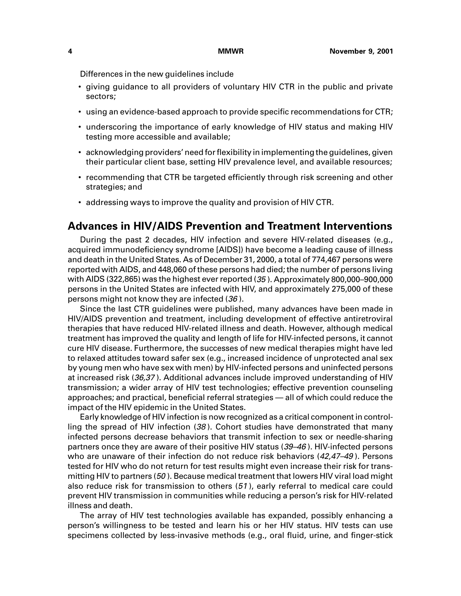Differences in the new guidelines include

- giving guidance to all providers of voluntary HIV CTR in the public and private sectors;
- using an evidence-based approach to provide specific recommendations for CTR;
- underscoring the importance of early knowledge of HIV status and making HIV testing more accessible and available;
- acknowledging providers' need for flexibility in implementing the guidelines, given their particular client base, setting HIV prevalence level, and available resources;
- recommending that CTR be targeted efficiently through risk screening and other strategies; and
- addressing ways to improve the quality and provision of HIV CTR.

## **Advances in HIV/AIDS Prevention and Treatment Interventions**

During the past 2 decades, HIV infection and severe HIV-related diseases (e.g., acquired immunodeficiency syndrome [AIDS]) have become a leading cause of illness and death in the United States. As of December 31, 2000, a total of 774,467 persons were reported with AIDS, and 448,060 of these persons had died; the number of persons living with AIDS (322,865) was the highest ever reported (35 ). Approximately 800,000–900,000 persons in the United States are infected with HIV, and approximately 275,000 of these persons might not know they are infected (36 ).

Since the last CTR guidelines were published, many advances have been made in HIV/AIDS prevention and treatment, including development of effective antiretroviral therapies that have reduced HIV-related illness and death. However, although medical treatment has improved the quality and length of life for HIV-infected persons, it cannot cure HIV disease. Furthermore, the successes of new medical therapies might have led to relaxed attitudes toward safer sex (e.g., increased incidence of unprotected anal sex by young men who have sex with men) by HIV-infected persons and uninfected persons at increased risk (36,37 ). Additional advances include improved understanding of HIV transmission; a wider array of HIV test technologies; effective prevention counseling approaches; and practical, beneficial referral strategies — all of which could reduce the impact of the HIV epidemic in the United States.

Early knowledge of HIV infection is now recognized as a critical component in controlling the spread of HIV infection (38 ). Cohort studies have demonstrated that many infected persons decrease behaviors that transmit infection to sex or needle-sharing partners once they are aware of their positive HIV status (39–46 ). HIV-infected persons who are unaware of their infection do not reduce risk behaviors (42,47–49). Persons tested for HIV who do not return for test results might even increase their risk for transmitting HIV to partners (50). Because medical treatment that lowers HIV viral load might also reduce risk for transmission to others (51 ), early referral to medical care could prevent HIV transmission in communities while reducing a person's risk for HIV-related illness and death.

The array of HIV test technologies available has expanded, possibly enhancing a person's willingness to be tested and learn his or her HIV status. HIV tests can use specimens collected by less-invasive methods (e.g., oral fluid, urine, and finger-stick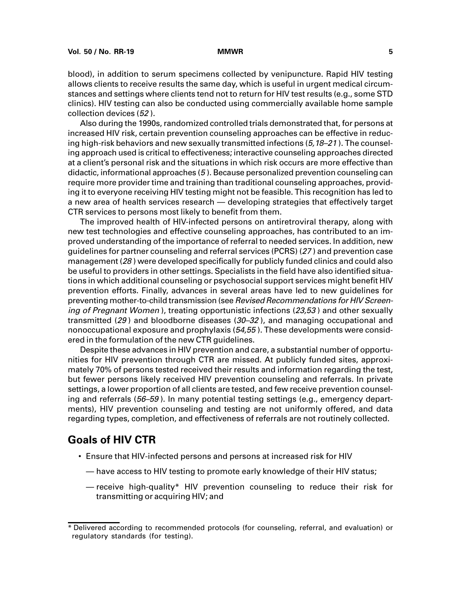blood), in addition to serum specimens collected by venipuncture. Rapid HIV testing allows clients to receive results the same day, which is useful in urgent medical circumstances and settings where clients tend not to return for HIV test results (e.g., some STD clinics). HIV testing can also be conducted using commercially available home sample collection devices (52 ).

Also during the 1990s, randomized controlled trials demonstrated that, for persons at increased HIV risk, certain prevention counseling approaches can be effective in reducing high-risk behaviors and new sexually transmitted infections  $(5,18-21)$ . The counseling approach used is critical to effectiveness; interactive counseling approaches directed at a client's personal risk and the situations in which risk occurs are more effective than didactic, informational approaches (5 ). Because personalized prevention counseling can require more provider time and training than traditional counseling approaches, providing it to everyone receiving HIV testing might not be feasible. This recognition has led to a new area of health services research — developing strategies that effectively target CTR services to persons most likely to benefit from them.

The improved health of HIV-infected persons on antiretroviral therapy, along with new test technologies and effective counseling approaches, has contributed to an improved understanding of the importance of referral to needed services. In addition, new guidelines for partner counseling and referral services (PCRS) (27 ) and prevention case management (28 ) were developed specifically for publicly funded clinics and could also be useful to providers in other settings. Specialists in the field have also identified situations in which additional counseling or psychosocial support services might benefit HIV prevention efforts. Finally, advances in several areas have led to new guidelines for preventing mother-to-child transmission (see Revised Recommendations for HIV Screening of Pregnant Women), treating opportunistic infections (23,53) and other sexually transmitted (29) and bloodborne diseases ( $30-32$ ), and managing occupational and nonoccupational exposure and prophylaxis (54,55 ). These developments were considered in the formulation of the new CTR guidelines.

Despite these advances in HIV prevention and care, a substantial number of opportunities for HIV prevention through CTR are missed. At publicly funded sites, approximately 70% of persons tested received their results and information regarding the test, but fewer persons likely received HIV prevention counseling and referrals. In private settings, a lower proportion of all clients are tested, and few receive prevention counseling and referrals (56–59). In many potential testing settings (e.g., emergency departments), HIV prevention counseling and testing are not uniformly offered, and data regarding types, completion, and effectiveness of referrals are not routinely collected.

### **Goals of HIV CTR**

- Ensure that HIV-infected persons and persons at increased risk for HIV
	- have access to HIV testing to promote early knowledge of their HIV status;
	- receive high-quality\* HIV prevention counseling to reduce their risk for transmitting or acquiring HIV; and

<sup>\*</sup> Delivered according to recommended protocols (for counseling, referral, and evaluation) or regulatory standards (for testing).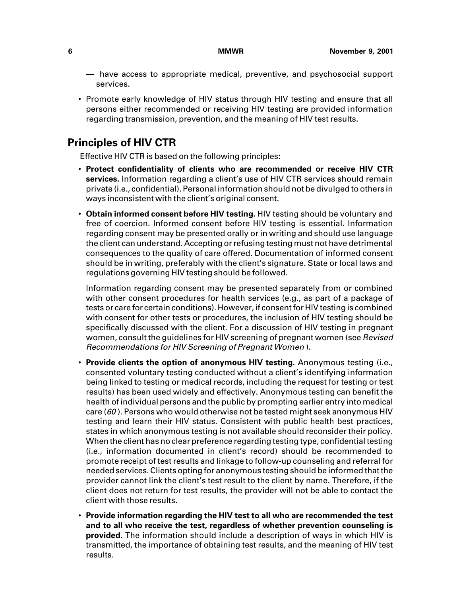- have access to appropriate medical, preventive, and psychosocial support services.
- Promote early knowledge of HIV status through HIV testing and ensure that all persons either recommended or receiving HIV testing are provided information regarding transmission, prevention, and the meaning of HIV test results.

## **Principles of HIV CTR**

Effective HIV CTR is based on the following principles:

- **Protect confidentiality of clients who are recommended or receive HIV CTR services.** Information regarding a client's use of HIV CTR services should remain private (i.e., confidential). Personal information should not be divulged to others in ways inconsistent with the client's original consent.
- **Obtain informed consent before HIV testing.** HIV testing should be voluntary and free of coercion. Informed consent before HIV testing is essential. Information regarding consent may be presented orally or in writing and should use language the client can understand. Accepting or refusing testing must not have detrimental consequences to the quality of care offered. Documentation of informed consent should be in writing, preferably with the client's signature. State or local laws and regulations governing HIV testing should be followed.

Information regarding consent may be presented separately from or combined with other consent procedures for health services (e.g., as part of a package of tests or care for certain conditions). However, if consent for HIV testing is combined with consent for other tests or procedures, the inclusion of HIV testing should be specifically discussed with the client. For a discussion of HIV testing in pregnant women, consult the guidelines for HIV screening of pregnant women (see Revised Recommendations for HIV Screening of Pregnant Women ).

- **Provide clients the option of anonymous HIV testing.** Anonymous testing (i.e., consented voluntary testing conducted without a client's identifying information being linked to testing or medical records, including the request for testing or test results) has been used widely and effectively. Anonymous testing can benefit the health of individual persons and the public by prompting earlier entry into medical care ( $60$ ). Persons who would otherwise not be tested might seek anonymous HIV testing and learn their HIV status. Consistent with public health best practices, states in which anonymous testing is not available should reconsider their policy. When the client has no clear preference regarding testing type, confidential testing (i.e., information documented in client's record) should be recommended to promote receipt of test results and linkage to follow-up counseling and referral for needed services. Clients opting for anonymous testing should be informed that the provider cannot link the client's test result to the client by name. Therefore, if the client does not return for test results, the provider will not be able to contact the client with those results.
- **Provide information regarding the HIV test to all who are recommended the test and to all who receive the test, regardless of whether prevention counseling is provided.** The information should include a description of ways in which HIV is transmitted, the importance of obtaining test results, and the meaning of HIV test results.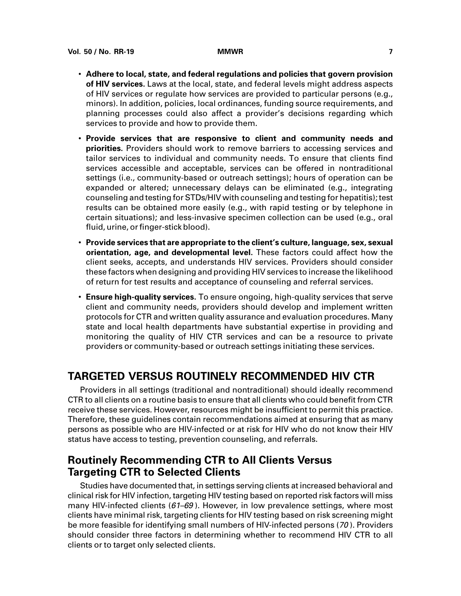- **Adhere to local, state, and federal regulations and policies that govern provision of HIV services.** Laws at the local, state, and federal levels might address aspects of HIV services or regulate how services are provided to particular persons (e.g., minors). In addition, policies, local ordinances, funding source requirements, and planning processes could also affect a provider's decisions regarding which services to provide and how to provide them.
- **Provide services that are responsive to client and community needs and priorities.** Providers should work to remove barriers to accessing services and tailor services to individual and community needs. To ensure that clients find services accessible and acceptable, services can be offered in nontraditional settings (i.e., community-based or outreach settings); hours of operation can be expanded or altered; unnecessary delays can be eliminated (e.g., integrating counseling and testing for STDs/HIV with counseling and testing for hepatitis); test results can be obtained more easily (e.g., with rapid testing or by telephone in certain situations); and less-invasive specimen collection can be used (e.g., oral fluid, urine, or finger-stick blood).
- <span id="page-14-0"></span>• **Provide services that are appropriate to the client's culture, language, sex, sexual orientation, age, and developmental level.** These factors could affect how the client seeks, accepts, and understands HIV services. Providers should consider these factors when designing and providing HIV services to increase the likelihood of return for test results and acceptance of counseling and referral services.
- **Ensure high-quality services.** To ensure ongoing, high-quality services that serve client and community needs, providers should develop and implement written protocols for CTR and written quality assurance and evaluation procedures. Many state and local health departments have substantial expertise in providing and monitoring the quality of HIV CTR services and can be a resource to private providers or community-based or outreach settings initiating these services.

## **TARGETED VERSUS ROUTINELY RECOMMENDED HIV CTR**

Providers in all settings (traditional and nontraditional) should ideally recommend CTR to all clients on a routine basis to ensure that all clients who could benefit from CTR receive these services. However, resources might be insufficient to permit this practice. Therefore, these guidelines contain recommendations aimed at ensuring that as many persons as possible who are HIV-infected or at risk for HIV who do not know their HIV status have access to testing, prevention counseling, and referrals.

## **Routinely Recommending CTR to All Clients Versus Targeting CTR to Selected Clients**

Studies have documented that, in settings serving clients at increased behavioral and clinical risk for HIV infection, targeting HIV testing based on reported risk factors will miss many HIV-infected clients  $(61–69)$ . However, in low prevalence settings, where most clients have minimal risk, targeting clients for HIV testing based on risk screening might be more feasible for identifying small numbers of HIV-infected persons (70 ). Providers should consider three factors in determining whether to recommend HIV CTR to all clients or to target only selected clients.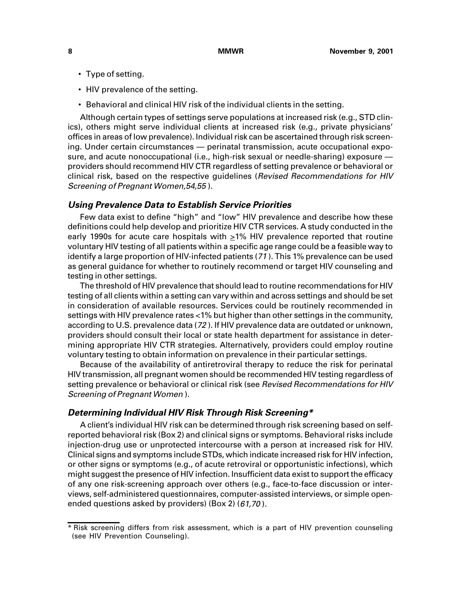- Type of setting.
- HIV prevalence of the setting.
- Behavioral and clinical HIV risk of the individual clients in the setting.

Although certain types of settings serve populations at increased risk (e.g., STD clinics), others might serve individual clients at increased risk (e.g., private physicians' offices in areas of low prevalence). Individual risk can be ascertained through risk screening. Under certain circumstances — perinatal transmission, acute occupational exposure, and acute nonoccupational (i.e., high-risk sexual or needle-sharing) exposure providers should recommend HIV CTR regardless of setting prevalence or behavioral or clinical risk, based on the respective guidelines (Revised Recommendations for HIV Screening of Pregnant Women,54,55 ).

### **Using Prevalence Data to Establish Service Priorities**

Few data exist to define "high" and "low" HIV prevalence and describe how these definitions could help develop and prioritize HIV CTR services. A study conducted in the early 1990s for acute care hospitals with  $\geq$ 1% HIV prevalence reported that routine voluntary HIV testing of all patients within a specific age range could be a feasible way to identify a large proportion of HIV-infected patients (<sup>71</sup> ). This 1% prevalence can be used as general guidance for whether to routinely recommend or target HIV counseling and testing in other settings.

The threshold of HIV prevalence that should lead to routine recommendations for HIV testing of all clients within a setting can vary within and across settings and should be set in consideration of available resources. Services could be routinely recommended in settings with HIV prevalence rates <1% but higher than other settings in the community, according to U.S. prevalence data (72 ). If HIV prevalence data are outdated or unknown, providers should consult their local or state health department for assistance in determining appropriate HIV CTR strategies. Alternatively, providers could employ routine voluntary testing to obtain information on prevalence in their particular settings.

Because of the availability of antiretroviral therapy to reduce the risk for perinatal HIV transmission, all pregnant women should be recommended HIV testing regardless of setting prevalence or behavioral or clinical risk (see Revised Recommendations for HIV Screening of Pregnant Women ).

### **Determining Individual HIV Risk Through Risk Screening\***

A client's individual HIV risk can be determined through risk screening based on selfreported behavioral risk (Box 2) and clinical signs or symptoms. Behavioral risks include injection-drug use or unprotected intercourse with a person at increased risk for HIV. Clinical signs and symptoms include STDs, which indicate increased risk for HIV infection, or other signs or symptoms (e.g., of acute retroviral or opportunistic infections), which might suggest the presence of HIV infection. Insufficient data exist to support the efficacy of any one risk-screening approach over others (e.g., face-to-face discussion or interviews, self-administered questionnaires, computer-assisted interviews, or simple openended questions asked by providers) (Box 2) (61,70 ).

<sup>\*</sup> Risk screening differs from risk assessment, which is a part of HIV prevention counseling (see HIV Prevention Counseling).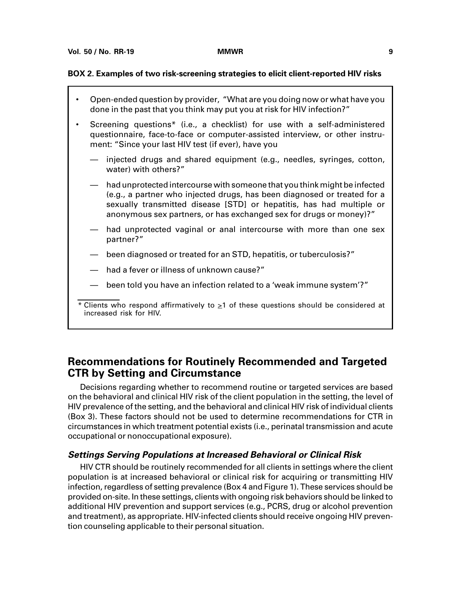### **BOX 2. Examples of two risk-screening strategies to elicit client-reported HIV risks**

• Open-ended question by provider, "What are you doing now or what have you done in the past that you think may put you at risk for HIV infection?" • Screening questions\* (i.e., a checklist) for use with a self-administered questionnaire, face-to-face or computer-assisted interview, or other instrument: "Since your last HIV test (if ever), have you injected drugs and shared equipment (e.g., needles, syringes, cotton, water) with others?" — had unprotected intercourse with someone that you think might be infected (e.g., a partner who injected drugs, has been diagnosed or treated for a sexually transmitted disease [STD] or hepatitis, has had multiple or anonymous sex partners, or has exchanged sex for drugs or money)?" had unprotected vaginal or anal intercourse with more than one sex partner?" — been diagnosed or treated for an STD, hepatitis, or tuberculosis?" had a fever or illness of unknown cause?" been told you have an infection related to a 'weak immune system'?"

## **Recommendations for Routinely Recommended and Targeted CTR by Setting and Circumstance**

Decisions regarding whether to recommend routine or targeted services are based on the behavioral and clinical HIV risk of the client population in the setting, the level of HIV prevalence of the setting, and the behavioral and clinical HIV risk of individual clients (Box 3). These factors should not be used to determine recommendations for CTR in circumstances in which treatment potential exists (i.e., perinatal transmission and acute occupational or nonoccupational exposure).

### **Settings Serving Populations at Increased Behavioral or Clinical Risk**

HIV CTR should be routinely recommended for all clients in settings where the client population is at increased behavioral or clinical risk for acquiring or transmitting HIV infection, regardless of setting prevalence (Box 4 and Figure 1). These services should be provided on-site. In these settings, clients with ongoing risk behaviors should be linked to additional HIV prevention and support services (e.g., PCRS, drug or alcohol prevention and treatment), as appropriate. HIV-infected clients should receive ongoing HIV prevention counseling applicable to their personal situation.

 $*$  Clients who respond affirmatively to  $\geq$ 1 of these questions should be considered at increased risk for HIV.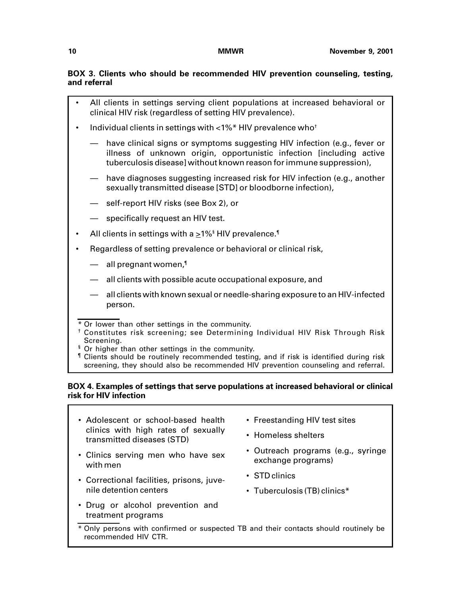### **BOX 3. Clients who should be recommended HIV prevention counseling, testing, and referral**

- All clients in settings serving client populations at increased behavioral or clinical HIV risk (regardless of setting HIV prevalence).
- Individual clients in settings with <1%\* HIV prevalence who†
	- have clinical signs or symptoms suggesting HIV infection (e.g., fever or illness of unknown origin, opportunistic infection [including active tuberculosis disease] without known reason for immune suppression),
	- have diagnoses suggesting increased risk for HIV infection (e.g., another sexually transmitted disease [STD] or bloodborne infection),
	- self-report HIV risks (see Box 2), or
	- specifically request an HIV test.
- All clients in settings with a  ${\geq}1\%$  HIV prevalence. ${}^{\P}$
- Regardless of setting prevalence or behavioral or clinical risk,
	- $-$  all pregnant women,<sup> $\text{I}$ </sup>
	- all clients with possible acute occupational exposure, and
	- all clients with known sexual or needle-sharing exposure to an HIV-infected person.
- \* Or lower than other settings in the community.
- † Constitutes risk screening; see Determining Individual HIV Risk Through Risk Screening.
- <sup>§</sup> Or higher than other settings in the community.
- ¶ Clients should be routinely recommended testing, and if risk is identified during risk screening, they should also be recommended HIV prevention counseling and referral.

### **BOX 4. Examples of settings that serve populations at increased behavioral or clinical risk for HIV infection**

- Adolescent or school-based health clinics with high rates of sexually transmitted diseases (STD)
- Clinics serving men who have sex with men
- Correctional facilities, prisons, juvenile detention centers
- Drug or alcohol prevention and treatment programs
- Freestanding HIV test sites
- Homeless shelters
- Outreach programs (e.g., syringe exchange programs)
- STD clinics
- Tuberculosis (TB) clinics\*
- \* Only persons with confirmed or suspected TB and their contacts should routinely be recommended HIV CTR.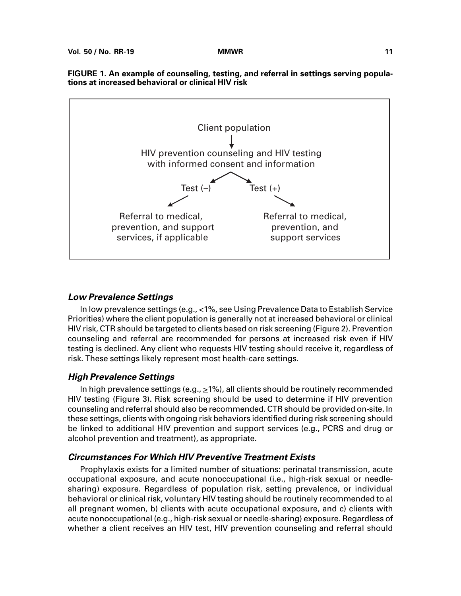

### **FIGURE 1. An example of counseling, testing, and referral in settings serving populations at increased behavioral or clinical HIV risk**

### **Low Prevalence Settings**

In low prevalence settings (e.g., <1%, see Using Prevalence Data to Establish Service Priorities) where the client population is generally not at increased behavioral or clinical HIV risk, CTR should be targeted to clients based on risk screening (Figure 2). Prevention counseling and referral are recommended for persons at increased risk even if HIV testing is declined. Any client who requests HIV testing should receive it, regardless of risk. These settings likely represent most health-care settings.

### **High Prevalence Settings**

In high prevalence settings (e.g.,  $\geq$ 1%), all clients should be routinely recommended HIV testing (Figure 3). Risk screening should be used to determine if HIV prevention counseling and referral should also be recommended. CTR should be provided on-site. In these settings, clients with ongoing risk behaviors identified during risk screening should be linked to additional HIV prevention and support services (e.g., PCRS and drug or alcohol prevention and treatment), as appropriate.

### **Circumstances For Which HIV Preventive Treatment Exists**

Prophylaxis exists for a limited number of situations: perinatal transmission, acute occupational exposure, and acute nonoccupational (i.e., high-risk sexual or needlesharing) exposure. Regardless of population risk, setting prevalence, or individual behavioral or clinical risk, voluntary HIV testing should be routinely recommended to a) all pregnant women, b) clients with acute occupational exposure, and c) clients with acute nonoccupational (e.g., high-risk sexual or needle-sharing) exposure. Regardless of whether a client receives an HIV test, HIV prevention counseling and referral should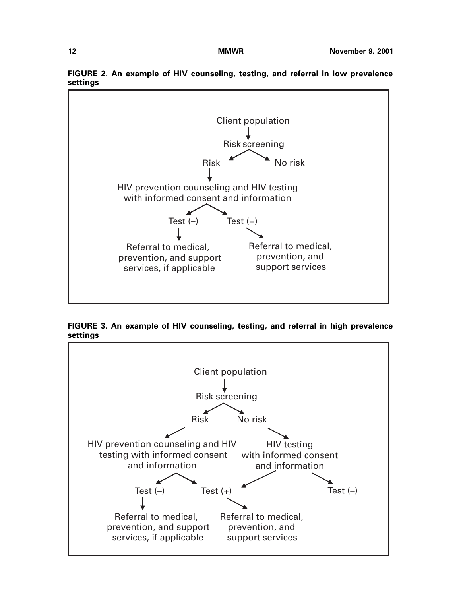

**FIGURE 2. An example of HIV counseling, testing, and referral in low prevalence settings**

**FIGURE 3. An example of HIV counseling, testing, and referral in high prevalence settings**

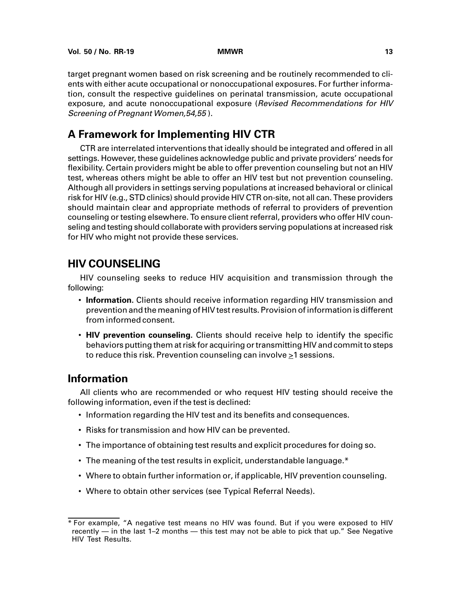target pregnant women based on risk screening and be routinely recommended to clients with either acute occupational or nonoccupational exposures. For further information, consult the respective guidelines on perinatal transmission, acute occupational exposure, and acute nonoccupational exposure (Revised Recommendations for HIV Screening of Pregnant Women,54,55 ).

## **A Framework for Implementing HIV CTR**

<span id="page-20-0"></span>CTR are interrelated interventions that ideally should be integrated and offered in all settings. However, these guidelines acknowledge public and private providers' needs for flexibility. Certain providers might be able to offer prevention counseling but not an HIV test, whereas others might be able to offer an HIV test but not prevention counseling. Although all providers in settings serving populations at increased behavioral or clinical risk for HIV (e.g., STD clinics) should provide HIV CTR on-site, not all can. These providers should maintain clear and appropriate methods of referral to providers of prevention counseling or testing elsewhere. To ensure client referral, providers who offer HIV counseling and testing should collaborate with providers serving populations at increased risk for HIV who might not provide these services.

## **HIV COUNSELING**

HIV counseling seeks to reduce HIV acquisition and transmission through the following:

- **Information.** Clients should receive information regarding HIV transmission and prevention and the meaning of HIV test results. Provision of information is different from informed consent.
- **HIV prevention counseling.** Clients should receive help to identify the specific behaviors putting them at risk for acquiring or transmitting HIV and commit to steps to reduce this risk. Prevention counseling can involve  $\geq 1$  sessions.

## **Information**

All clients who are recommended or who request HIV testing should receive the following information, even if the test is declined:

- Information regarding the HIV test and its benefits and consequences.
- Risks for transmission and how HIV can be prevented.
- The importance of obtaining test results and explicit procedures for doing so.
- The meaning of the test results in explicit, understandable language.\*
- Where to obtain further information or, if applicable, HIV prevention counseling.
- Where to obtain other services (see Typical Referral Needs).

<sup>\*</sup> For example, "A negative test means no HIV was found. But if you were exposed to HIV recently — in the last 1–2 months — this test may not be able to pick that up." See Negative HIV Test Results.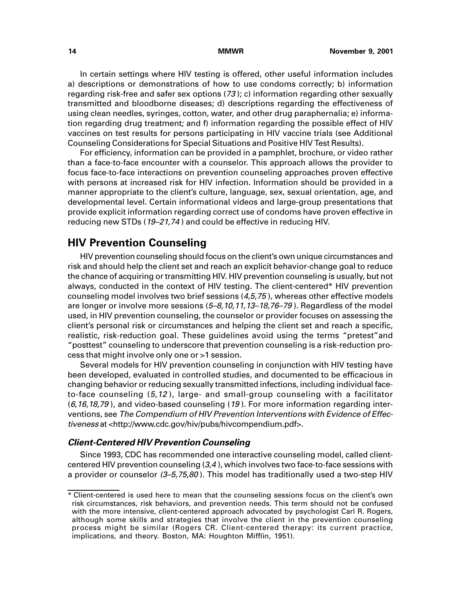In certain settings where HIV testing is offered, other useful information includes a) descriptions or demonstrations of how to use condoms correctly; b) information regarding risk-free and safer sex options (73 ); c) information regarding other sexually transmitted and bloodborne diseases; d) descriptions regarding the effectiveness of using clean needles, syringes, cotton, water, and other drug paraphernalia; e) information regarding drug treatment; and f) information regarding the possible effect of HIV vaccines on test results for persons participating in HIV vaccine trials (see Additional Counseling Considerations for Special Situations and Positive HIV Test Results).

For efficiency, information can be provided in a pamphlet, brochure, or video rather than a face-to-face encounter with a counselor. This approach allows the provider to focus face-to-face interactions on prevention counseling approaches proven effective with persons at increased risk for HIV infection. Information should be provided in a manner appropriate to the client's culture, language, sex, sexual orientation, age, and developmental level. Certain informational videos and large-group presentations that provide explicit information regarding correct use of condoms have proven effective in reducing new STDs (19-21,74) and could be effective in reducing HIV.

## **HIV Prevention Counseling**

HIV prevention counseling should focus on the client's own unique circumstances and risk and should help the client set and reach an explicit behavior-change goal to reduce the chance of acquiring or transmitting HIV. HIV prevention counseling is usually, but not always, conducted in the context of HIV testing. The client-centered\* HIV prevention counseling model involves two brief sessions (4,5,75 ), whereas other effective models are longer or involve more sessions (5–8,10,11,13–18,76–79 ). Regardless of the model used, in HIV prevention counseling, the counselor or provider focuses on assessing the client's personal risk or circumstances and helping the client set and reach a specific, realistic, risk-reduction goal. These guidelines avoid using the terms "pretest"and "posttest" counseling to underscore that prevention counseling is a risk-reduction process that might involve only one or >1 session.

Several models for HIV prevention counseling in conjunction with HIV testing have been developed, evaluated in controlled studies, and documented to be efficacious in changing behavior or reducing sexually transmitted infections, including individual faceto-face counseling  $(5,12)$ , large- and small-group counseling with a facilitator  $(6, 16, 18, 79)$ , and video-based counseling  $(19)$ . For more information regarding interventions, see The Compendium of HIV Prevention Interventions with Evidence of Effectiveness at [<http://www.cdc.gov/hiv/pubs/hivcompendium.pdf>.](http://www.cdc.gov/hiv/pubs/hivcompendium/hivcompendium.pdf)

### **Client-Centered HIV Prevention Counseling**

Since 1993, CDC has recommended one interactive counseling model, called clientcentered HIV prevention counseling (3,4 ), which involves two face-to-face sessions with a provider or counselor  $(3-5,75,80)$ . This model has traditionally used a two-step HIV

<sup>\*</sup> Client-centered is used here to mean that the counseling sessions focus on the client's own risk circumstances, risk behaviors, and prevention needs. This term should not be confused with the more intensive, client-centered approach advocated by psychologist Carl R. Rogers, although some skills and strategies that involve the client in the prevention counseling process might be similar (Rogers CR. Client-centered therapy: its current practice, implications, and theory. Boston, MA: Houghton Mifflin, 1951).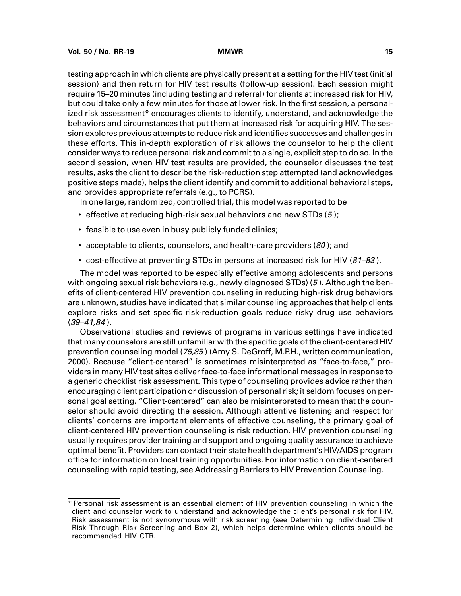testing approach in which clients are physically present at a setting for the HIV test (initial session) and then return for HIV test results (follow-up session). Each session might require 15–20 minutes (including testing and referral) for clients at increased risk for HIV, but could take only a few minutes for those at lower risk. In the first session, a personalized risk assessment\* encourages clients to identify, understand, and acknowledge the behaviors and circumstances that put them at increased risk for acquiring HIV. The session explores previous attempts to reduce risk and identifies successes and challenges in these efforts. This in-depth exploration of risk allows the counselor to help the client consider ways to reduce personal risk and commit to a single, explicit step to do so. In the second session, when HIV test results are provided, the counselor discusses the test results, asks the client to describe the risk-reduction step attempted (and acknowledges positive steps made), helps the client identify and commit to additional behavioral steps, and provides appropriate referrals (e.g., to PCRS).

In one large, randomized, controlled trial, this model was reported to be

- effective at reducing high-risk sexual behaviors and new STDs (5 );
- feasible to use even in busy publicly funded clinics;
- acceptable to clients, counselors, and health-care providers  $(80)$ ; and
- cost-effective at preventing STDs in persons at increased risk for HIV (81–83).

The model was reported to be especially effective among adolescents and persons with ongoing sexual risk behaviors (e.g., newly diagnosed STDs) (5 ). Although the benefits of client-centered HIV prevention counseling in reducing high-risk drug behaviors are unknown, studies have indicated that similar counseling approaches that help clients explore risks and set specific risk-reduction goals reduce risky drug use behaviors  $(39 - 41, 84)$ .

Observational studies and reviews of programs in various settings have indicated that many counselors are still unfamiliar with the specific goals of the client-centered HIV prevention counseling model (75,85 ) (Amy S. DeGroff, M.P.H., written communication, 2000). Because "client-centered" is sometimes misinterpreted as "face-to-face," providers in many HIV test sites deliver face-to-face informational messages in response to a generic checklist risk assessment. This type of counseling provides advice rather than encouraging client participation or discussion of personal risk; it seldom focuses on personal goal setting. "Client-centered" can also be misinterpreted to mean that the counselor should avoid directing the session. Although attentive listening and respect for clients' concerns are important elements of effective counseling, the primary goal of client-centered HIV prevention counseling is risk reduction. HIV prevention counseling usually requires provider training and support and ongoing quality assurance to achieve optimal benefit. Providers can contact their state health department's HIV/AIDS program office for information on local training opportunities. For information on client-centered counseling with rapid testing, see Addressing Barriers to HIV Prevention Counseling.

<sup>\*</sup> Personal risk assessment is an essential element of HIV prevention counseling in which the client and counselor work to understand and acknowledge the client's personal risk for HIV. Risk assessment is not synonymous with risk screening (see Determining Individual Client Risk Through Risk Screening and Box 2), which helps determine which clients should be recommended HIV CTR.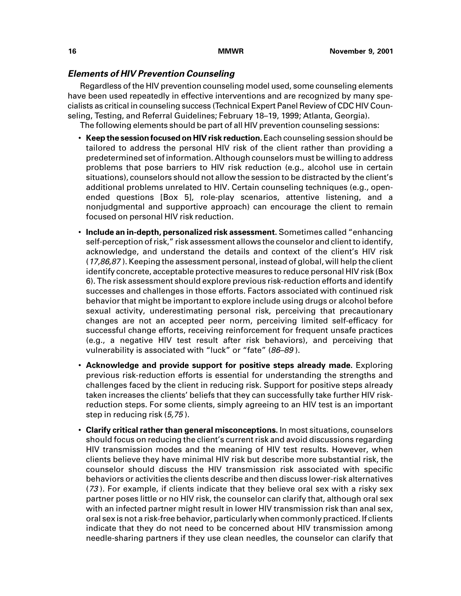### **Elements of HIV Prevention Counseling**

Regardless of the HIV prevention counseling model used, some counseling elements have been used repeatedly in effective interventions and are recognized by many specialists as critical in counseling success (Technical Expert Panel Review of CDC HIV Counseling, Testing, and Referral Guidelines; February 18–19, 1999; Atlanta, Georgia).

The following elements should be part of all HIV prevention counseling sessions:

- **Keep the session focused on HIV risk reduction.** Each counseling session should be tailored to address the personal HIV risk of the client rather than providing a predetermined set of information. Although counselors must be willing to address problems that pose barriers to HIV risk reduction (e.g., alcohol use in certain situations), counselors should not allow the session to be distracted by the client's additional problems unrelated to HIV. Certain counseling techniques (e.g., openended questions [Box 5], role-play scenarios, attentive listening, and a nonjudgmental and supportive approach) can encourage the client to remain focused on personal HIV risk reduction.
- **Include an in-depth, personalized risk assessment.** Sometimes called "enhancing self-perception of risk," risk assessment allows the counselor and client to identify, acknowledge, and understand the details and context of the client's HIV risk  $(17,86,87)$ . Keeping the assessment personal, instead of global, will help the client identify concrete, acceptable protective measures to reduce personal HIV risk (Box 6). The risk assessment should explore previous risk-reduction efforts and identify successes and challenges in those efforts. Factors associated with continued risk behavior that might be important to explore include using drugs or alcohol before sexual activity, underestimating personal risk, perceiving that precautionary changes are not an accepted peer norm, perceiving limited self-efficacy for successful change efforts, receiving reinforcement for frequent unsafe practices (e.g., a negative HIV test result after risk behaviors), and perceiving that vulnerability is associated with "luck" or "fate" (86-89).
- **Acknowledge and provide support for positive steps already made.** Exploring previous risk-reduction efforts is essential for understanding the strengths and challenges faced by the client in reducing risk. Support for positive steps already taken increases the clients' beliefs that they can successfully take further HIV riskreduction steps. For some clients, simply agreeing to an HIV test is an important step in reducing risk (5,75 ).
- **Clarify critical rather than general misconceptions.** In most situations, counselors should focus on reducing the client's current risk and avoid discussions regarding HIV transmission modes and the meaning of HIV test results. However, when clients believe they have minimal HIV risk but describe more substantial risk, the counselor should discuss the HIV transmission risk associated with specific behaviors or activities the clients describe and then discuss lower-risk alternatives (73 ). For example, if clients indicate that they believe oral sex with a risky sex partner poses little or no HIV risk, the counselor can clarify that, although oral sex with an infected partner might result in lower HIV transmission risk than anal sex, oral sex is not a risk-free behavior, particularly when commonly practiced. If clients indicate that they do not need to be concerned about HIV transmission among needle-sharing partners if they use clean needles, the counselor can clarify that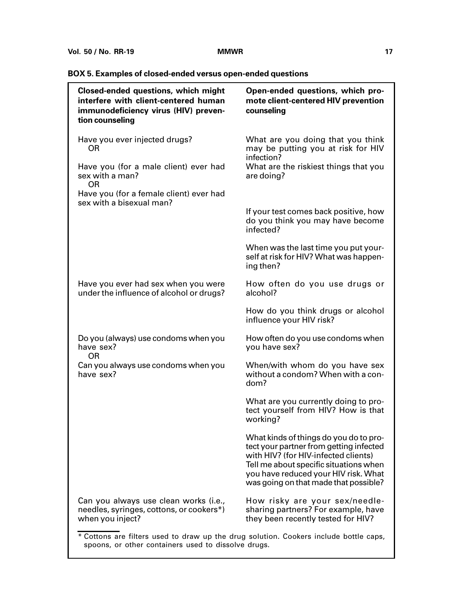## **BOX 5. Examples of closed-ended versus open-ended questions**

| <b>Closed-ended questions, which might</b><br>interfere with client-centered human<br>immunodeficiency virus (HIV) preven-<br>tion counseling | Open-ended questions, which pro-<br>mote client-centered HIV prevention<br>counseling                                                                                                                                                                |
|-----------------------------------------------------------------------------------------------------------------------------------------------|------------------------------------------------------------------------------------------------------------------------------------------------------------------------------------------------------------------------------------------------------|
| Have you ever injected drugs?<br><b>OR</b>                                                                                                    | What are you doing that you think<br>may be putting you at risk for HIV<br>infection?                                                                                                                                                                |
| Have you (for a male client) ever had<br>sex with a man?<br><b>OR</b>                                                                         | What are the riskiest things that you<br>are doing?                                                                                                                                                                                                  |
| Have you (for a female client) ever had<br>sex with a bisexual man?                                                                           |                                                                                                                                                                                                                                                      |
|                                                                                                                                               | If your test comes back positive, how<br>do you think you may have become<br>infected?                                                                                                                                                               |
|                                                                                                                                               | When was the last time you put your-<br>self at risk for HIV? What was happen-<br>ing then?                                                                                                                                                          |
| Have you ever had sex when you were<br>under the influence of alcohol or drugs?                                                               | How often do you use drugs or<br>alcohol?                                                                                                                                                                                                            |
|                                                                                                                                               | How do you think drugs or alcohol<br>influence your HIV risk?                                                                                                                                                                                        |
| Do you (always) use condoms when you<br>have sex?<br><b>OR</b>                                                                                | How often do you use condoms when<br>you have sex?                                                                                                                                                                                                   |
| Can you always use condoms when you<br>have sex?                                                                                              | When/with whom do you have sex<br>without a condom? When with a con-<br>dom?                                                                                                                                                                         |
|                                                                                                                                               | What are you currently doing to pro-<br>tect yourself from HIV? How is that<br>working?                                                                                                                                                              |
|                                                                                                                                               | What kinds of things do you do to pro-<br>tect your partner from getting infected<br>with HIV? (for HIV-infected clients)<br>Tell me about specific situations when<br>you have reduced your HIV risk. What<br>was going on that made that possible? |
| Can you always use clean works (i.e.,<br>needles, syringes, cottons, or cookers*)<br>when you inject?                                         | How risky are your sex/needle-<br>sharing partners? For example, have<br>they been recently tested for HIV?                                                                                                                                          |
| * Cottons are filters used to draw up the drug solution. Cookers include bottle caps,                                                         |                                                                                                                                                                                                                                                      |

spoons, or other containers used to dissolve drugs.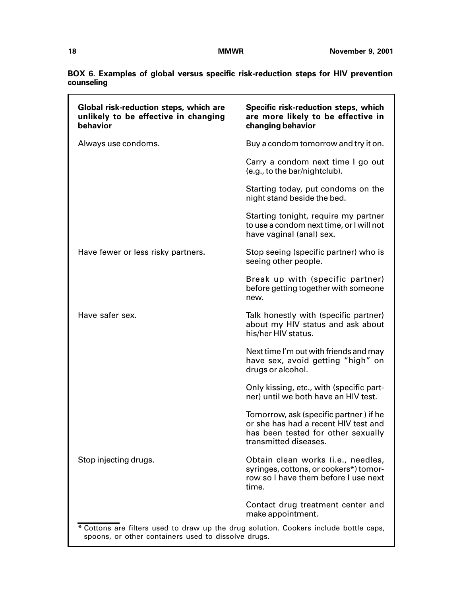|            |  |  | BOX 6. Examples of global versus specific risk-reduction steps for HIV prevention |  |  |  |
|------------|--|--|-----------------------------------------------------------------------------------|--|--|--|
| counseling |  |  |                                                                                   |  |  |  |

| Global risk-reduction steps, which are<br>unlikely to be effective in changing<br>behavior                                                   | Specific risk-reduction steps, which<br>are more likely to be effective in<br>changing behavior                                               |
|----------------------------------------------------------------------------------------------------------------------------------------------|-----------------------------------------------------------------------------------------------------------------------------------------------|
| Always use condoms.                                                                                                                          | Buy a condom tomorrow and try it on.                                                                                                          |
|                                                                                                                                              | Carry a condom next time I go out<br>(e.g., to the bar/nightclub).                                                                            |
|                                                                                                                                              | Starting today, put condoms on the<br>night stand beside the bed.                                                                             |
|                                                                                                                                              | Starting tonight, require my partner<br>to use a condom next time, or I will not<br>have vaginal (anal) sex.                                  |
| Have fewer or less risky partners.                                                                                                           | Stop seeing (specific partner) who is<br>seeing other people.                                                                                 |
|                                                                                                                                              | Break up with (specific partner)<br>before getting together with someone<br>new.                                                              |
| Have safer sex.                                                                                                                              | Talk honestly with (specific partner)<br>about my HIV status and ask about<br>his/her HIV status.                                             |
|                                                                                                                                              | Next time I'm out with friends and may<br>have sex, avoid getting "high" on<br>drugs or alcohol.                                              |
|                                                                                                                                              | Only kissing, etc., with (specific part-<br>ner) until we both have an HIV test.                                                              |
|                                                                                                                                              | Tomorrow, ask (specific partner) if he<br>or she has had a recent HIV test and<br>has been tested for other sexually<br>transmitted diseases. |
| Stop injecting drugs.                                                                                                                        | Obtain clean works (i.e., needles,<br>syringes, cottons, or cookers*) tomor-<br>row so I have them before I use next<br>time.                 |
|                                                                                                                                              | Contact drug treatment center and<br>make appointment.                                                                                        |
| * Cottons are filters used to draw up the drug solution. Cookers include bottle caps,<br>spoons, or other containers used to dissolve drugs. |                                                                                                                                               |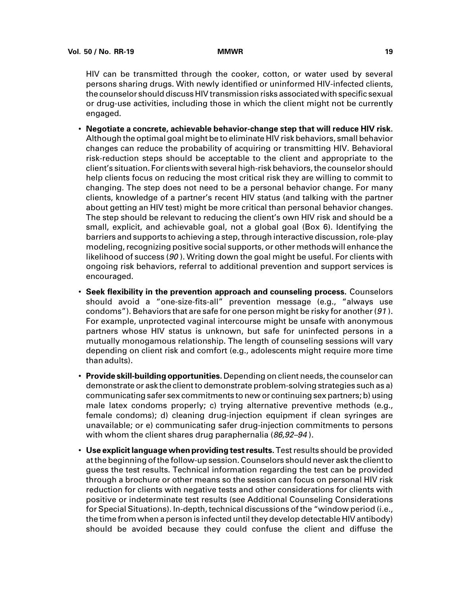HIV can be transmitted through the cooker, cotton, or water used by several persons sharing drugs. With newly identified or uninformed HIV-infected clients, the counselor should discuss HIV transmission risks associated with specific sexual or drug-use activities, including those in which the client might not be currently engaged.

- **Negotiate a concrete, achievable behavior-change step that will reduce HIV risk.** Although the optimal goal might be to eliminate HIV risk behaviors, small behavior changes can reduce the probability of acquiring or transmitting HIV. Behavioral risk-reduction steps should be acceptable to the client and appropriate to the client's situation. For clients with several high-risk behaviors, the counselor should help clients focus on reducing the most critical risk they are willing to commit to changing. The step does not need to be a personal behavior change. For many clients, knowledge of a partner's recent HIV status (and talking with the partner about getting an HIV test) might be more critical than personal behavior changes. The step should be relevant to reducing the client's own HIV risk and should be a small, explicit, and achievable goal, not a global goal (Box 6). Identifying the barriers and supports to achieving a step, through interactive discussion, role-play modeling, recognizing positive social supports, or other methods will enhance the likelihood of success (90 ). Writing down the goal might be useful. For clients with ongoing risk behaviors, referral to additional prevention and support services is encouraged.
- **Seek flexibility in the prevention approach and counseling process.** Counselors should avoid a "one-size-fits-all" prevention message (e.g., "always use condoms"). Behaviors that are safe for one person might be risky for another  $(91)$ . For example, unprotected vaginal intercourse might be unsafe with anonymous partners whose HIV status is unknown, but safe for uninfected persons in a mutually monogamous relationship. The length of counseling sessions will vary depending on client risk and comfort (e.g., adolescents might require more time than adults).
- **Provide skill-building opportunities.** Depending on client needs, the counselor can demonstrate or ask the client to demonstrate problem-solving strategies such as a) communicating safer sex commitments to new or continuing sex partners; b) using male latex condoms properly; c) trying alternative preventive methods (e.g., female condoms); d) cleaning drug-injection equipment if clean syringes are unavailable; or e) communicating safer drug-injection commitments to persons with whom the client shares drug paraphernalia  $(86, 92-94)$ .
- **Use explicit language when providing test results.** Test results should be provided at the beginning of the follow-up session. Counselors should never ask the client to guess the test results. Technical information regarding the test can be provided through a brochure or other means so the session can focus on personal HIV risk reduction for clients with negative tests and other considerations for clients with positive or indeterminate test results (see Additional Counseling Considerations for Special Situations). In-depth, technical discussions of the "window period (i.e., the time from when a person is infected until they develop detectable HIV antibody) should be avoided because they could confuse the client and diffuse the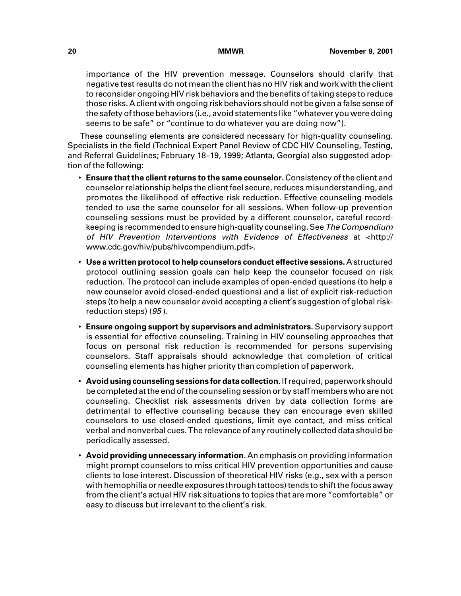importance of the HIV prevention message. Counselors should clarify that negative test results do not mean the client has no HIV risk and work with the client to reconsider ongoing HIV risk behaviors and the benefits of taking steps to reduce those risks. A client with ongoing risk behaviors should not be given a false sense of the safety of those behaviors (i.e., avoid statements like "whatever you were doing seems to be safe" or "continue to do whatever you are doing now").

These counseling elements are considered necessary for high-quality counseling. Specialists in the field (Technical Expert Panel Review of CDC HIV Counseling, Testing, and Referral Guidelines; February 18–19, 1999; Atlanta, Georgia) also suggested adoption of the following:

- **Ensure that the client returns to the same counselor.** Consistency of the client and counselor relationship helps the client feel secure, reduces misunderstanding, and promotes the likelihood of effective risk reduction. Effective counseling models tended to use the same counselor for all sessions. When follow-up prevention counseling sessions must be provided by a different counselor, careful recordkeeping is recommended to ensure high-quality counseling. See The Compendium of HIV Prevention Interventions with Evidence of Effectiveness at [<http://](http://www.cdc.gov/hiv/pubs/hivcompendium/hivcompendium.pdf) [www.cdc.gov/hiv/pubs/hivcompendium.pdf>.](http://www.cdc.gov/hiv/pubs/hivcompendium/hivcompendium.pdf)
- **Use a written protocol to help counselors conduct effective sessions.** A structured protocol outlining session goals can help keep the counselor focused on risk reduction. The protocol can include examples of open-ended questions (to help a new counselor avoid closed-ended questions) and a list of explicit risk-reduction steps (to help a new counselor avoid accepting a client's suggestion of global riskreduction steps) (95).
- **Ensure ongoing support by supervisors and administrators.** Supervisory support is essential for effective counseling. Training in HIV counseling approaches that focus on personal risk reduction is recommended for persons supervising counselors. Staff appraisals should acknowledge that completion of critical counseling elements has higher priority than completion of paperwork.
- **Avoid using counseling sessions for data collection.** If required, paperwork should be completed at the end of the counseling session or by staff members who are not counseling. Checklist risk assessments driven by data collection forms are detrimental to effective counseling because they can encourage even skilled counselors to use closed-ended questions, limit eye contact, and miss critical verbal and nonverbal cues. The relevance of any routinely collected data should be periodically assessed.
- **Avoid providing unnecessary information.** An emphasis on providing information might prompt counselors to miss critical HIV prevention opportunities and cause clients to lose interest. Discussion of theoretical HIV risks (e.g., sex with a person with hemophilia or needle exposures through tattoos) tends to shift the focus away from the client's actual HIV risk situations to topics that are more "comfortable" or easy to discuss but irrelevant to the client's risk.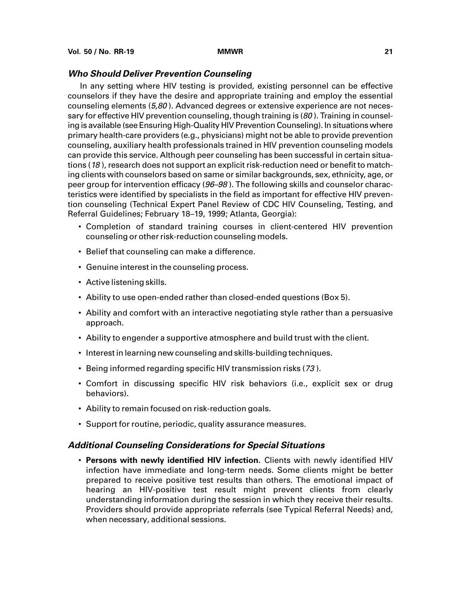### **Who Should Deliver Prevention Counseling**

In any setting where HIV testing is provided, existing personnel can be effective counselors if they have the desire and appropriate training and employ the essential counseling elements (5,80 ). Advanced degrees or extensive experience are not necessary for effective HIV prevention counseling, though training is (80). Training in counseling is available (see Ensuring High-Quality HIV Prevention Counseling). In situations where primary health-care providers (e.g., physicians) might not be able to provide prevention counseling, auxiliary health professionals trained in HIV prevention counseling models can provide this service. Although peer counseling has been successful in certain situations (18 ), research does not support an explicit risk-reduction need or benefit to matching clients with counselors based on same or similar backgrounds, sex, ethnicity, age, or peer group for intervention efficacy (96–98 ). The following skills and counselor characteristics were identified by specialists in the field as important for effective HIV prevention counseling (Technical Expert Panel Review of CDC HIV Counseling, Testing, and Referral Guidelines; February 18–19, 1999; Atlanta, Georgia):

- Completion of standard training courses in client-centered HIV prevention counseling or other risk-reduction counseling models.
- Belief that counseling can make a difference.
- Genuine interest in the counseling process.
- Active listening skills.
- Ability to use open-ended rather than closed-ended questions (Box 5).
- Ability and comfort with an interactive negotiating style rather than a persuasive approach.
- Ability to engender a supportive atmosphere and build trust with the client.
- Interest in learning new counseling and skills-building techniques.
- Being informed regarding specific HIV transmission risks (73 ).
- Comfort in discussing specific HIV risk behaviors (i.e., explicit sex or drug behaviors).
- Ability to remain focused on risk-reduction goals.
- Support for routine, periodic, quality assurance measures.

### **Additional Counseling Considerations for Special Situations**

• **Persons with newly identified HIV infection.** Clients with newly identified HIV infection have immediate and long-term needs. Some clients might be better prepared to receive positive test results than others. The emotional impact of hearing an HIV-positive test result might prevent clients from clearly understanding information during the session in which they receive their results. Providers should provide appropriate referrals (see Typical Referral Needs) and, when necessary, additional sessions.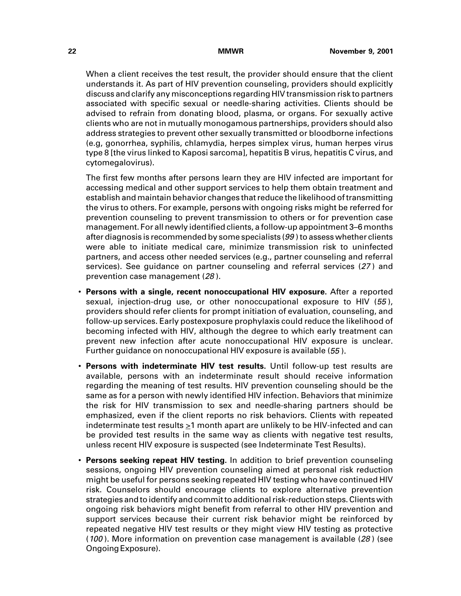When a client receives the test result, the provider should ensure that the client understands it. As part of HIV prevention counseling, providers should explicitly discuss and clarify any misconceptions regarding HIV transmission risk to partners associated with specific sexual or needle-sharing activities. Clients should be advised to refrain from donating blood, plasma, or organs. For sexually active clients who are not in mutually monogamous partnerships, providers should also address strategies to prevent other sexually transmitted or bloodborne infections (e.g, gonorrhea, syphilis, chlamydia, herpes simplex virus, human herpes virus type 8 [the virus linked to Kaposi sarcoma], hepatitis B virus, hepatitis C virus, and cytomegalovirus).

The first few months after persons learn they are HIV infected are important for accessing medical and other support services to help them obtain treatment and establish and maintain behavior changes that reduce the likelihood of transmitting the virus to others. For example, persons with ongoing risks might be referred for prevention counseling to prevent transmission to others or for prevention case management. For all newly identified clients, a follow-up appointment 3–6 months after diagnosis is recommended by some specialists (99 ) to assess whether clients were able to initiate medical care, minimize transmission risk to uninfected partners, and access other needed services (e.g., partner counseling and referral services). See guidance on partner counseling and referral services (27 ) and prevention case management (28 ).

- **Persons with a single, recent nonoccupational HIV exposure.** After a reported sexual, injection-drug use, or other nonoccupational exposure to HIV (55), providers should refer clients for prompt initiation of evaluation, counseling, and follow-up services. Early postexposure prophylaxis could reduce the likelihood of becoming infected with HIV, although the degree to which early treatment can prevent new infection after acute nonoccupational HIV exposure is unclear. Further guidance on nonoccupational HIV exposure is available (55 ).
- **Persons with indeterminate HIV test results.** Until follow-up test results are available, persons with an indeterminate result should receive information regarding the meaning of test results. HIV prevention counseling should be the same as for a person with newly identified HIV infection. Behaviors that minimize the risk for HIV transmission to sex and needle-sharing partners should be emphasized, even if the client reports no risk behaviors. Clients with repeated indeterminate test results >1 month apart are unlikely to be HIV-infected and can be provided test results in the same way as clients with negative test results, unless recent HIV exposure is suspected (see Indeterminate Test Results).
- **Persons seeking repeat HIV testing.** In addition to brief prevention counseling sessions, ongoing HIV prevention counseling aimed at personal risk reduction might be useful for persons seeking repeated HIV testing who have continued HIV risk. Counselors should encourage clients to explore alternative prevention strategies and to identify and commit to additional risk-reduction steps. Clients with ongoing risk behaviors might benefit from referral to other HIV prevention and support services because their current risk behavior might be reinforced by repeated negative HIV test results or they might view HIV testing as protective (100 ). More information on prevention case management is available (28 ) (see Ongoing Exposure).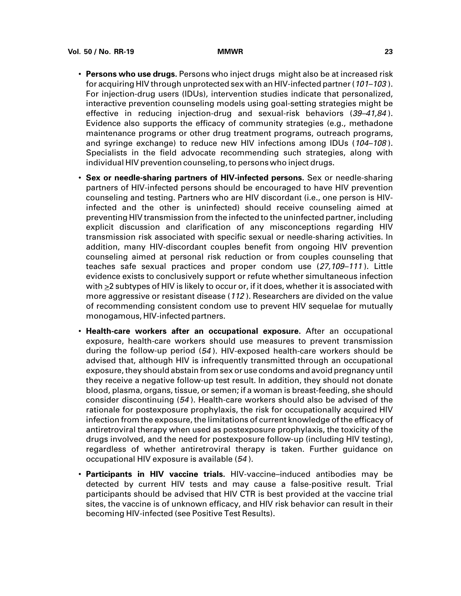- **Persons who use drugs.** Persons who inject drugs might also be at increased risk for acquiring HIV through unprotected sex with an HIV-infected partner (101–103 ). For injection-drug users (IDUs), intervention studies indicate that personalized, interactive prevention counseling models using goal-setting strategies might be effective in reducing injection-drug and sexual-risk behaviors (39–41,84). Evidence also supports the efficacy of community strategies (e.g., methadone maintenance programs or other drug treatment programs, outreach programs, and syringe exchange) to reduce new HIV infections among IDUs (104-108). Specialists in the field advocate recommending such strategies, along with individual HIV prevention counseling, to persons who inject drugs.
- **Sex or needle-sharing partners of HIV-infected persons.** Sex or needle-sharing partners of HIV-infected persons should be encouraged to have HIV prevention counseling and testing. Partners who are HIV discordant (i.e., one person is HIVinfected and the other is uninfected) should receive counseling aimed at preventing HIV transmission from the infected to the uninfected partner, including explicit discussion and clarification of any misconceptions regarding HIV transmission risk associated with specific sexual or needle-sharing activities. In addition, many HIV-discordant couples benefit from ongoing HIV prevention counseling aimed at personal risk reduction or from couples counseling that teaches safe sexual practices and proper condom use (27,109-111). Little evidence exists to conclusively support or refute whether simultaneous infection with >2 subtypes of HIV is likely to occur or, if it does, whether it is associated with more aggressive or resistant disease (112 ). Researchers are divided on the value of recommending consistent condom use to prevent HIV sequelae for mutually monogamous, HIV-infected partners.
- **Health-care workers after an occupational exposure.** After an occupational exposure, health-care workers should use measures to prevent transmission during the follow-up period (54 ). HIV-exposed health-care workers should be advised that, although HIV is infrequently transmitted through an occupational exposure, they should abstain from sex or use condoms and avoid pregnancy until they receive a negative follow-up test result. In addition, they should not donate blood, plasma, organs, tissue, or semen; if a woman is breast-feeding, she should consider discontinuing (54 ). Health-care workers should also be advised of the rationale for postexposure prophylaxis, the risk for occupationally acquired HIV infection from the exposure, the limitations of current knowledge of the efficacy of antiretroviral therapy when used as postexposure prophylaxis, the toxicity of the drugs involved, and the need for postexposure follow-up (including HIV testing), regardless of whether antiretroviral therapy is taken. Further guidance on occupational HIV exposure is available (54 ).
- **Participants in HIV vaccine trials.** HIV-vaccine–induced antibodies may be detected by current HIV tests and may cause a false-positive result. Trial participants should be advised that HIV CTR is best provided at the vaccine trial sites, the vaccine is of unknown efficacy, and HIV risk behavior can result in their becoming HIV-infected (see Positive Test Results).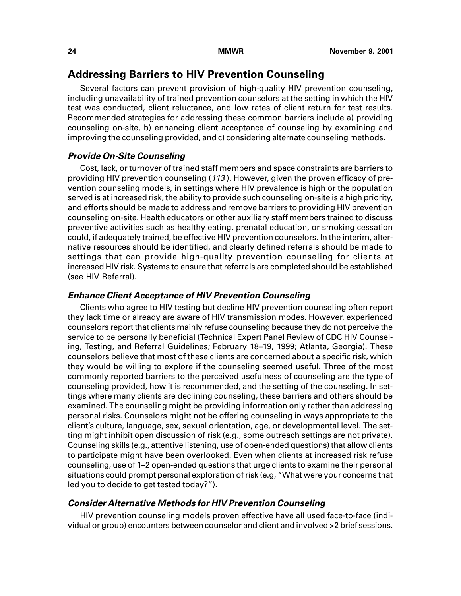## **Addressing Barriers to HIV Prevention Counseling**

Several factors can prevent provision of high-quality HIV prevention counseling, including unavailability of trained prevention counselors at the setting in which the HIV test was conducted, client reluctance, and low rates of client return for test results. Recommended strategies for addressing these common barriers include a) providing counseling on-site, b) enhancing client acceptance of counseling by examining and improving the counseling provided, and c) considering alternate counseling methods.

### **Provide On-Site Counseling**

Cost, lack, or turnover of trained staff members and space constraints are barriers to providing HIV prevention counseling (113 ). However, given the proven efficacy of prevention counseling models, in settings where HIV prevalence is high or the population served is at increased risk, the ability to provide such counseling on-site is a high priority, and efforts should be made to address and remove barriers to providing HIV prevention counseling on-site. Health educators or other auxiliary staff members trained to discuss preventive activities such as healthy eating, prenatal education, or smoking cessation could, if adequately trained, be effective HIV prevention counselors. In the interim, alternative resources should be identified, and clearly defined referrals should be made to settings that can provide high-quality prevention counseling for clients at increased HIV risk. Systems to ensure that referrals are completed should be established (see HIV Referral).

### **Enhance Client Acceptance of HIV Prevention Counseling**

Clients who agree to HIV testing but decline HIV prevention counseling often report they lack time or already are aware of HIV transmission modes. However, experienced counselors report that clients mainly refuse counseling because they do not perceive the service to be personally beneficial (Technical Expert Panel Review of CDC HIV Counseling, Testing, and Referral Guidelines; February 18–19, 1999; Atlanta, Georgia). These counselors believe that most of these clients are concerned about a specific risk, which they would be willing to explore if the counseling seemed useful. Three of the most commonly reported barriers to the perceived usefulness of counseling are the type of counseling provided, how it is recommended, and the setting of the counseling. In settings where many clients are declining counseling, these barriers and others should be examined. The counseling might be providing information only rather than addressing personal risks. Counselors might not be offering counseling in ways appropriate to the client's culture, language, sex, sexual orientation, age, or developmental level. The setting might inhibit open discussion of risk (e.g., some outreach settings are not private). Counseling skills (e.g., attentive listening, use of open-ended questions) that allow clients to participate might have been overlooked. Even when clients at increased risk refuse counseling, use of 1–2 open-ended questions that urge clients to examine their personal situations could prompt personal exploration of risk (e.g, "What were your concerns that led you to decide to get tested today?").

### **Consider Alternative Methods for HIV Prevention Counseling**

HIV prevention counseling models proven effective have all used face-to-face (individual or group) encounters between counselor and client and involved  $\geq 2$  brief sessions.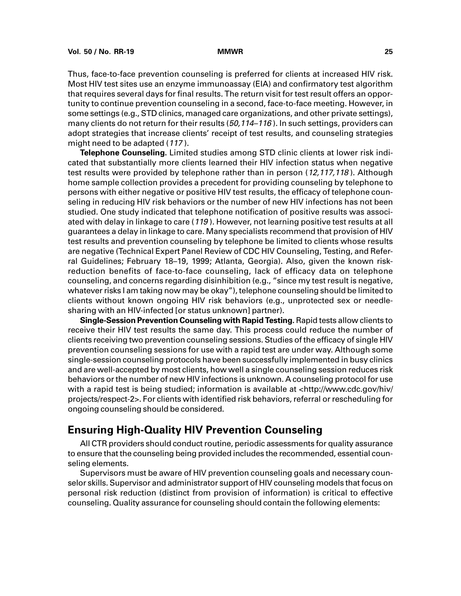Thus, face-to-face prevention counseling is preferred for clients at increased HIV risk. Most HIV test sites use an enzyme immunoassay (EIA) and confirmatory test algorithm that requires several days for final results. The return visit for test result offers an opportunity to continue prevention counseling in a second, face-to-face meeting. However, in some settings (e.g., STD clinics, managed care organizations, and other private settings), many clients do not return for their results (50,114-116). In such settings, providers can adopt strategies that increase clients' receipt of test results, and counseling strategies might need to be adapted (<sup>117</sup> ).

**Telephone Counseling.** Limited studies among STD clinic clients at lower risk indicated that substantially more clients learned their HIV infection status when negative test results were provided by telephone rather than in person (12,117,118). Although home sample collection provides a precedent for providing counseling by telephone to persons with either negative or positive HIV test results, the efficacy of telephone counseling in reducing HIV risk behaviors or the number of new HIV infections has not been studied. One study indicated that telephone notification of positive results was associated with delay in linkage to care (119 ). However, not learning positive test results at all guarantees a delay in linkage to care. Many specialists recommend that provision of HIV test results and prevention counseling by telephone be limited to clients whose results are negative (Technical Expert Panel Review of CDC HIV Counseling, Testing, and Referral Guidelines; February 18–19, 1999; Atlanta, Georgia). Also, given the known riskreduction benefits of face-to-face counseling, lack of efficacy data on telephone counseling, and concerns regarding disinhibition (e.g., "since my test result is negative, whatever risks I am taking now may be okay"), telephone counseling should be limited to clients without known ongoing HIV risk behaviors (e.g., unprotected sex or needlesharing with an HIV-infected [or status unknown] partner).

**Single-Session Prevention Counseling with Rapid Testing.** Rapid tests allow clients to receive their HIV test results the same day. This process could reduce the number of clients receiving two prevention counseling sessions. Studies of the efficacy of single HIV prevention counseling sessions for use with a rapid test are under way. Although some single-session counseling protocols have been successfully implemented in busy clinics and are well-accepted by most clients, how well a single counseling session reduces risk behaviors or the number of new HIV infections is unknown. A counseling protocol for use with a rapid test is being studied; information is available at [<http://www.cdc.gov/hiv/](http://www.cdc.gov/hiv/projects/respect-2) [projects/respect-2>.](http://www.cdc.gov/hiv/projects/respect-2) For clients with identified risk behaviors, referral or rescheduling for ongoing counseling should be considered.

## **Ensuring High-Quality HIV Prevention Counseling**

All CTR providers should conduct routine, periodic assessments for quality assurance to ensure that the counseling being provided includes the recommended, essential counseling elements.

Supervisors must be aware of HIV prevention counseling goals and necessary counselor skills. Supervisor and administrator support of HIV counseling models that focus on personal risk reduction (distinct from provision of information) is critical to effective counseling. Quality assurance for counseling should contain the following elements: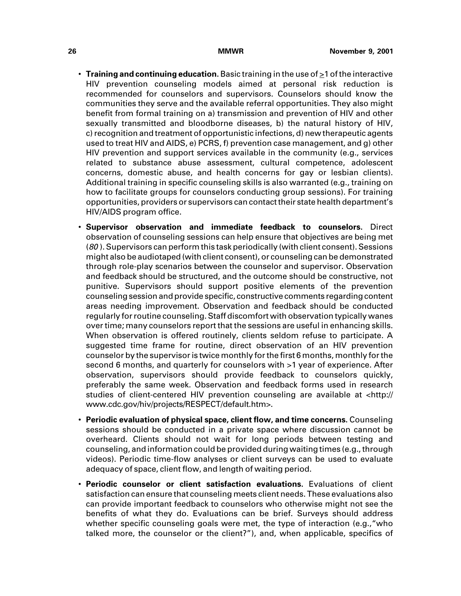- $\cdot$  Training and continuing education. Basic training in the use of  $\geq 1$  of the interactive HIV prevention counseling models aimed at personal risk reduction is recommended for counselors and supervisors. Counselors should know the communities they serve and the available referral opportunities. They also might benefit from formal training on a) transmission and prevention of HIV and other sexually transmitted and bloodborne diseases, b) the natural history of HIV, c) recognition and treatment of opportunistic infections, d) new therapeutic agents used to treat HIV and AIDS, e) PCRS, f) prevention case management, and g) other HIV prevention and support services available in the community (e.g., services related to substance abuse assessment, cultural competence, adolescent concerns, domestic abuse, and health concerns for gay or lesbian clients). Additional training in specific counseling skills is also warranted (e.g., training on how to facilitate groups for counselors conducting group sessions). For training opportunities, providers or supervisors can contact their state health department's HIV/AIDS program office.
- **Supervisor observation and immediate feedback to counselors.** Direct observation of counseling sessions can help ensure that objectives are being met (80 ). Supervisors can perform this task periodically (with client consent). Sessions might also be audiotaped (with client consent), or counseling can be demonstrated through role-play scenarios between the counselor and supervisor. Observation and feedback should be structured, and the outcome should be constructive, not punitive. Supervisors should support positive elements of the prevention counseling session and provide specific, constructive comments regarding content areas needing improvement. Observation and feedback should be conducted regularly for routine counseling. Staff discomfort with observation typically wanes over time; many counselors report that the sessions are useful in enhancing skills. When observation is offered routinely, clients seldom refuse to participate. A suggested time frame for routine, direct observation of an HIV prevention counselor by the supervisor is twice monthly for the first 6 months, monthly for the second 6 months, and quarterly for counselors with >1 year of experience. After observation, supervisors should provide feedback to counselors quickly, preferably the same week. Observation and feedback forms used in research studies of client-centered HIV prevention counseling are available at [<http://](http://www.cdc.gov/hiv/projects/RESPECT/default.htm) [www.cdc.gov/hiv/projects/RESPECT/default.htm>.](http://www.cdc.gov/hiv/projects/RESPECT/default.htm)
- **Periodic evaluation of physical space, client flow, and time concerns.** Counseling sessions should be conducted in a private space where discussion cannot be overheard. Clients should not wait for long periods between testing and counseling, and information could be provided during waiting times (e.g., through videos). Periodic time-flow analyses or client surveys can be used to evaluate adequacy of space, client flow, and length of waiting period.
- **Periodic counselor or client satisfaction evaluations.** Evaluations of client satisfaction can ensure that counseling meets client needs. These evaluations also can provide important feedback to counselors who otherwise might not see the benefits of what they do. Evaluations can be brief. Surveys should address whether specific counseling goals were met, the type of interaction (e.g., "who talked more, the counselor or the client?"), and, when applicable, specifics of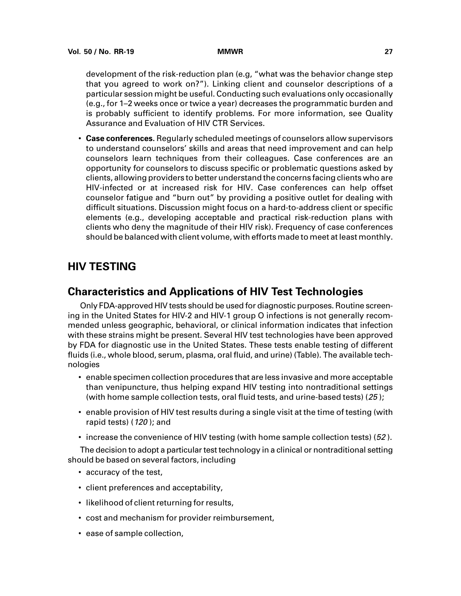development of the risk-reduction plan (e.g, "what was the behavior change step that you agreed to work on?"). Linking client and counselor descriptions of a particular session might be useful. Conducting such evaluations only occasionally (e.g., for 1–2 weeks once or twice a year) decreases the programmatic burden and is probably sufficient to identify problems. For more information, see Quality Assurance and Evaluation of HIV CTR Services.

<span id="page-34-0"></span>• **Case conferences.** Regularly scheduled meetings of counselors allow supervisors to understand counselors' skills and areas that need improvement and can help counselors learn techniques from their colleagues. Case conferences are an opportunity for counselors to discuss specific or problematic questions asked by clients, allowing providers to better understand the concerns facing clients who are HIV-infected or at increased risk for HIV. Case conferences can help offset counselor fatigue and "burn out" by providing a positive outlet for dealing with difficult situations. Discussion might focus on a hard-to-address client or specific elements (e.g., developing acceptable and practical risk-reduction plans with clients who deny the magnitude of their HIV risk). Frequency of case conferences should be balanced with client volume, with efforts made to meet at least monthly.

## **HIV TESTING**

## **Characteristics and Applications of HIV Test Technologies**

Only FDA-approved HIV tests should be used for diagnostic purposes. Routine screening in the United States for HIV-2 and HIV-1 group O infections is not generally recommended unless geographic, behavioral, or clinical information indicates that infection with these strains might be present. Several HIV test technologies have been approved by FDA for diagnostic use in the United States. These tests enable testing of different fluids (i.e., whole blood, serum, plasma, oral fluid, and urine) (Table). The available technologies

- enable specimen collection procedures that are less invasive and more acceptable than venipuncture, thus helping expand HIV testing into nontraditional settings (with home sample collection tests, oral fluid tests, and urine-based tests) (25 );
- enable provision of HIV test results during a single visit at the time of testing (with rapid tests) (120 ); and
- $\cdot$  increase the convenience of HIV testing (with home sample collection tests) (52).

The decision to adopt a particular test technology in a clinical or nontraditional setting should be based on several factors, including

- accuracy of the test,
- client preferences and acceptability,
- likelihood of client returning for results,
- cost and mechanism for provider reimbursement,
- ease of sample collection,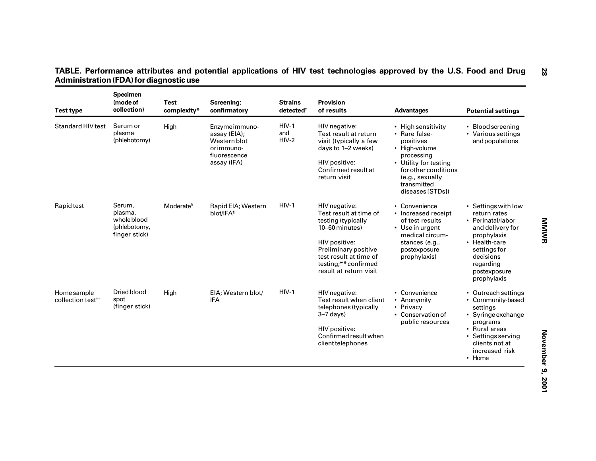| <b>Test type</b>                             | <b>Specimen</b><br>(mode of<br>collection)                        | <b>Test</b><br>complexity* | Screening;<br>confirmatory                                                                  | Strains<br>detected <sup>+</sup> | <b>Provision</b><br>of results                                                                                                                                                                       | <b>Advantages</b>                                                                                                                                                                      | <b>Potential settings</b>                                                                                                                                                             |
|----------------------------------------------|-------------------------------------------------------------------|----------------------------|---------------------------------------------------------------------------------------------|----------------------------------|------------------------------------------------------------------------------------------------------------------------------------------------------------------------------------------------------|----------------------------------------------------------------------------------------------------------------------------------------------------------------------------------------|---------------------------------------------------------------------------------------------------------------------------------------------------------------------------------------|
| <b>Standard HIV test</b>                     | Serum or<br>plasma<br>(phlebotomy)                                | High                       | Enzyme immuno-<br>assay (EIA);<br>Western blot<br>or immuno-<br>fluorescence<br>assay (IFA) | $HIV-1$<br>and<br>$HIV-2$        | HIV negative:<br>Test result at return<br>visit (typically a few<br>days to 1-2 weeks)<br>HIV positive:<br>Confirmed result at<br>return visit                                                       | • High sensitivity<br>• Rare false-<br>positives<br>• High-volume<br>processing<br>• Utility for testing<br>for other conditions<br>(e.g., sexually<br>transmitted<br>diseases [STDs]) | • Blood screening<br>• Various settings<br>and populations                                                                                                                            |
| Rapid test                                   | Serum,<br>plasma,<br>whole blood<br>(phlebotomy,<br>finger stick) | Moderate <sup>§</sup>      | Rapid EIA; Western<br>blot/IFA <sup>1</sup>                                                 | $HIV-1$                          | HIV negative:<br>Test result at time of<br>testing (typically<br>10-60 minutes)<br>HIV positive:<br>Preliminary positive<br>test result at time of<br>testing;** confirmed<br>result at return visit | • Convenience<br>• Increased receipt<br>of test results<br>• Use in urgent<br>medical circum-<br>stances (e.g.,<br>postexposure<br>prophylaxis)                                        | • Settings with low<br>return rates<br>• Perinatal/labor<br>and delivery for<br>prophylaxis<br>• Health-care<br>settings for<br>decisions<br>regarding<br>postexposure<br>prophylaxis |
| Home sample<br>collection test <sup>++</sup> | Dried blood<br>spot<br>(finger stick)                             | High                       | EIA; Western blot/<br><b>IFA</b>                                                            | $HIV-1$                          | HIV negative:<br>Test result when client<br>telephones (typically<br>$3-7$ days)<br>HIV positive:<br>Confirmed result when<br>client telephones                                                      | • Convenience<br>• Anonymity<br>• Privacy<br>• Conservation of<br>public resources                                                                                                     | • Outreach settings<br>• Community-based<br>settings<br>• Syringe exchange<br>programs<br>• Rural areas<br>• Settings serving<br>clients not at<br>increased risk<br>• Home           |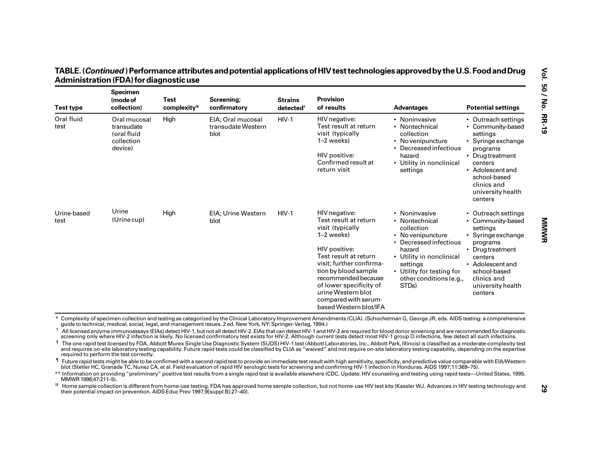| <b>Test type</b>    | <b>Specimen</b><br>(mode of<br>collection)                         | Test<br>complexity* | Screening;<br>confirmatory                                                                                     | <b>Strains</b><br>detected† | <b>Provision</b><br>of results                                                                                                                                                                                                                                                                                                                                                                                                                                                                                                                                                                                                                                                                                                                                                                                                                                                                                                                                                                                                                                                                                                                                                                                                                                                                                                                                                                                                                                                                                                                                                                                    | <b>Advantages</b>                                                                                                                                                                                                           | <b>Potential settings</b>                                                                                                                                                                                |
|---------------------|--------------------------------------------------------------------|---------------------|----------------------------------------------------------------------------------------------------------------|-----------------------------|-------------------------------------------------------------------------------------------------------------------------------------------------------------------------------------------------------------------------------------------------------------------------------------------------------------------------------------------------------------------------------------------------------------------------------------------------------------------------------------------------------------------------------------------------------------------------------------------------------------------------------------------------------------------------------------------------------------------------------------------------------------------------------------------------------------------------------------------------------------------------------------------------------------------------------------------------------------------------------------------------------------------------------------------------------------------------------------------------------------------------------------------------------------------------------------------------------------------------------------------------------------------------------------------------------------------------------------------------------------------------------------------------------------------------------------------------------------------------------------------------------------------------------------------------------------------------------------------------------------------|-----------------------------------------------------------------------------------------------------------------------------------------------------------------------------------------------------------------------------|----------------------------------------------------------------------------------------------------------------------------------------------------------------------------------------------------------|
| Oral fluid<br>test  | Oral mucosal<br>transudate<br>(oral fluid<br>collection<br>device) | High                | EIA; Oral mucosal<br>transudate Western<br>blot                                                                | $HIV-1$                     | HIV negative:<br>Test result at return<br>visit (typically<br>$1-2$ weeks)<br>HIV positive:<br>Confirmed result at<br>return visit                                                                                                                                                                                                                                                                                                                                                                                                                                                                                                                                                                                                                                                                                                                                                                                                                                                                                                                                                                                                                                                                                                                                                                                                                                                                                                                                                                                                                                                                                | • Noninvasive<br>• Nontechnical<br>collection<br>• Novenipuncture<br>• Decreased infectious<br>hazard<br>• Utility in nonclinical<br>settings                                                                               | • Outreach settings<br>• Community-based<br>settings<br>• Syringe exchange<br>programs<br>• Drug treatment<br>centers<br>• Adolescent and<br>school-based<br>clinics and<br>university health<br>centers |
| Urine-based<br>test | Urine<br>(Urine cup)                                               | High                | <b>EIA: Urine Western</b><br>blot                                                                              | $HIV-1$                     | HIV negative:<br>Test result at return<br>visit (typically<br>$1-2$ weeks)<br>HIV positive:<br>Test result at return<br>visit; further confirma-<br>tion by blood sample<br>recommended because<br>of lower specificity of<br>urine Western blot<br>compared with serum-<br>based Western blot/IFA                                                                                                                                                                                                                                                                                                                                                                                                                                                                                                                                                                                                                                                                                                                                                                                                                                                                                                                                                                                                                                                                                                                                                                                                                                                                                                                | • Noninvasive<br>• Nontechnical<br>collection<br>• Novenipuncture<br>• Decreased infectious<br>hazard<br>• Utility in nonclinical<br>settings<br>• Utility for testing for<br>other conditions (e.g.,<br>STD <sub>s</sub> ) | • Outreach settings<br>• Community-based<br>settings<br>• Syringe exchange<br>programs<br>• Drugtreatment<br>centers<br>• Adolescent and<br>school-based<br>clinics and<br>university health<br>centers  |
|                     | required to perform the test correctly.                            |                     | quide to technical, medical, social, legal, and management issues. 2 ed. New York, NY: Springer-Verlag, 1994.) |                             | Complexity of specimen collection and testing as categorized by the Clinical Laboratory Improvement Amendments (CLIA). (Schochetman G, George JR, eds. AIDS testing: a comprehensive<br><sup>†</sup> All licensed enzyme immunoassays (EIAs) detect HIV-1, but not all detect HIV-2. EIAs that can detect HIV-1 and HIV-2 are required for blood donor screening and are recommended for diagnostic<br>screening only where HIV-2 infection is likely. No licensed confirmatory test exists for HIV-2. Although current tests detect most HIV-1 group O infections, few detect all such infections.<br><sup>§</sup> The one rapid test licensed by FDA, Abbott Murex Single Use Diagnostic System (SUDS) HIV-1 test (Abbott Laboratories, Inc., Abbott Park, Illinois) is classified as a moderate-complexity test<br>and requires on-site laboratory testing capability. Future rapid tests could be classified by CLIA as "waived" and not require on-site laboratory testing capability, depending on the expertise<br>I Future rapid tests might be able to be confirmed with a second rapid test to provide an immediate test result with high sensitivity, specificity, and predictive value comparable with EIA/Western<br>blot (Stetler HC, Granade TC, Nunez CA, et al. Field evaluation of rapid HIV serologic tests for screening and confirming HIV-1 infection in Honduras. AIDS 1997;11:369-75).<br>** Information on providing "preliminary" positive test results from a single rapid test is available elsewhere (CDC. Update: HIV counseling and testing using rapid tests—United States, 1995. |                                                                                                                                                                                                                             |                                                                                                                                                                                                          |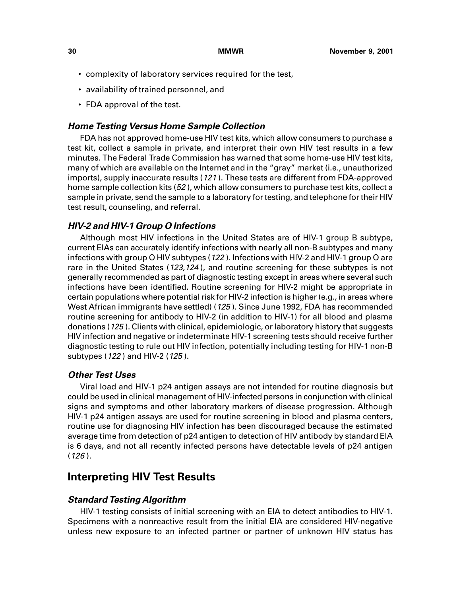- complexity of laboratory services required for the test,
- availability of trained personnel, and
- FDA approval of the test.

### **Home Testing Versus Home Sample Collection**

FDA has not approved home-use HIV test kits, which allow consumers to purchase a test kit, collect a sample in private, and interpret their own HIV test results in a few minutes. The Federal Trade Commission has warned that some home-use HIV test kits, many of which are available on the Internet and in the "gray" market (i.e., unauthorized imports), supply inaccurate results (121 ). These tests are different from FDA-approved home sample collection kits (52 ), which allow consumers to purchase test kits, collect a sample in private, send the sample to a laboratory for testing, and telephone for their HIV test result, counseling, and referral.

### **HIV-2 and HIV-1 Group O Infections**

Although most HIV infections in the United States are of HIV-1 group B subtype, current EIAs can accurately identify infections with nearly all non-B subtypes and many infections with group O HIV subtypes (122 ). Infections with HIV-2 and HIV-1 group O are rare in the United States (123,124), and routine screening for these subtypes is not generally recommended as part of diagnostic testing except in areas where several such infections have been identified. Routine screening for HIV-2 might be appropriate in certain populations where potential risk for HIV-2 infection is higher (e.g., in areas where West African immigrants have settled) (125 ). Since June 1992, FDA has recommended routine screening for antibody to HIV-2 (in addition to HIV-1) for all blood and plasma donations (125 ). Clients with clinical, epidemiologic, or laboratory history that suggests HIV infection and negative or indeterminate HIV-1 screening tests should receive further diagnostic testing to rule out HIV infection, potentially including testing for HIV-1 non-B subtypes (122) and HIV-2 (125).

#### **Other Test Uses**

Viral load and HIV-1 p24 antigen assays are not intended for routine diagnosis but could be used in clinical management of HIV-infected persons in conjunction with clinical signs and symptoms and other laboratory markers of disease progression. Although HIV-1 p24 antigen assays are used for routine screening in blood and plasma centers, routine use for diagnosing HIV infection has been discouraged because the estimated average time from detection of p24 antigen to detection of HIV antibody by standard EIA is 6 days, and not all recently infected persons have detectable levels of p24 antigen  $(126)$ .

## **Interpreting HIV Test Results**

### **Standard Testing Algorithm**

HIV-1 testing consists of initial screening with an EIA to detect antibodies to HIV-1. Specimens with a nonreactive result from the initial EIA are considered HIV-negative unless new exposure to an infected partner or partner of unknown HIV status has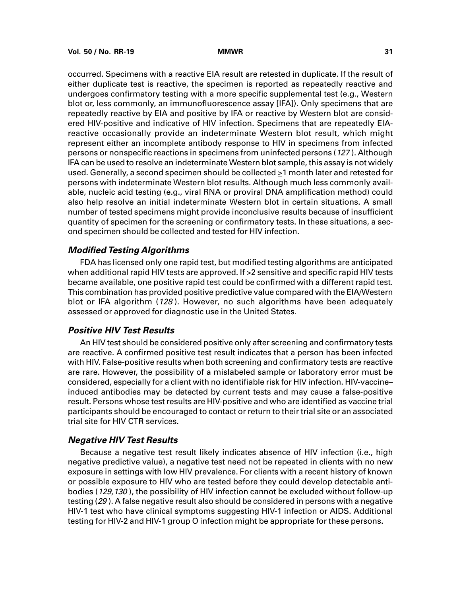occurred. Specimens with a reactive EIA result are retested in duplicate. If the result of either duplicate test is reactive, the specimen is reported as repeatedly reactive and undergoes confirmatory testing with a more specific supplemental test (e.g., Western blot or, less commonly, an immunofluorescence assay [IFA]). Only specimens that are repeatedly reactive by EIA and positive by IFA or reactive by Western blot are considered HIV-positive and indicative of HIV infection. Specimens that are repeatedly EIAreactive occasionally provide an indeterminate Western blot result, which might represent either an incomplete antibody response to HIV in specimens from infected persons or nonspecific reactions in specimens from uninfected persons (127 ). Although IFA can be used to resolve an indeterminate Western blot sample, this assay is not widely used. Generally, a second specimen should be collected  $\geq 1$  month later and retested for persons with indeterminate Western blot results. Although much less commonly available, nucleic acid testing (e.g., viral RNA or proviral DNA amplification method) could also help resolve an initial indeterminate Western blot in certain situations. A small number of tested specimens might provide inconclusive results because of insufficient quantity of specimen for the screening or confirmatory tests. In these situations, a second specimen should be collected and tested for HIV infection.

### **Modified Testing Algorithms**

FDA has licensed only one rapid test, but modified testing algorithms are anticipated when additional rapid HIV tests are approved. If  $\geq$  2 sensitive and specific rapid HIV tests became available, one positive rapid test could be confirmed with a different rapid test. This combination has provided positive predictive value compared with the EIA/Western blot or IFA algorithm (128). However, no such algorithms have been adequately assessed or approved for diagnostic use in the United States.

## **Positive HIV Test Results**

An HIV test should be considered positive only after screening and confirmatory tests are reactive. A confirmed positive test result indicates that a person has been infected with HIV. False-positive results when both screening and confirmatory tests are reactive are rare. However, the possibility of a mislabeled sample or laboratory error must be considered, especially for a client with no identifiable risk for HIV infection. HIV-vaccine– induced antibodies may be detected by current tests and may cause a false-positive result. Persons whose test results are HIV-positive and who are identified as vaccine trial participants should be encouraged to contact or return to their trial site or an associated trial site for HIV CTR services.

## **Negative HIV Test Results**

Because a negative test result likely indicates absence of HIV infection (i.e., high negative predictive value), a negative test need not be repeated in clients with no new exposure in settings with low HIV prevalence. For clients with a recent history of known or possible exposure to HIV who are tested before they could develop detectable antibodies (129,130 ), the possibility of HIV infection cannot be excluded without follow-up testing (29 ). A false negative result also should be considered in persons with a negative HIV-1 test who have clinical symptoms suggesting HIV-1 infection or AIDS. Additional testing for HIV-2 and HIV-1 group O infection might be appropriate for these persons.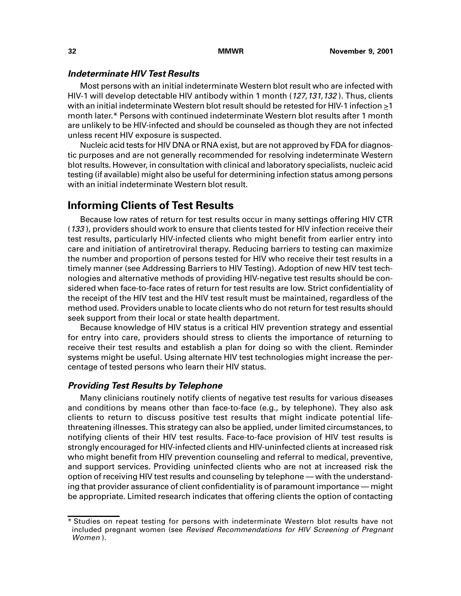### **Indeterminate HIV Test Results**

Most persons with an initial indeterminate Western blot result who are infected with HIV-1 will develop detectable HIV antibody within 1 month (127,131,132). Thus, clients with an initial indeterminate Western blot result should be retested for HIV-1 infection >1 month later.\* Persons with continued indeterminate Western blot results after 1 month are unlikely to be HIV-infected and should be counseled as though they are not infected unless recent HIV exposure is suspected.

Nucleic acid tests for HIV DNA or RNA exist, but are not approved by FDA for diagnostic purposes and are not generally recommended for resolving indeterminate Western blot results. However, in consultation with clinical and laboratory specialists, nucleic acid testing (if available) might also be useful for determining infection status among persons with an initial indeterminate Western blot result.

## **Informing Clients of Test Results**

Because low rates of return for test results occur in many settings offering HIV CTR (133 ), providers should work to ensure that clients tested for HIV infection receive their test results, particularly HIV-infected clients who might benefit from earlier entry into care and initiation of antiretroviral therapy. Reducing barriers to testing can maximize the number and proportion of persons tested for HIV who receive their test results in a timely manner (see Addressing Barriers to HIV Testing). Adoption of new HIV test technologies and alternative methods of providing HIV-negative test results should be considered when face-to-face rates of return for test results are low. Strict confidentiality of the receipt of the HIV test and the HIV test result must be maintained, regardless of the method used. Providers unable to locate clients who do not return for test results should seek support from their local or state health department.

Because knowledge of HIV status is a critical HIV prevention strategy and essential for entry into care, providers should stress to clients the importance of returning to receive their test results and establish a plan for doing so with the client. Reminder systems might be useful. Using alternate HIV test technologies might increase the percentage of tested persons who learn their HIV status.

### **Providing Test Results by Telephone**

Many clinicians routinely notify clients of negative test results for various diseases and conditions by means other than face-to-face (e.g., by telephone). They also ask clients to return to discuss positive test results that might indicate potential lifethreatening illnesses. This strategy can also be applied, under limited circumstances, to notifying clients of their HIV test results. Face-to-face provision of HIV test results is strongly encouraged for HIV-infected clients and HIV-uninfected clients at increased risk who might benefit from HIV prevention counseling and referral to medical, preventive, and support services. Providing uninfected clients who are not at increased risk the option of receiving HIV test results and counseling by telephone — with the understanding that provider assurance of client confidentiality is of paramount importance — might be appropriate. Limited research indicates that offering clients the option of contacting

<sup>\*</sup> Studies on repeat testing for persons with indeterminate Western blot results have not included pregnant women (see Revised Recommendations for HIV Screening of Pregnant Women ).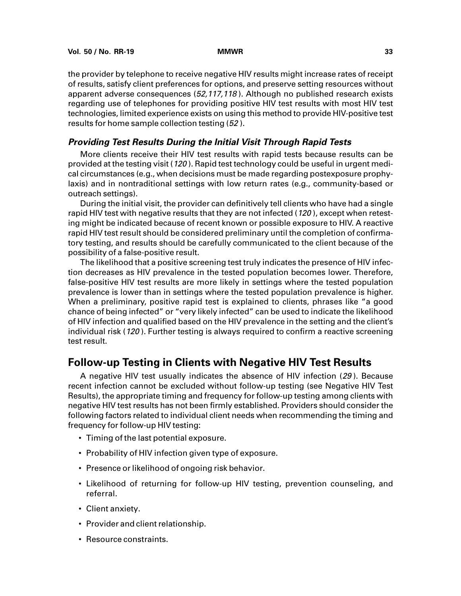the provider by telephone to receive negative HIV results might increase rates of receipt of results, satisfy client preferences for options, and preserve setting resources without apparent adverse consequences (52,117,118 ). Although no published research exists regarding use of telephones for providing positive HIV test results with most HIV test technologies, limited experience exists on using this method to provide HIV-positive test results for home sample collection testing (52 ).

## **Providing Test Results During the Initial Visit Through Rapid Tests**

More clients receive their HIV test results with rapid tests because results can be provided at the testing visit (120 ). Rapid test technology could be useful in urgent medical circumstances (e.g., when decisions must be made regarding postexposure prophylaxis) and in nontraditional settings with low return rates (e.g., community-based or outreach settings).

During the initial visit, the provider can definitively tell clients who have had a single rapid HIV test with negative results that they are not infected (120), except when retesting might be indicated because of recent known or possible exposure to HIV. A reactive rapid HIV test result should be considered preliminary until the completion of confirmatory testing, and results should be carefully communicated to the client because of the possibility of a false-positive result.

The likelihood that a positive screening test truly indicates the presence of HIV infection decreases as HIV prevalence in the tested population becomes lower. Therefore, false-positive HIV test results are more likely in settings where the tested population prevalence is lower than in settings where the tested population prevalence is higher. When a preliminary, positive rapid test is explained to clients, phrases like "a good chance of being infected" or "very likely infected" can be used to indicate the likelihood of HIV infection and qualified based on the HIV prevalence in the setting and the client's individual risk (120 ). Further testing is always required to confirm a reactive screening test result.

# **Follow-up Testing in Clients with Negative HIV Test Results**

A negative HIV test usually indicates the absence of HIV infection (29 ). Because recent infection cannot be excluded without follow-up testing (see Negative HIV Test Results), the appropriate timing and frequency for follow-up testing among clients with negative HIV test results has not been firmly established. Providers should consider the following factors related to individual client needs when recommending the timing and frequency for follow-up HIV testing:

- Timing of the last potential exposure.
- Probability of HIV infection given type of exposure.
- Presence or likelihood of ongoing risk behavior.
- Likelihood of returning for follow-up HIV testing, prevention counseling, and referral.
- Client anxiety.
- Provider and client relationship.
- Resource constraints.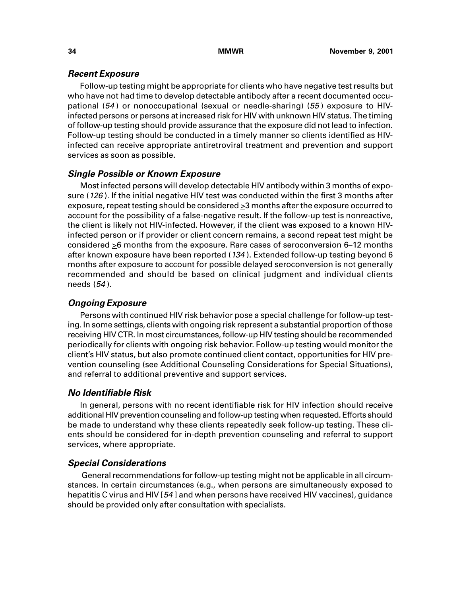## **Recent Exposure**

Follow-up testing might be appropriate for clients who have negative test results but who have not had time to develop detectable antibody after a recent documented occupational (54 ) or nonoccupational (sexual or needle-sharing) (55 ) exposure to HIVinfected persons or persons at increased risk for HIV with unknown HIV status. The timing of follow-up testing should provide assurance that the exposure did not lead to infection. Follow-up testing should be conducted in a timely manner so clients identified as HIVinfected can receive appropriate antiretroviral treatment and prevention and support services as soon as possible.

## **Single Possible or Known Exposure**

Most infected persons will develop detectable HIV antibody within 3 months of exposure (126). If the initial negative HIV test was conducted within the first 3 months after exposure, repeat testing should be considered  $\geq$ 3 months after the exposure occurred to account for the possibility of a false-negative result. If the follow-up test is nonreactive, the client is likely not HIV-infected. However, if the client was exposed to a known HIVinfected person or if provider or client concern remains, a second repeat test might be considered >6 months from the exposure. Rare cases of seroconversion 6–12 months after known exposure have been reported (134 ). Extended follow-up testing beyond 6 months after exposure to account for possible delayed seroconversion is not generally recommended and should be based on clinical judgment and individual clients needs (54 ).

## **Ongoing Exposure**

Persons with continued HIV risk behavior pose a special challenge for follow-up testing. In some settings, clients with ongoing risk represent a substantial proportion of those receiving HIV CTR. In most circumstances, follow-up HIV testing should be recommended periodically for clients with ongoing risk behavior. Follow-up testing would monitor the client's HIV status, but also promote continued client contact, opportunities for HIV prevention counseling (see Additional Counseling Considerations for Special Situations), and referral to additional preventive and support services.

## **No Identifiable Risk**

In general, persons with no recent identifiable risk for HIV infection should receive additional HIV prevention counseling and follow-up testing when requested. Efforts should be made to understand why these clients repeatedly seek follow-up testing. These clients should be considered for in-depth prevention counseling and referral to support services, where appropriate.

## **Special Considerations**

 General recommendations for follow-up testing might not be applicable in all circumstances. In certain circumstances (e.g., when persons are simultaneously exposed to hepatitis C virus and HIV [54 ] and when persons have received HIV vaccines), guidance should be provided only after consultation with specialists.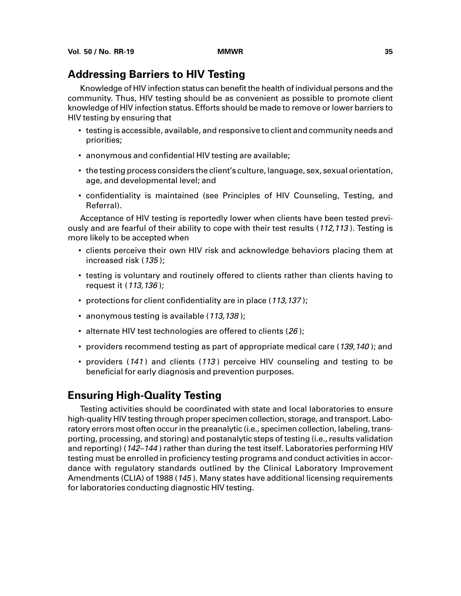## **Addressing Barriers to HIV Testing**

Knowledge of HIV infection status can benefit the health of individual persons and the community. Thus, HIV testing should be as convenient as possible to promote client knowledge of HIV infection status. Efforts should be made to remove or lower barriers to HIV testing by ensuring that

- testing is accessible, available, and responsive to client and community needs and priorities;
- anonymous and confidential HIV testing are available;
- the testing process considers the client's culture, language, sex, sexual orientation, age, and developmental level; and
- confidentiality is maintained (see Principles of HIV Counseling, Testing, and Referral).

Acceptance of HIV testing is reportedly lower when clients have been tested previously and are fearful of their ability to cope with their test results (112,113). Testing is more likely to be accepted when

- clients perceive their own HIV risk and acknowledge behaviors placing them at increased risk (135 );
- testing is voluntary and routinely offered to clients rather than clients having to request it (113,136 );
- protections for client confidentiality are in place (113,137);
- anonymous testing is available (113,138);
- alternate HIV test technologies are offered to clients (26);
- providers recommend testing as part of appropriate medical care (139,140); and
- providers (141) and clients (113) perceive HIV counseling and testing to be beneficial for early diagnosis and prevention purposes.

# **Ensuring High-Quality Testing**

Testing activities should be coordinated with state and local laboratories to ensure high-quality HIV testing through proper specimen collection, storage, and transport. Laboratory errors most often occur in the preanalytic (i.e., specimen collection, labeling, transporting, processing, and storing) and postanalytic steps of testing (i.e., results validation and reporting) (142–144 ) rather than during the test itself. Laboratories performing HIV testing must be enrolled in proficiency testing programs and conduct activities in accordance with regulatory standards outlined by the Clinical Laboratory Improvement Amendments (CLIA) of 1988 (145 ). Many states have additional licensing requirements for laboratories conducting diagnostic HIV testing.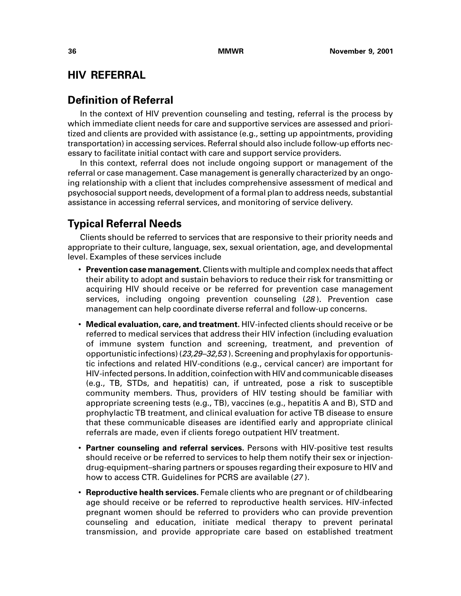# **HIV REFERRAL**

# **Definition of Referral**

In the context of HIV prevention counseling and testing, referral is the process by which immediate client needs for care and supportive services are assessed and prioritized and clients are provided with assistance (e.g., setting up appointments, providing transportation) in accessing services. Referral should also include follow-up efforts necessary to facilitate initial contact with care and support service providers.

In this context, referral does not include ongoing support or management of the referral or case management. Case management is generally characterized by an ongoing relationship with a client that includes comprehensive assessment of medical and psychosocial support needs, development of a formal plan to address needs, substantial assistance in accessing referral services, and monitoring of service delivery.

# **Typical Referral Needs**

Clients should be referred to services that are responsive to their priority needs and appropriate to their culture, language, sex, sexual orientation, age, and developmental level. Examples of these services include

- **Prevention case management.** Clients with multiple and complex needs that affect their ability to adopt and sustain behaviors to reduce their risk for transmitting or acquiring HIV should receive or be referred for prevention case management services, including ongoing prevention counseling (28). Prevention case management can help coordinate diverse referral and follow-up concerns.
- **Medical evaluation, care, and treatment.** HIV-infected clients should receive or be referred to medical services that address their HIV infection (including evaluation of immune system function and screening, treatment, and prevention of opportunistic infections)  $(23,29-32,53)$ . Screening and prophylaxis for opportunistic infections and related HIV-conditions (e.g., cervical cancer) are important for HIV-infected persons. In addition, coinfection with HIV and communicable diseases (e.g., TB, STDs, and hepatitis) can, if untreated, pose a risk to susceptible community members. Thus, providers of HIV testing should be familiar with appropriate screening tests (e.g., TB), vaccines (e.g., hepatitis A and B), STD and prophylactic TB treatment, and clinical evaluation for active TB disease to ensure that these communicable diseases are identified early and appropriate clinical referrals are made, even if clients forego outpatient HIV treatment.
- **Partner counseling and referral services.** Persons with HIV-positive test results should receive or be referred to services to help them notify their sex or injectiondrug-equipment–sharing partners or spouses regarding their exposure to HIV and how to access CTR. Guidelines for PCRS are available (27 ).
- **Reproductive health services.** Female clients who are pregnant or of childbearing age should receive or be referred to reproductive health services. HIV-infected pregnant women should be referred to providers who can provide prevention counseling and education, initiate medical therapy to prevent perinatal transmission, and provide appropriate care based on established treatment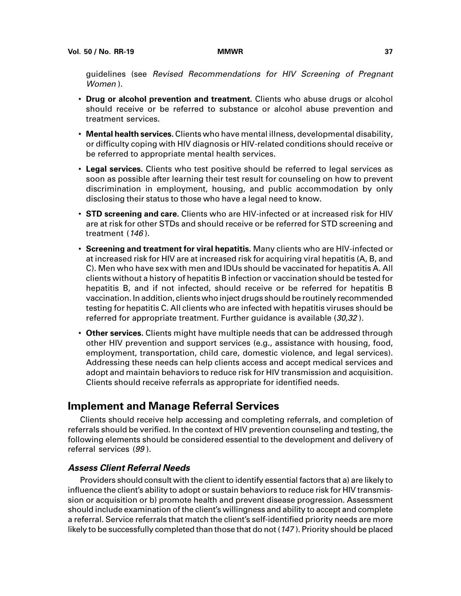guidelines (see Revised Recommendations for HIV Screening of Pregnant Women ).

- **Drug or alcohol prevention and treatment.** Clients who abuse drugs or alcohol should receive or be referred to substance or alcohol abuse prevention and treatment services.
- **Mental health services.** Clients who have mental illness, developmental disability, or difficulty coping with HIV diagnosis or HIV-related conditions should receive or be referred to appropriate mental health services.
- **Legal services.** Clients who test positive should be referred to legal services as soon as possible after learning their test result for counseling on how to prevent discrimination in employment, housing, and public accommodation by only disclosing their status to those who have a legal need to know.
- **STD screening and care.** Clients who are HIV-infected or at increased risk for HIV are at risk for other STDs and should receive or be referred for STD screening and treatment  $(146)$ .
- **Screening and treatment for viral hepatitis.** Many clients who are HIV-infected or at increased risk for HIV are at increased risk for acquiring viral hepatitis (A, B, and C). Men who have sex with men and IDUs should be vaccinated for hepatitis A. All clients without a history of hepatitis B infection or vaccination should be tested for hepatitis B, and if not infected, should receive or be referred for hepatitis B vaccination. In addition, clients who inject drugs should be routinely recommended testing for hepatitis C. All clients who are infected with hepatitis viruses should be referred for appropriate treatment. Further guidance is available (30,32).
- **Other services.** Clients might have multiple needs that can be addressed through other HIV prevention and support services (e.g., assistance with housing, food, employment, transportation, child care, domestic violence, and legal services). Addressing these needs can help clients access and accept medical services and adopt and maintain behaviors to reduce risk for HIV transmission and acquisition. Clients should receive referrals as appropriate for identified needs.

## **Implement and Manage Referral Services**

Clients should receive help accessing and completing referrals, and completion of referrals should be verified. In the context of HIV prevention counseling and testing, the following elements should be considered essential to the development and delivery of referral services (99 ).

## **Assess Client Referral Needs**

Providers should consult with the client to identify essential factors that a) are likely to influence the client's ability to adopt or sustain behaviors to reduce risk for HIV transmission or acquisition or b) promote health and prevent disease progression. Assessment should include examination of the client's willingness and ability to accept and complete a referral. Service referrals that match the client's self-identified priority needs are more likely to be successfully completed than those that do not (<sup>147</sup> ). Priority should be placed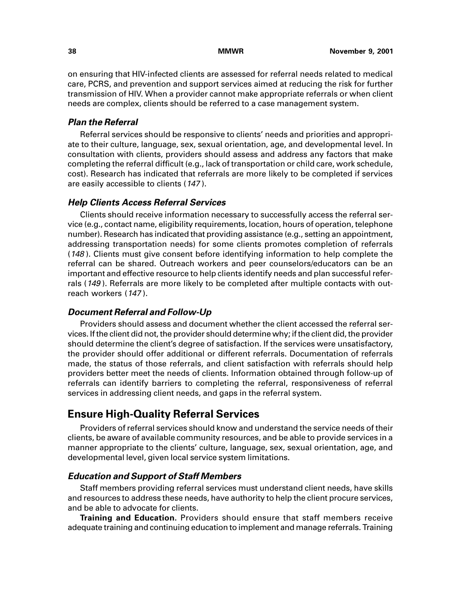on ensuring that HIV-infected clients are assessed for referral needs related to medical care, PCRS, and prevention and support services aimed at reducing the risk for further transmission of HIV. When a provider cannot make appropriate referrals or when client needs are complex, clients should be referred to a case management system.

## **Plan the Referral**

Referral services should be responsive to clients' needs and priorities and appropriate to their culture, language, sex, sexual orientation, age, and developmental level. In consultation with clients, providers should assess and address any factors that make completing the referral difficult (e.g., lack of transportation or child care, work schedule, cost). Research has indicated that referrals are more likely to be completed if services are easily accessible to clients (<sup>147</sup> ).

### **Help Clients Access Referral Services**

Clients should receive information necessary to successfully access the referral service (e.g., contact name, eligibility requirements, location, hours of operation, telephone number). Research has indicated that providing assistance (e.g., setting an appointment, addressing transportation needs) for some clients promotes completion of referrals (148 ). Clients must give consent before identifying information to help complete the referral can be shared. Outreach workers and peer counselors/educators can be an important and effective resource to help clients identify needs and plan successful referrals (149). Referrals are more likely to be completed after multiple contacts with outreach workers (<sup>147</sup> ).

### **Document Referral and Follow-Up**

Providers should assess and document whether the client accessed the referral services. If the client did not, the provider should determine why; if the client did, the provider should determine the client's degree of satisfaction. If the services were unsatisfactory, the provider should offer additional or different referrals. Documentation of referrals made, the status of those referrals, and client satisfaction with referrals should help providers better meet the needs of clients. Information obtained through follow-up of referrals can identify barriers to completing the referral, responsiveness of referral services in addressing client needs, and gaps in the referral system.

## **Ensure High-Quality Referral Services**

Providers of referral services should know and understand the service needs of their clients, be aware of available community resources, and be able to provide services in a manner appropriate to the clients' culture, language, sex, sexual orientation, age, and developmental level, given local service system limitations.

### **Education and Support of Staff Members**

Staff members providing referral services must understand client needs, have skills and resources to address these needs, have authority to help the client procure services, and be able to advocate for clients.

**Training and Education.** Providers should ensure that staff members receive adequate training and continuing education to implement and manage referrals. Training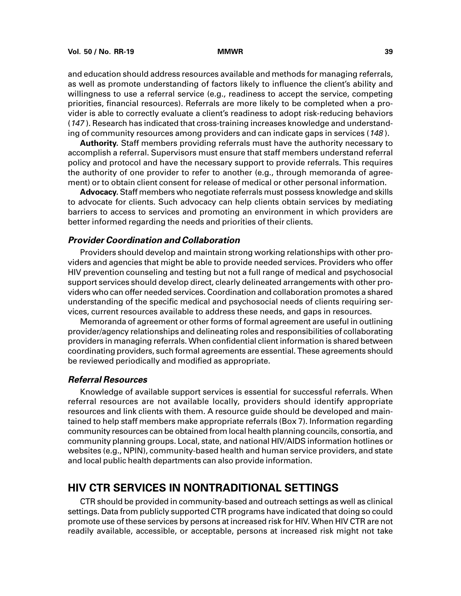and education should address resources available and methods for managing referrals, as well as promote understanding of factors likely to influence the client's ability and willingness to use a referral service (e.g., readiness to accept the service, competing priorities, financial resources). Referrals are more likely to be completed when a provider is able to correctly evaluate a client's readiness to adopt risk-reducing behaviors (<sup>147</sup> ). Research has indicated that cross-training increases knowledge and understanding of community resources among providers and can indicate gaps in services (148).

**Authority.** Staff members providing referrals must have the authority necessary to accomplish a referral. Supervisors must ensure that staff members understand referral policy and protocol and have the necessary support to provide referrals. This requires the authority of one provider to refer to another (e.g., through memoranda of agreement) or to obtain client consent for release of medical or other personal information.

**Advocacy.** Staff members who negotiate referrals must possess knowledge and skills to advocate for clients. Such advocacy can help clients obtain services by mediating barriers to access to services and promoting an environment in which providers are better informed regarding the needs and priorities of their clients.

### **Provider Coordination and Collaboration**

Providers should develop and maintain strong working relationships with other providers and agencies that might be able to provide needed services. Providers who offer HIV prevention counseling and testing but not a full range of medical and psychosocial support services should develop direct, clearly delineated arrangements with other providers who can offer needed services. Coordination and collaboration promotes a shared understanding of the specific medical and psychosocial needs of clients requiring services, current resources available to address these needs, and gaps in resources.

Memoranda of agreement or other forms of formal agreement are useful in outlining provider/agency relationships and delineating roles and responsibilities of collaborating providers in managing referrals. When confidential client information is shared between coordinating providers, such formal agreements are essential. These agreements should be reviewed periodically and modified as appropriate.

#### **Referral Resources**

Knowledge of available support services is essential for successful referrals. When referral resources are not available locally, providers should identify appropriate resources and link clients with them. A resource guide should be developed and maintained to help staff members make appropriate referrals (Box 7). Information regarding community resources can be obtained from local health planning councils, consortia, and community planning groups. Local, state, and national HIV/AIDS information hotlines or websites (e.g., NPIN), community-based health and human service providers, and state and local public health departments can also provide information.

## **HIV CTR SERVICES IN NONTRADITIONAL SETTINGS**

CTR should be provided in community-based and outreach settings as well as clinical settings. Data from publicly supported CTR programs have indicated that doing so could promote use of these services by persons at increased risk for HIV. When HIV CTR are not readily available, accessible, or acceptable, persons at increased risk might not take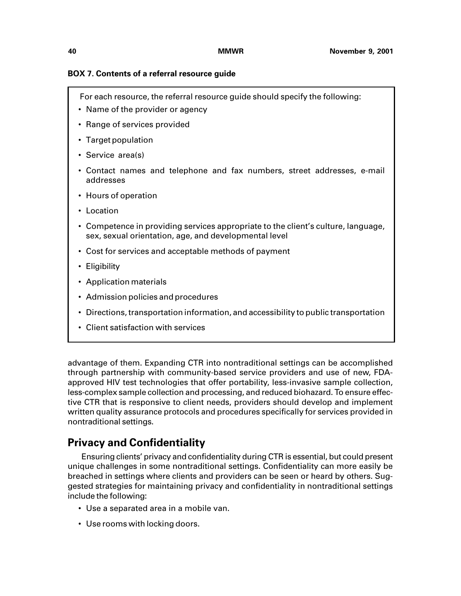### **BOX 7. Contents of a referral resource guide**

- For each resource, the referral resource guide should specify the following:
- Name of the provider or agency
- Range of services provided
- Target population
- Service area(s)
- Contact names and telephone and fax numbers, street addresses, e-mail addresses
- Hours of operation
- Location
- Competence in providing services appropriate to the client's culture, language, sex, sexual orientation, age, and developmental level
- Cost for services and acceptable methods of payment
- Eligibility
- Application materials
- Admission policies and procedures
- Directions, transportation information, and accessibility to public transportation
- Client satisfaction with services

advantage of them. Expanding CTR into nontraditional settings can be accomplished through partnership with community-based service providers and use of new, FDAapproved HIV test technologies that offer portability, less-invasive sample collection, less-complex sample collection and processing, and reduced biohazard. To ensure effective CTR that is responsive to client needs, providers should develop and implement written quality assurance protocols and procedures specifically for services provided in nontraditional settings.

# **Privacy and Confidentiality**

 Ensuring clients' privacy and confidentiality during CTR is essential, but could present unique challenges in some nontraditional settings. Confidentiality can more easily be breached in settings where clients and providers can be seen or heard by others. Suggested strategies for maintaining privacy and confidentiality in nontraditional settings include the following:

- Use a separated area in a mobile van.
- Use rooms with locking doors.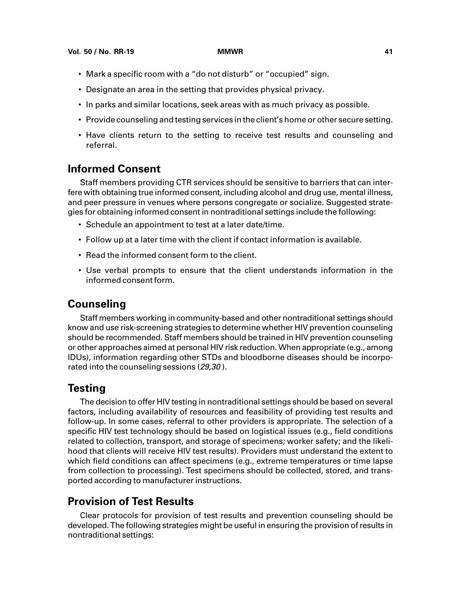- Mark a specific room with a "do not disturb" or "occupied" sign.
- Designate an area in the setting that provides physical privacy.
- In parks and similar locations, seek areas with as much privacy as possible.
- Provide counseling and testing services in the client's home or other secure setting.
- Have clients return to the setting to receive test results and counseling and referral.

# **Informed Consent**

Staff members providing CTR services should be sensitive to barriers that can interfere with obtaining true informed consent, including alcohol and drug use, mental illness, and peer pressure in venues where persons congregate or socialize. Suggested strategies for obtaining informed consent in nontraditional settings include the following:

- Schedule an appointment to test at a later date/time.
- Follow up at a later time with the client if contact information is available.
- Read the informed consent form to the client.
- Use verbal prompts to ensure that the client understands information in the informed consent form.

# **Counseling**

Staff members working in community-based and other nontraditional settings should know and use risk-screening strategies to determine whether HIV prevention counseling should be recommended. Staff members should be trained in HIV prevention counseling or other approaches aimed at personal HIV risk reduction. When appropriate (e.g., among IDUs), information regarding other STDs and bloodborne diseases should be incorporated into the counseling sessions (29,30).

# **Testing**

The decision to offer HIV testing in nontraditional settings should be based on several factors, including availability of resources and feasibility of providing test results and follow-up. In some cases, referral to other providers is appropriate. The selection of a specific HIV test technology should be based on logistical issues (e.g., field conditions related to collection, transport, and storage of specimens; worker safety; and the likelihood that clients will receive HIV test results). Providers must understand the extent to which field conditions can affect specimens (e.g., extreme temperatures or time lapse from collection to processing). Test specimens should be collected, stored, and transported according to manufacturer instructions.

# **Provision of Test Results**

Clear protocols for provision of test results and prevention counseling should be developed. The following strategies might be useful in ensuring the provision of results in nontraditional settings: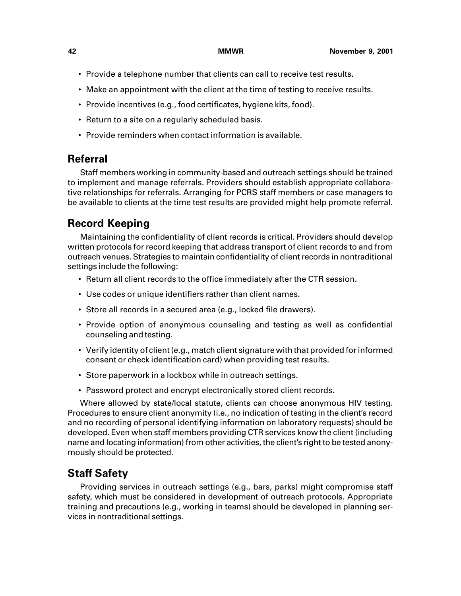- Provide a telephone number that clients can call to receive test results.
- Make an appointment with the client at the time of testing to receive results.
- Provide incentives (e.g., food certificates, hygiene kits, food).
- Return to a site on a regularly scheduled basis.
- Provide reminders when contact information is available.

# **Referral**

Staff members working in community-based and outreach settings should be trained to implement and manage referrals. Providers should establish appropriate collaborative relationships for referrals. Arranging for PCRS staff members or case managers to be available to clients at the time test results are provided might help promote referral.

# **Record Keeping**

Maintaining the confidentiality of client records is critical. Providers should develop written protocols for record keeping that address transport of client records to and from outreach venues. Strategies to maintain confidentiality of client records in nontraditional settings include the following:

- Return all client records to the office immediately after the CTR session.
- Use codes or unique identifiers rather than client names.
- Store all records in a secured area (e.g., locked file drawers).
- Provide option of anonymous counseling and testing as well as confidential counseling and testing.
- Verify identity of client (e.g., match client signature with that provided for informed consent or check identification card) when providing test results.
- Store paperwork in a lockbox while in outreach settings.
- Password protect and encrypt electronically stored client records.

Where allowed by state/local statute, clients can choose anonymous HIV testing. Procedures to ensure client anonymity (i.e., no indication of testing in the client's record and no recording of personal identifying information on laboratory requests) should be developed. Even when staff members providing CTR services know the client (including name and locating information) from other activities, the client's right to be tested anonymously should be protected.

# **Staff Safety**

Providing services in outreach settings (e.g., bars, parks) might compromise staff safety, which must be considered in development of outreach protocols. Appropriate training and precautions (e.g., working in teams) should be developed in planning services in nontraditional settings.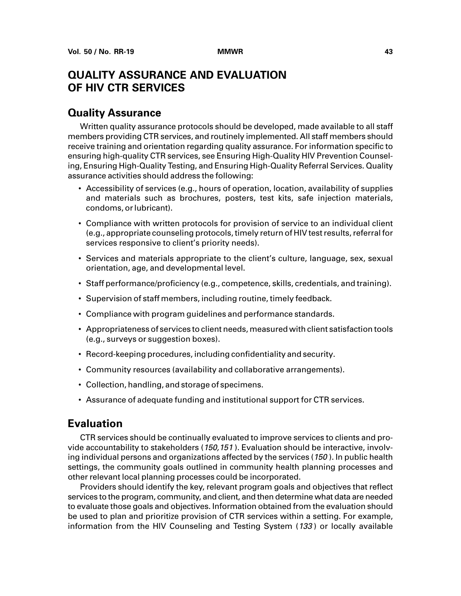# **QUALITY ASSURANCE AND EVALUATION OF HIV CTR SERVICES**

## **Quality Assurance**

Written quality assurance protocols should be developed, made available to all staff members providing CTR services, and routinely implemented. All staff members should receive training and orientation regarding quality assurance. For information specific to ensuring high-quality CTR services, see Ensuring High-Quality HIV Prevention Counseling, Ensuring High-Quality Testing, and Ensuring High-Quality Referral Services. Quality assurance activities should address the following:

- Accessibility of services (e.g., hours of operation, location, availability of supplies and materials such as brochures, posters, test kits, safe injection materials, condoms, or lubricant).
- Compliance with written protocols for provision of service to an individual client (e.g., appropriate counseling protocols, timely return of HIV test results, referral for services responsive to client's priority needs).
- Services and materials appropriate to the client's culture, language, sex, sexual orientation, age, and developmental level.
- Staff performance/proficiency (e.g., competence, skills, credentials, and training).
- Supervision of staff members, including routine, timely feedback.
- Compliance with program guidelines and performance standards.
- Appropriateness of services to client needs, measured with client satisfaction tools (e.g., surveys or suggestion boxes).
- Record-keeping procedures, including confidentiality and security.
- Community resources (availability and collaborative arrangements).
- Collection, handling, and storage of specimens.
- Assurance of adequate funding and institutional support for CTR services.

## **Evaluation**

CTR services should be continually evaluated to improve services to clients and provide accountability to stakeholders (150,151). Evaluation should be interactive, involving individual persons and organizations affected by the services (150). In public health settings, the community goals outlined in community health planning processes and other relevant local planning processes could be incorporated.

Providers should identify the key, relevant program goals and objectives that reflect services to the program, community, and client, and then determine what data are needed to evaluate those goals and objectives. Information obtained from the evaluation should be used to plan and prioritize provision of CTR services within a setting. For example, information from the HIV Counseling and Testing System (133) or locally available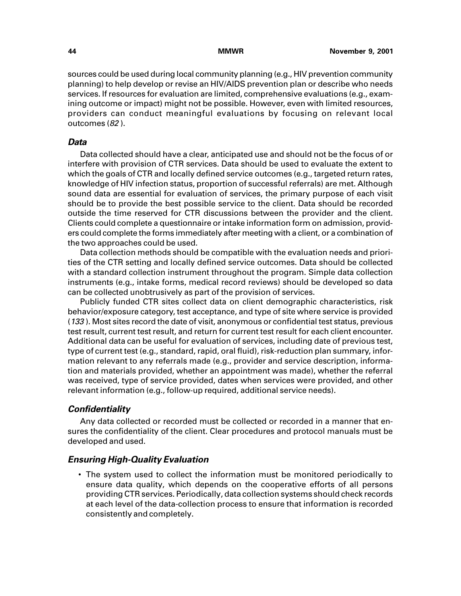sources could be used during local community planning (e.g., HIV prevention community planning) to help develop or revise an HIV/AIDS prevention plan or describe who needs services. If resources for evaluation are limited, comprehensive evaluations (e.g., examining outcome or impact) might not be possible. However, even with limited resources, providers can conduct meaningful evaluations by focusing on relevant local outcomes (82 ).

### **Data**

Data collected should have a clear, anticipated use and should not be the focus of or interfere with provision of CTR services. Data should be used to evaluate the extent to which the goals of CTR and locally defined service outcomes (e.g., targeted return rates, knowledge of HIV infection status, proportion of successful referrals) are met. Although sound data are essential for evaluation of services, the primary purpose of each visit should be to provide the best possible service to the client. Data should be recorded outside the time reserved for CTR discussions between the provider and the client. Clients could complete a questionnaire or intake information form on admission, providers could complete the forms immediately after meeting with a client, or a combination of the two approaches could be used.

Data collection methods should be compatible with the evaluation needs and priorities of the CTR setting and locally defined service outcomes. Data should be collected with a standard collection instrument throughout the program. Simple data collection instruments (e.g., intake forms, medical record reviews) should be developed so data can be collected unobtrusively as part of the provision of services.

Publicly funded CTR sites collect data on client demographic characteristics, risk behavior/exposure category, test acceptance, and type of site where service is provided (133 ). Most sites record the date of visit, anonymous or confidential test status, previous test result, current test result, and return for current test result for each client encounter. Additional data can be useful for evaluation of services, including date of previous test, type of current test (e.g., standard, rapid, oral fluid), risk-reduction plan summary, information relevant to any referrals made (e.g., provider and service description, information and materials provided, whether an appointment was made), whether the referral was received, type of service provided, dates when services were provided, and other relevant information (e.g., follow-up required, additional service needs).

## **Confidentiality**

Any data collected or recorded must be collected or recorded in a manner that ensures the confidentiality of the client. Clear procedures and protocol manuals must be developed and used.

### **Ensuring High-Quality Evaluation**

• The system used to collect the information must be monitored periodically to ensure data quality, which depends on the cooperative efforts of all persons providing CTR services. Periodically, data collection systems should check records at each level of the data-collection process to ensure that information is recorded consistently and completely.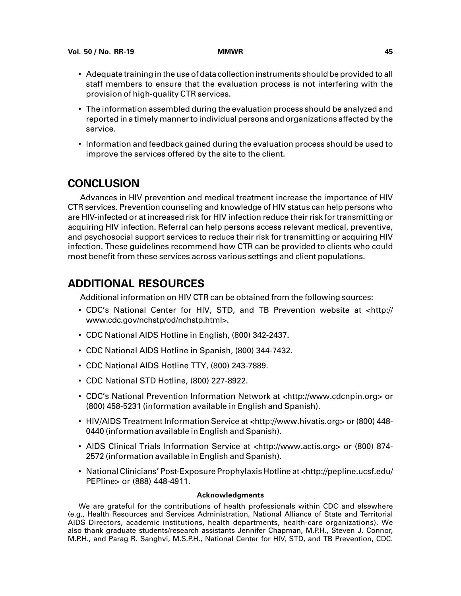- Adequate training in the use of data collection instruments should be provided to all staff members to ensure that the evaluation process is not interfering with the provision of high-quality CTR services.
- The information assembled during the evaluation process should be analyzed and reported in a timely manner to individual persons and organizations affected by the service.
- Information and feedback gained during the evaluation process should be used to improve the services offered by the site to the client.

# **CONCLUSION**

Advances in HIV prevention and medical treatment increase the importance of HIV CTR services. Prevention counseling and knowledge of HIV status can help persons who are HIV-infected or at increased risk for HIV infection reduce their risk for transmitting or acquiring HIV infection. Referral can help persons access relevant medical, preventive, and psychosocial support services to reduce their risk for transmitting or acquiring HIV infection. These guidelines recommend how CTR can be provided to clients who could most benefit from these services across various settings and client populations.

# **ADDITIONAL RESOURCES**

Additional information on HIV CTR can be obtained from the following sources:

- CDC's National Center for HIV, STD, and TB Prevention website at [<http://](http://www.cdc.gov/nchstp/od/nchstp.html) [www.cdc.gov/nchstp/od/nchstp.html>.](http://www.cdc.gov/nchstp/od/nchstp.html)
- CDC National AIDS Hotline in English, (800) 342-2437.
- CDC National AIDS Hotline in Spanish, (800) 344-7432.
- CDC National AIDS Hotline TTY, (800) 243-7889.
- CDC National STD Hotline, (800) 227-8922.
- CDC's National Prevention Information Network at [<http://www.cdcnpin.org>](http://www.cdcnpin.org) or (800) 458-5231 (information available in English and Spanish).
- HIV/AIDS Treatment Information Service a[t <http://www.hivatis.org>](http://www.hivatis.org) or (800) 448- 0440 (information available in English and Spanish).
- AIDS Clinical Trials Information Service at [<http://www.actis.org>](http://www.actis.org) or (800) 874-2572 (information available in English and Spanish).
- National Clinicians' Post-Exposure Prophylaxis Hotline at [<http://pepline.ucsf.edu/](http://pepline.ucsf.edu/PEPline) [PEPline>](http://pepline.ucsf.edu/PEPline) or (888) 448-4911.

#### **Acknowledgments**

We are grateful for the contributions of health professionals within CDC and elsewhere (e.g., Health Resources and Services Administration, National Alliance of State and Territorial AIDS Directors, academic institutions, health departments, health-care organizations). We also thank graduate students/research assistants Jennifer Chapman, M.P.H., Steven J. Connor, M.P.H., and Parag R. Sanghvi, M.S.P.H., National Center for HIV, STD, and TB Prevention, CDC.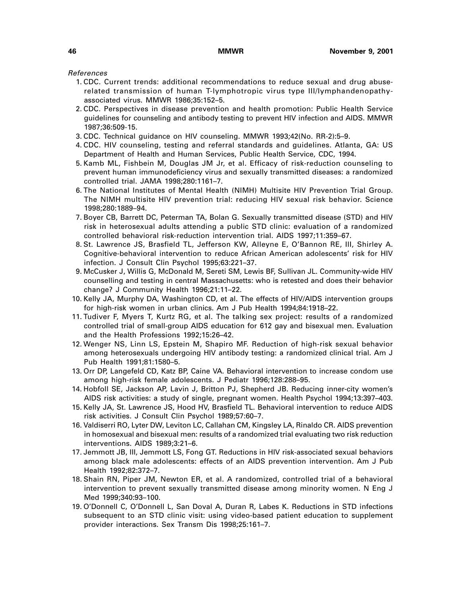References

- 1. CDC. Current trends: additional recommendations to reduce sexual and drug abuserelated transmission of human T-lymphotropic virus type III/lymphandenopathyassociated virus. MMWR 1986;35:152–5.
- 2. CDC. Perspectives in disease prevention and health promotion: Public Health Service guidelines for counseling and antibody testing to prevent HIV infection and AIDS. MMWR 1987;36:509-15.
- 3. CDC. Technical guidance on HIV counseling. MMWR 1993;42(No. RR-2):5–9.
- 4. CDC. HIV counseling, testing and referral standards and guidelines. Atlanta, GA: US Department of Health and Human Services, Public Health Service, CDC, 1994.
- 5. Kamb ML, Fishbein M, Douglas JM Jr, et al. Efficacy of risk-reduction counseling to prevent human immunodeficiency virus and sexually transmitted diseases: a randomized controlled trial. JAMA 1998;280:1161–7.
- 6. The National Institutes of Mental Health (NIMH) Multisite HIV Prevention Trial Group. The NIMH multisite HIV prevention trial: reducing HIV sexual risk behavior. Science 1998;280:1889–94.
- 7. Boyer CB, Barrett DC, Peterman TA, Bolan G. Sexually transmitted disease (STD) and HIV risk in heterosexual adults attending a public STD clinic: evaluation of a randomized controlled behavioral risk-reduction intervention trial. AIDS 1997;11:359–67.
- 8. St. Lawrence JS, Brasfield TL, Jefferson KW, Alleyne E, O'Bannon RE, III, Shirley A. Cognitive-behavioral intervention to reduce African American adolescents' risk for HIV infection. J Consult Clin Psychol 1995;63:221–37.
- 9. McCusker J, Willis G, McDonald M, Sereti SM, Lewis BF, Sullivan JL. Community-wide HIV counselling and testing in central Massachusetts: who is retested and does their behavior change? J Community Health 1996;21:11–22.
- 10. Kelly JA, Murphy DA, Washington CD, et al. The effects of HIV/AIDS intervention groups for high-risk women in urban clinics. Am J Pub Health 1994;84:1918–22.
- 11. Tudiver F, Myers T, Kurtz RG, et al. The talking sex project: results of a randomized controlled trial of small-group AIDS education for 612 gay and bisexual men. Evaluation and the Health Professions 1992;15:26–42.
- 12. Wenger NS, Linn LS, Epstein M, Shapiro MF. Reduction of high-risk sexual behavior among heterosexuals undergoing HIV antibody testing: a randomized clinical trial. Am J Pub Health 1991;81:1580–5.
- 13. Orr DP, Langefeld CD, Katz BP, Caine VA. Behavioral intervention to increase condom use among high-risk female adolescents. J Pediatr 1996;128:288–95.
- 14. Hobfoll SE, Jackson AP, Lavin J, Britton PJ, Shepherd JB. Reducing inner-city women's AIDS risk activities: a study of single, pregnant women. Health Psychol 1994;13:397–403.
- 15. Kelly JA, St. Lawrence JS, Hood HV, Brasfield TL. Behavioral intervention to reduce AIDS risk activities. J Consult Clin Psychol 1989;57:60–7.
- 16. Valdiserri RO, Lyter DW, Leviton LC, Callahan CM, Kingsley LA, Rinaldo CR. AIDS prevention in homosexual and bisexual men: results of a randomized trial evaluating two risk reduction interventions. AIDS 1989;3:21–6.
- 17. Jemmott JB, III, Jemmott LS, Fong GT. Reductions in HIV risk-associated sexual behaviors among black male adolescents: effects of an AIDS prevention intervention. Am J Pub Health 1992;82:372–7.
- 18. Shain RN, Piper JM, Newton ER, et al. A randomized, controlled trial of a behavioral intervention to prevent sexually transmitted disease among minority women. N Eng J Med 1999;340:93–100.
- 19. O'Donnell C, O'Donnell L, San Doval A, Duran R, Labes K. Reductions in STD infections subsequent to an STD clinic visit: using video-based patient education to supplement provider interactions. Sex Transm Dis 1998;25:161–7.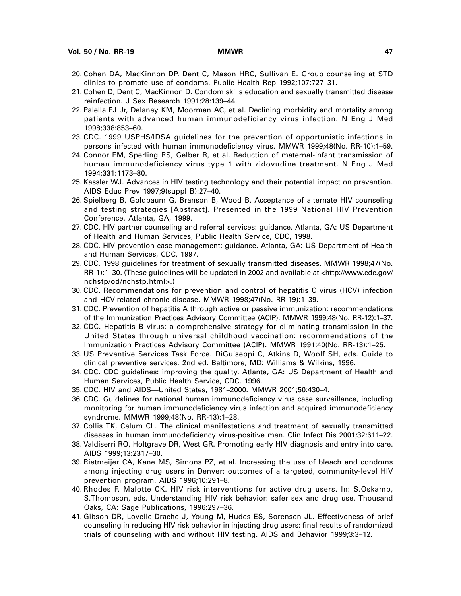- 20. Cohen DA, MacKinnon DP, Dent C, Mason HRC, Sullivan E. Group counseling at STD clinics to promote use of condoms. Public Health Rep 1992;107:727–31.
- 21. Cohen D, Dent C, MacKinnon D. Condom skills education and sexually transmitted disease reinfection. J Sex Research 1991;28:139–44.
- 22. Palella FJ Jr, Delaney KM, Moorman AC, et al. Declining morbidity and mortality among patients with advanced human immunodeficiency virus infection. N Eng J Med 1998;338:853–60.
- 23. CDC. 1999 USPHS/IDSA guidelines for the prevention of opportunistic infections in persons infected with human immunodeficiency virus. MMWR 1999;48(No. RR-10):1–59.
- 24. Connor EM, Sperling RS, Gelber R, et al. Reduction of maternal-infant transmission of human immunodeficiency virus type 1 with zidovudine treatment. N Eng J Med 1994;331:1173–80.
- 25. Kassler WJ. Advances in HIV testing technology and their potential impact on prevention. AIDS Educ Prev 1997;9(suppl B):27–40.
- 26. Spielberg B, Goldbaum G, Branson B, Wood B. Acceptance of alternate HIV counseling and testing strategies [Abstract]. Presented in the 1999 National HIV Prevention Conference, Atlanta, GA, 1999.
- 27. CDC. HIV partner counseling and referral services: guidance. Atlanta, GA: US Department of Health and Human Services, Public Health Service, CDC, 1998.
- 28. CDC. HIV prevention case management: guidance. Atlanta, GA: US Department of Health and Human Services, CDC, 1997.
- 29. CDC. 1998 guidelines for treatment of sexually transmitted diseases. MMWR 1998;47(No. RR-1):1–30. (These guidelines will be updated in 2002 and available at [<http://www.cdc.gov/](http://www.cdc.gov/nchstp/od/nchstp.html) [nchstp/od/nchstp.html>.\)](http://www.cdc.gov/nchstp/od/nchstp.html)
- 30. CDC. Recommendations for prevention and control of hepatitis C virus (HCV) infection and HCV-related chronic disease. MMWR 1998;47(No. RR-19):1–39.
- 31. CDC. Prevention of hepatitis A through active or passive immunization: recommendations of the Immunization Practices Advisory Committee (ACIP). MMWR 1999;48(No. RR-12):1–37.
- 32. CDC. Hepatitis B virus: a comprehensive strategy for eliminating transmission in the United States through universal childhood vaccination: recommendations of the Immunization Practices Advisory Committee (ACIP). MMWR 1991;40(No. RR-13):1–25.
- 33. US Preventive Services Task Force. DiGuiseppi C, Atkins D, Woolf SH, eds. Guide to clinical preventive services. 2nd ed. Baltimore, MD: Williams & Wilkins, 1996.
- 34. CDC. CDC guidelines: improving the quality. Atlanta, GA: US Department of Health and Human Services, Public Health Service, CDC, 1996.
- 35. CDC. HIV and AIDS—United States, 1981–2000. MMWR 2001;50:430–4.
- 36. CDC. Guidelines for national human immunodeficiency virus case surveillance, including monitoring for human immunodeficiency virus infection and acquired immunodeficiency syndrome. MMWR 1999;48(No. RR-13):1–28.
- 37. Collis TK, Celum CL. The clinical manifestations and treatment of sexually transmitted diseases in human immunodeficiency virus-positive men. Clin Infect Dis 2001;32:611–22.
- 38. Valdiserri RO, Holtgrave DR, West GR. Promoting early HIV diagnosis and entry into care. AIDS 1999;13:2317–30.
- 39. Rietmeijer CA, Kane MS, Simons PZ, et al. Increasing the use of bleach and condoms among injecting drug users in Denver: outcomes of a targeted, community-level HIV prevention program. AIDS 1996;10:291–8.
- 40. Rhodes F, Malotte CK. HIV risk interventions for active drug users. In: S.Oskamp, S.Thompson, eds. Understanding HIV risk behavior: safer sex and drug use. Thousand Oaks, CA: Sage Publications, 1996:297–36.
- 41. Gibson DR, Lovelle-Drache J, Young M, Hudes ES, Sorensen JL. Effectiveness of brief counseling in reducing HIV risk behavior in injecting drug users: final results of randomized trials of counseling with and without HIV testing. AIDS and Behavior 1999;3:3–12.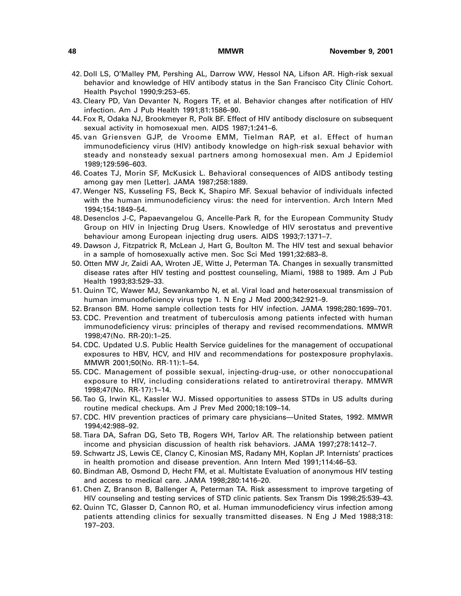- 42. Doll LS, O'Malley PM, Pershing AL, Darrow WW, Hessol NA, Lifson AR. High-risk sexual behavior and knowledge of HIV antibody status in the San Francisco City Clinic Cohort. Health Psychol 1990;9:253–65.
- 43. Cleary PD, Van Devanter N, Rogers TF, et al. Behavior changes after notification of HIV infection. Am J Pub Health 1991;81:1586–90.
- 44. Fox R, Odaka NJ, Brookmeyer R, Polk BF. Effect of HIV antibody disclosure on subsequent sexual activity in homosexual men. AIDS 1987;1:241–6.
- 45. van Griensven GJP, de Vroome EMM, Tielman RAP, et al. Effect of human immunodeficiency virus (HIV) antibody knowledge on high-risk sexual behavior with steady and nonsteady sexual partners among homosexual men. Am J Epidemiol 1989;129:596–603.
- 46. Coates TJ, Morin SF, McKusick L. Behavioral consequences of AIDS antibody testing among gay men [Letter]. JAMA 1987;258:1889.
- 47. Wenger NS, Kusseling FS, Beck K, Shapiro MF. Sexual behavior of individuals infected with the human immunodeficiency virus: the need for intervention. Arch Intern Med 1994;154:1849–54.
- 48. Desenclos J-C, Papaevangelou G, Ancelle-Park R, for the European Community Study Group on HIV in Injecting Drug Users. Knowledge of HIV serostatus and preventive behaviour among European injecting drug users. AIDS 1993;7:1371–7.
- 49. Dawson J, Fitzpatrick R, McLean J, Hart G, Boulton M. The HIV test and sexual behavior in a sample of homosexually active men. Soc Sci Med 1991;32:683–8.
- 50. Otten MW Jr, Zaidi AA, Wroten JE, Witte J, Peterman TA. Changes in sexually transmitted disease rates after HIV testing and posttest counseling, Miami, 1988 to 1989. Am J Pub Health 1993;83:529–33.
- 51. Quinn TC, Wawer MJ, Sewankambo N, et al. Viral load and heterosexual transmission of human immunodeficiency virus type 1. N Eng J Med 2000;342:921–9.
- 52. Branson BM. Home sample collection tests for HIV infection. JAMA 1998;280:1699–701.
- 53. CDC. Prevention and treatment of tuberculosis among patients infected with human immunodeficiency virus: principles of therapy and revised recommendations. MMWR 1998;47(No. RR-20):1–25.
- 54. CDC. Updated U.S. Public Health Service guidelines for the management of occupational exposures to HBV, HCV, and HIV and recommendations for postexposure prophylaxis. MMWR 2001;50(No. RR-11):1–54.
- 55. CDC. Management of possible sexual, injecting-drug-use, or other nonoccupational exposure to HIV, including considerations related to antiretroviral therapy. MMWR 1998;47(No. RR-17):1–14.
- 56. Tao G, Irwin KL, Kassler WJ. Missed opportunities to assess STDs in US adults during routine medical checkups. Am J Prev Med 2000;18:109–14.
- 57. CDC. HIV prevention practices of primary care physicians—United States, 1992. MMWR 1994;42:988–92.
- 58. Tiara DA, Safran DG, Seto TB, Rogers WH, Tarlov AR. The relationship between patient income and physician discussion of health risk behaviors. JAMA 1997;278:1412–7.
- 59. Schwartz JS, Lewis CE, Clancy C, Kinosian MS, Radany MH, Koplan JP. Internists' practices in health promotion and disease prevention. Ann Intern Med 1991;114:46–53.
- 60. Bindman AB, Osmond D, Hecht FM, et al. Multistate Evaluation of anonymous HIV testing and access to medical care. JAMA 1998;280:1416–20.
- 61. Chen Z, Branson B, Ballenger A, Peterman TA. Risk assessment to improve targeting of HIV counseling and testing services of STD clinic patients. Sex Transm Dis 1998;25:539–43.
- 62. Quinn TC, Glasser D, Cannon RO, et al. Human immunodeficiency virus infection among patients attending clinics for sexually transmitted diseases. N Eng J Med 1988;318: 197–203.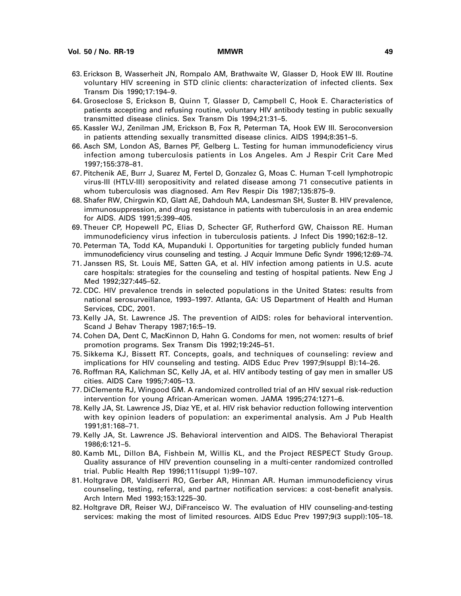- 63. Erickson B, Wasserheit JN, Rompalo AM, Brathwaite W, Glasser D, Hook EW III. Routine voluntary HIV screening in STD clinic clients: characterization of infected clients. Sex Transm Dis 1990;17:194–9.
- 64. Groseclose S, Erickson B, Quinn T, Glasser D, Campbell C, Hook E. Characteristics of patients accepting and refusing routine, voluntary HIV antibody testing in public sexually transmitted disease clinics. Sex Transm Dis 1994;21:31–5.
- 65. Kassler WJ, Zenilman JM, Erickson B, Fox R, Peterman TA, Hook EW III. Seroconversion in patients attending sexually transmitted disease clinics. AIDS 1994;8:351–5.
- 66. Asch SM, London AS, Barnes PF, Gelberg L. Testing for human immunodeficiency virus infection among tuberculosis patients in Los Angeles. Am J Respir Crit Care Med 1997;155:378–81.
- 67. Pitchenik AE, Burr J, Suarez M, Fertel D, Gonzalez G, Moas C. Human T-cell lymphotropic virus-III (HTLV-III) seropositivity and related disease among 71 consecutive patients in whom tuberculosis was diagnosed. Am Rev Respir Dis 1987;135:875–9.
- 68. Shafer RW, Chirgwin KD, Glatt AE, Dahdouh MA, Landesman SH, Suster B. HIV prevalence, immunosuppression, and drug resistance in patients with tuberculosis in an area endemic for AIDS. AIDS 1991;5:399–405.
- 69. Theuer CP, Hopewell PC, Elias D, Schecter GF, Rutherford GW, Chaisson RE. Human immunodeficiency virus infection in tuberculosis patients. J Infect Dis 1990;162:8–12.
- 70. Peterman TA, Todd KA, Mupanduki I. Opportunities for targeting publicly funded human immunodeficiency virus counseling and testing. J Acquir Immune Defic Syndr 1996;12:69–74.
- 71. Janssen RS, St. Louis ME, Satten GA, et al. HIV infection among patients in U.S. acute care hospitals: strategies for the counseling and testing of hospital patients. New Eng J Med 1992;327:445–52.
- 72. CDC. HIV prevalence trends in selected populations in the United States: results from national serosurveillance, 1993–1997. Atlanta, GA: US Department of Health and Human Services, CDC, 2001.
- 73. Kelly JA, St. Lawrence JS. The prevention of AIDS: roles for behavioral intervention. Scand J Behav Therapy 1987;16:5–19.
- 74. Cohen DA, Dent C, MacKinnon D, Hahn G. Condoms for men, not women: results of brief promotion programs. Sex Transm Dis 1992;19:245–51.
- 75. Sikkema KJ, Bissett RT. Concepts, goals, and techniques of counseling: review and implications for HIV counseling and testing. AIDS Educ Prev 1997;9(suppl B):14–26.
- 76. Roffman RA, Kalichman SC, Kelly JA, et al. HIV antibody testing of gay men in smaller US cities. AIDS Care 1995;7:405–13.
- 77. DiClemente RJ, Wingood GM. A randomized controlled trial of an HIV sexual risk-reduction intervention for young African-American women. JAMA 1995;274:1271–6.
- 78. Kelly JA, St. Lawrence JS, Diaz YE, et al. HIV risk behavior reduction following intervention with key opinion leaders of population: an experimental analysis. Am J Pub Health 1991;81:168–71.
- 79. Kelly JA, St. Lawrence JS. Behavioral intervention and AIDS. The Behavioral Therapist 1986;6:121–5.
- 80. Kamb ML, Dillon BA, Fishbein M, Willis KL, and the Project RESPECT Study Group. Quality assurance of HIV prevention counseling in a multi-center randomized controlled trial. Public Health Rep 1996;111(suppl 1):99–107.
- 81. Holtgrave DR, Valdiserri RO, Gerber AR, Hinman AR. Human immunodeficiency virus counseling, testing, referral, and partner notification services: a cost-benefit analysis. Arch Intern Med 1993;153:1225–30.
- 82. Holtgrave DR, Reiser WJ, DiFranceisco W. The evaluation of HIV counseling-and-testing services: making the most of limited resources. AIDS Educ Prev 1997;9(3 suppl):105–18.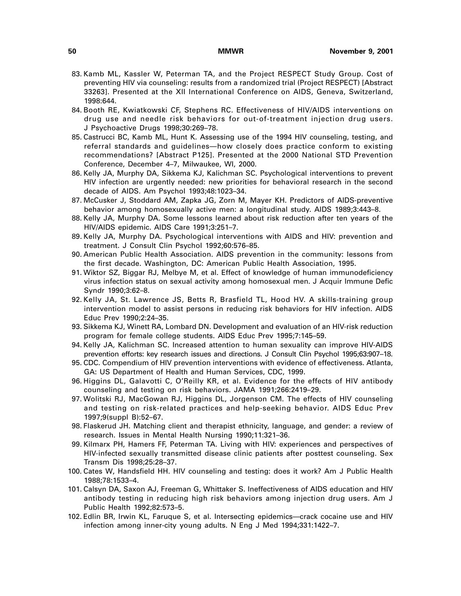- 83. Kamb ML, Kassler W, Peterman TA, and the Project RESPECT Study Group. Cost of preventing HIV via counseling: results from a randomized trial (Project RESPECT) [Abstract 33263]. Presented at the XII International Conference on AIDS, Geneva, Switzerland, 1998:644.
- 84. Booth RE, Kwiatkowski CF, Stephens RC. Effectiveness of HIV/AIDS interventions on drug use and needle risk behaviors for out-of-treatment injection drug users. J Psychoactive Drugs 1998;30:269–78.
- 85. Castrucci BC, Kamb ML, Hunt K. Assessing use of the 1994 HIV counseling, testing, and referral standards and guidelines—how closely does practice conform to existing recommendations? [Abstract P125]. Presented at the 2000 National STD Prevention Conference, December 4–7, Milwaukee, WI, 2000.
- 86. Kelly JA, Murphy DA, Sikkema KJ, Kalichman SC. Psychological interventions to prevent HIV infection are urgently needed: new priorities for behavioral research in the second decade of AIDS. Am Psychol 1993;48:1023–34.
- 87. McCusker J, Stoddard AM, Zapka JG, Zorn M, Mayer KH. Predictors of AIDS-preventive behavior among homosexually active men: a longitudinal study. AIDS 1989;3:443–8.
- 88. Kelly JA, Murphy DA. Some lessons learned about risk reduction after ten years of the HIV/AIDS epidemic. AIDS Care 1991;3:251–7.
- 89. Kelly JA, Murphy DA. Psychological interventions with AIDS and HIV: prevention and treatment. J Consult Clin Psychol 1992;60:576–85.
- 90. American Public Health Association. AIDS prevention in the community: lessons from the first decade. Washington, DC: American Public Health Association, 1995.
- 91. Wiktor SZ, Biggar RJ, Melbye M, et al. Effect of knowledge of human immunodeficiency virus infection status on sexual activity among homosexual men. J Acquir Immune Defic Syndr 1990;3:62–8.
- 92. Kelly JA, St. Lawrence JS, Betts R, Brasfield TL, Hood HV. A skills-training group intervention model to assist persons in reducing risk behaviors for HIV infection. AIDS Educ Prev 1990;2:24–35.
- 93. Sikkema KJ, Winett RA, Lombard DN. Development and evaluation of an HIV-risk reduction program for female college students. AIDS Educ Prev 1995;7:145–59.
- 94. Kelly JA, Kalichman SC. Increased attention to human sexuality can improve HIV-AIDS prevention efforts: key research issues and directions. J Consult Clin Psychol 1995;63:907–18.
- 95. CDC. Compendium of HIV prevention interventions with evidence of effectiveness. Atlanta, GA: US Department of Health and Human Services, CDC, 1999.
- 96. Higgins DL, Galavotti C, O'Reilly KR, et al. Evidence for the effects of HIV antibody counseling and testing on risk behaviors. JAMA 1991;266:2419–29.
- 97. Wolitski RJ, MacGowan RJ, Higgins DL, Jorgenson CM. The effects of HIV counseling and testing on risk-related practices and help-seeking behavior. AIDS Educ Prev 1997;9(suppl B):52–67.
- 98. Flaskerud JH. Matching client and therapist ethnicity, language, and gender: a review of research. Issues in Mental Health Nursing 1990;11:321–36.
- 99. Kilmarx PH, Hamers FF, Peterman TA. Living with HIV: experiences and perspectives of HIV-infected sexually transmitted disease clinic patients after posttest counseling. Sex Transm Dis 1998;25:28–37.
- 100. Cates W, Handsfield HH. HIV counseling and testing: does it work? Am J Public Health 1988;78:1533–4.
- 101. Calsyn DA, Saxon AJ, Freeman G, Whittaker S. Ineffectiveness of AIDS education and HIV antibody testing in reducing high risk behaviors among injection drug users. Am J Public Health 1992;82:573–5.
- 102. Edlin BR, Irwin KL, Faruque S, et al. Intersecting epidemics—crack cocaine use and HIV infection among inner-city young adults. N Eng J Med 1994;331:1422–7.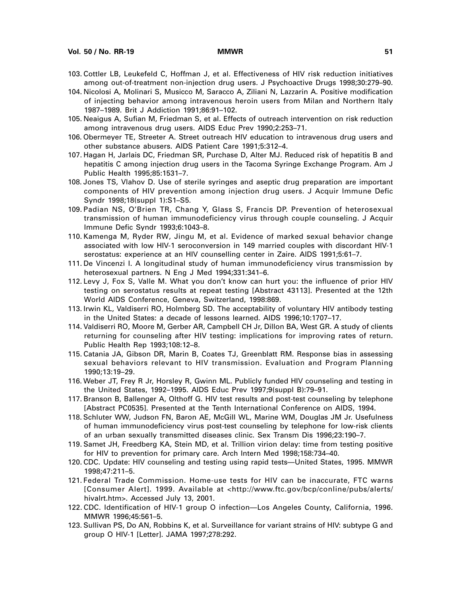- 103. Cottler LB, Leukefeld C, Hoffman J, et al. Effectiveness of HIV risk reduction initiatives among out-of-treatment non-injection drug users. J Psychoactive Drugs 1998;30:279–90.
- 104. Nicolosi A, Molinari S, Musicco M, Saracco A, Ziliani N, Lazzarin A. Positive modification of injecting behavior among intravenous heroin users from Milan and Northern Italy 1987–1989. Brit J Addiction 1991;86:91–102.
- 105. Neaigus A, Sufian M, Friedman S, et al. Effects of outreach intervention on risk reduction among intravenous drug users. AIDS Educ Prev 1990;2:253–71.
- 106. Obermeyer TE, Streeter A. Street outreach HIV education to intravenous drug users and other substance abusers. AIDS Patient Care 1991;5:312–4.
- 107. Hagan H, Jarlais DC, Friedman SR, Purchase D, Alter MJ. Reduced risk of hepatitis B and hepatitis C among injection drug users in the Tacoma Syringe Exchange Program. Am J Public Health 1995;85:1531–7.
- 108. Jones TS, Vlahov D. Use of sterile syringes and aseptic drug preparation are important components of HIV prevention among injection drug users. J Acquir Immune Defic Syndr 1998;18(suppl 1):S1–S5.
- 109. Padian NS, O'Brien TR, Chang Y, Glass S, Francis DP. Prevention of heterosexual transmission of human immunodeficiency virus through couple counseling. J Acquir Immune Defic Syndr 1993;6:1043–8.
- 110. Kamenga M, Ryder RW, Jingu M, et al. Evidence of marked sexual behavior change associated with low HIV-1 seroconversion in 149 married couples with discordant HIV-1 serostatus: experience at an HIV counselling center in Zaire. AIDS 1991;5:61–7.
- 111. De Vincenzi I. A longitudinal study of human immunodeficiency virus transmission by heterosexual partners. N Eng J Med 1994;331:341–6.
- 112. Levy J, Fox S, Valle M. What you don't know can hurt you: the influence of prior HIV testing on serostatus results at repeat testing [Abstract 43113]. Presented at the 12th World AIDS Conference, Geneva, Switzerland, 1998:869.
- 113. Irwin KL, Valdiserri RO, Holmberg SD. The acceptability of voluntary HIV antibody testing in the United States: a decade of lessons learned. AIDS 1996;10:1707–17.
- 114. Valdiserri RO, Moore M, Gerber AR, Campbell CH Jr, Dillon BA, West GR. A study of clients returning for counseling after HIV testing: implications for improving rates of return. Public Health Rep 1993;108:12–8.
- 115. Catania JA, Gibson DR, Marin B, Coates TJ, Greenblatt RM. Response bias in assessing sexual behaviors relevant to HIV transmission. Evaluation and Program Planning 1990;13:19–29.
- 116. Weber JT, Frey R Jr, Horsley R, Gwinn ML. Publicly funded HIV counseling and testing in the United States, 1992–1995. AIDS Educ Prev 1997;9(suppl B):79–91.
- 117. Branson B, Ballenger A, Olthoff G. HIV test results and post-test counseling by telephone [Abstract PC0535]. Presented at the Tenth International Conference on AIDS, 1994.
- 118. Schluter WW, Judson FN, Baron AE, McGill WL, Marine WM, Douglas JM Jr. Usefulness of human immunodeficiency virus post-test counseling by telephone for low-risk clients of an urban sexually transmitted diseases clinic. Sex Transm Dis 1996;23:190–7.
- 119. Samet JH, Freedberg KA, Stein MD, et al. Trillion virion delay: time from testing positive for HIV to prevention for primary care. Arch Intern Med 1998;158:734–40.
- 120. CDC. Update: HIV counseling and testing using rapid tests—United States, 1995. MMWR 1998;47:211–5.
- 121. Federal Trade Commission. Home-use tests for HIV can be inaccurate, FTC warns [Consumer Alert]. 1999. Available at [<http://www.ftc.gov/bcp/conline/pubs/alerts/](http://www.ftc.gov/bcp/conline/pubs/alerts/hivalrt.htm) [hivalrt.htm>.](http://www.ftc.gov/bcp/conline/pubs/alerts/hivalrt.htm) Accessed July 13, 2001.
- 122. CDC. Identification of HIV-1 group O infection—Los Angeles County, California, 1996. MMWR 1996;45:561–5.
- 123. Sullivan PS, Do AN, Robbins K, et al. Surveillance for variant strains of HIV: subtype G and group O HIV-1 [Letter]. JAMA 1997;278:292.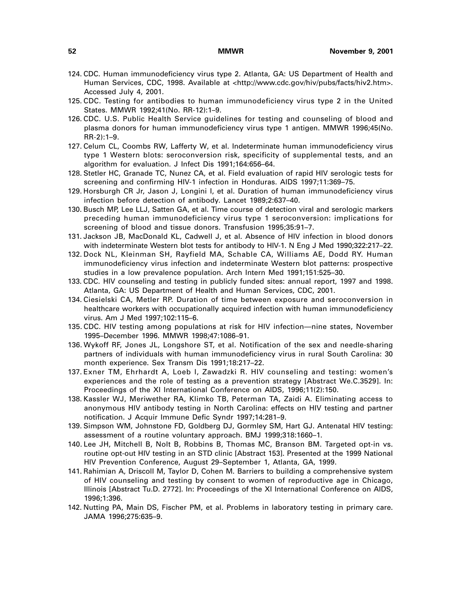- 124. CDC. Human immunodeficiency virus type 2. Atlanta, GA: US Department of Health and Human Services, CDC, 1998. Available at [<http://www.cdc.gov/hiv/pubs/facts/hiv2.htm>.](http://www.cdc.gov/hiv/pubs/facts/hiv2.htm) Accessed July 4, 2001.
- 125. CDC. Testing for antibodies to human immunodeficiency virus type 2 in the United States. MMWR 1992;41(No. RR-12):1–9.
- 126. CDC. U.S. Public Health Service guidelines for testing and counseling of blood and plasma donors for human immunodeficiency virus type 1 antigen. MMWR 1996;45(No. RR-2):1–9.
- 127. Celum CL, Coombs RW, Lafferty W, et al. Indeterminate human immunodeficiency virus type 1 Western blots: seroconversion risk, specificity of supplemental tests, and an algorithm for evaluation. J Infect Dis 1991;164:656–64.
- 128. Stetler HC, Granade TC, Nunez CA, et al. Field evaluation of rapid HIV serologic tests for screening and confirming HIV-1 infection in Honduras. AIDS 1997;11:369–75.
- 129. Horsburgh CR Jr, Jason J, Longini I, et al. Duration of human immunodeficiency virus infection before detection of antibody. Lancet 1989;2:637–40.
- 130. Busch MP, Lee LLJ, Satten GA, et al. Time course of detection viral and serologic markers preceding human immunodeficiency virus type 1 seroconversion: implications for screening of blood and tissue donors. Transfusion 1995;35:91–7.
- 131. Jackson JB, MacDonald KL, Cadwell J, et al. Absence of HIV infection in blood donors with indeterminate Western blot tests for antibody to HIV-1. N Eng J Med 1990;322:217–22.
- 132. Dock NL, Kleinman SH, Rayfield MA, Schable CA, Williams AE, Dodd RY. Human immunodeficiency virus infection and indeterminate Western blot patterns: prospective studies in a low prevalence population. Arch Intern Med 1991;151:525–30.
- 133. CDC. HIV counseling and testing in publicly funded sites: annual report, 1997 and 1998. Atlanta, GA: US Department of Health and Human Services, CDC, 2001.
- 134. Ciesielski CA, Metler RP. Duration of time between exposure and seroconversion in healthcare workers with occupationally acquired infection with human immunodeficiency virus. Am J Med 1997;102:115–6.
- 135. CDC. HIV testing among populations at risk for HIV infection—nine states, November 1995–December 1996. MMWR 1998;47:1086–91.
- 136. Wykoff RF, Jones JL, Longshore ST, et al. Notification of the sex and needle-sharing partners of individuals with human immunodeficiency virus in rural South Carolina: 30 month experience. Sex Transm Dis 1991;18:217–22.
- 137. Exner TM, Ehrhardt A, Loeb I, Zawadzki R. HIV counseling and testing: women's experiences and the role of testing as a prevention strategy [Abstract We.C.3529]. In: Proceedings of the XI International Conference on AIDS, 1996;11(2):150.
- 138. Kassler WJ, Meriwether RA, Klimko TB, Peterman TA, Zaidi A. Eliminating access to anonymous HIV antibody testing in North Carolina: effects on HIV testing and partner notification. J Acquir Immune Defic Syndr 1997;14:281–9.
- 139. Simpson WM, Johnstone FD, Goldberg DJ, Gormley SM, Hart GJ. Antenatal HIV testing: assessment of a routine voluntary approach. BMJ 1999;318:1660–1.
- 140. Lee JH, Mitchell B, Nolt B, Robbins B, Thomas MC, Branson BM. Targeted opt-in vs. routine opt-out HIV testing in an STD clinic [Abstract 153]. Presented at the 1999 National HIV Prevention Conference, August 29–September 1, Atlanta, GA, 1999.
- 141. Rahimian A, Driscoll M, Taylor D, Cohen M. Barriers to building a comprehensive system of HIV counseling and testing by consent to women of reproductive age in Chicago, Illinois [Abstract Tu.D. 2772]. In: Proceedings of the XI International Conference on AIDS, 1996;1:396.
- 142. Nutting PA, Main DS, Fischer PM, et al. Problems in laboratory testing in primary care. JAMA 1996;275:635–9.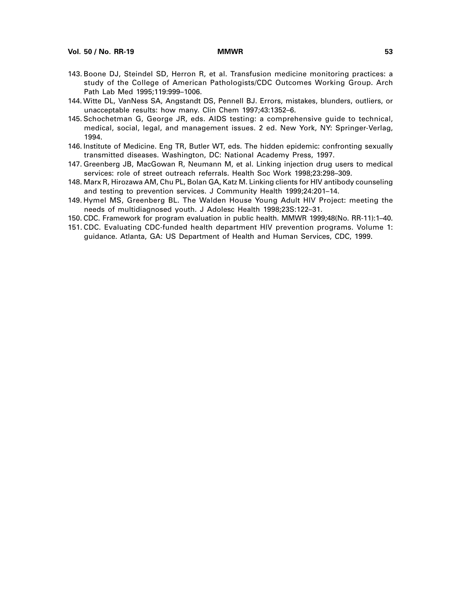- 143. Boone DJ, Steindel SD, Herron R, et al. Transfusion medicine monitoring practices: a study of the College of American Pathologists/CDC Outcomes Working Group. Arch Path Lab Med 1995;119:999–1006.
- 144. Witte DL, VanNess SA, Angstandt DS, Pennell BJ. Errors, mistakes, blunders, outliers, or unacceptable results: how many. Clin Chem 1997;43:1352–6.
- 145. Schochetman G, George JR, eds. AIDS testing: a comprehensive guide to technical, medical, social, legal, and management issues. 2 ed. New York, NY: Springer-Verlag, 1994.
- 146. Institute of Medicine. Eng TR, Butler WT, eds. The hidden epidemic: confronting sexually transmitted diseases. Washington, DC: National Academy Press, 1997.
- 147. Greenberg JB, MacGowan R, Neumann M, et al. Linking injection drug users to medical services: role of street outreach referrals. Health Soc Work 1998;23:298–309.
- 148. Marx R, Hirozawa AM, Chu PL, Bolan GA, Katz M. Linking clients for HIV antibody counseling and testing to prevention services. J Community Health 1999;24:201–14.
- 149. Hymel MS, Greenberg BL. The Walden House Young Adult HIV Project: meeting the needs of multidiagnosed youth. J Adolesc Health 1998;23S:122–31.
- 150. CDC. Framework for program evaluation in public health. MMWR 1999;48(No. RR-11):1–40.
- 151. CDC. Evaluating CDC-funded health department HIV prevention programs. Volume 1: guidance. Atlanta, GA: US Department of Health and Human Services, CDC, 1999.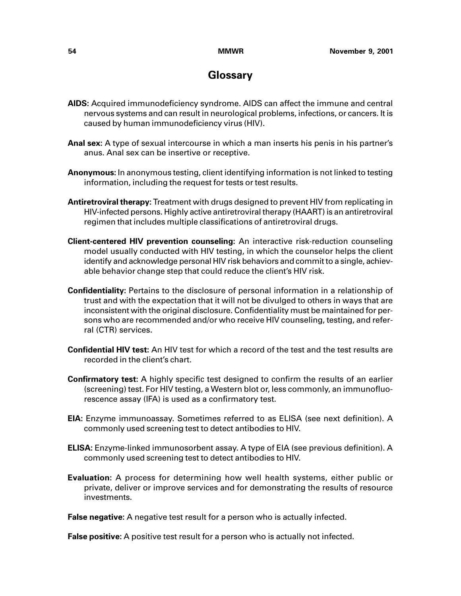# **Glossary**

- **AIDS:** Acquired immunodeficiency syndrome. AIDS can affect the immune and central nervous systems and can result in neurological problems, infections, or cancers. It is caused by human immunodeficiency virus (HIV).
- **Anal sex:** A type of sexual intercourse in which a man inserts his penis in his partner's anus. Anal sex can be insertive or receptive.
- **Anonymous:** In anonymous testing, client identifying information is not linked to testing information, including the request for tests or test results.
- **Antiretroviral therapy:** Treatment with drugs designed to prevent HIV from replicating in HIV-infected persons. Highly active antiretroviral therapy (HAART) is an antiretroviral regimen that includes multiple classifications of antiretroviral drugs.
- **Client-centered HIV prevention counseling:** An interactive risk-reduction counseling model usually conducted with HIV testing, in which the counselor helps the client identify and acknowledge personal HIV risk behaviors and commit to a single, achievable behavior change step that could reduce the client's HIV risk.
- **Confidentiality:** Pertains to the disclosure of personal information in a relationship of trust and with the expectation that it will not be divulged to others in ways that are inconsistent with the original disclosure. Confidentiality must be maintained for persons who are recommended and/or who receive HIV counseling, testing, and referral (CTR) services.
- **Confidential HIV test:** An HIV test for which a record of the test and the test results are recorded in the client's chart.
- **Confirmatory test:** A highly specific test designed to confirm the results of an earlier (screening) test. For HIV testing, a Western blot or, less commonly, an immunofluorescence assay (IFA) is used as a confirmatory test.
- **EIA:** Enzyme immunoassay. Sometimes referred to as ELISA (see next definition). A commonly used screening test to detect antibodies to HIV.
- **ELISA:** Enzyme-linked immunosorbent assay. A type of EIA (see previous definition). A commonly used screening test to detect antibodies to HIV.
- **Evaluation:** A process for determining how well health systems, either public or private, deliver or improve services and for demonstrating the results of resource investments.

**False negative:** A negative test result for a person who is actually infected.

**False positive:** A positive test result for a person who is actually not infected.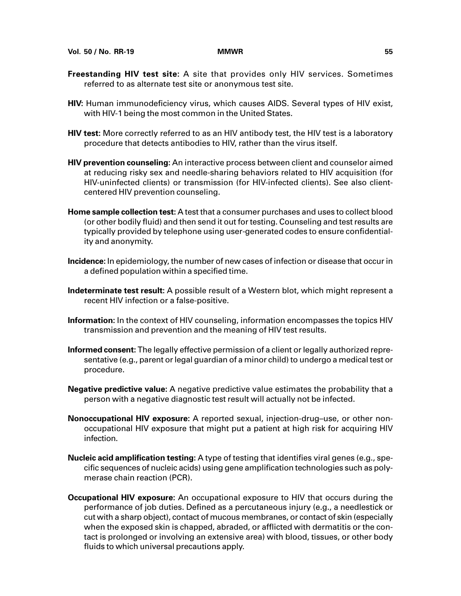- **Freestanding HIV test site:** A site that provides only HIV services. Sometimes referred to as alternate test site or anonymous test site.
- **HIV:** Human immunodeficiency virus, which causes AIDS. Several types of HIV exist, with HIV-1 being the most common in the United States.
- **HIV test:** More correctly referred to as an HIV antibody test, the HIV test is a laboratory procedure that detects antibodies to HIV, rather than the virus itself.
- **HIV prevention counseling:** An interactive process between client and counselor aimed at reducing risky sex and needle-sharing behaviors related to HIV acquisition (for HIV-uninfected clients) or transmission (for HIV-infected clients). See also clientcentered HIV prevention counseling.
- **Home sample collection test:** A test that a consumer purchases and uses to collect blood (or other bodily fluid) and then send it out for testing. Counseling and test results are typically provided by telephone using user-generated codes to ensure confidentiality and anonymity.
- **Incidence:** In epidemiology, the number of new cases of infection or disease that occur in a defined population within a specified time.
- **Indeterminate test result:** A possible result of a Western blot, which might represent a recent HIV infection or a false-positive.
- **Information:** In the context of HIV counseling, information encompasses the topics HIV transmission and prevention and the meaning of HIV test results.
- **Informed consent:** The legally effective permission of a client or legally authorized representative (e.g., parent or legal guardian of a minor child) to undergo a medical test or procedure.
- **Negative predictive value:** A negative predictive value estimates the probability that a person with a negative diagnostic test result will actually not be infected.
- **Nonoccupational HIV exposure:** A reported sexual, injection-drug–use, or other nonoccupational HIV exposure that might put a patient at high risk for acquiring HIV infection.
- **Nucleic acid amplification testing:** A type of testing that identifies viral genes (e.g., specific sequences of nucleic acids) using gene amplification technologies such as polymerase chain reaction (PCR).
- **Occupational HIV exposure:** An occupational exposure to HIV that occurs during the performance of job duties. Defined as a percutaneous injury (e.g., a needlestick or cut with a sharp object), contact of mucous membranes, or contact of skin (especially when the exposed skin is chapped, abraded, or afflicted with dermatitis or the contact is prolonged or involving an extensive area) with blood, tissues, or other body fluids to which universal precautions apply.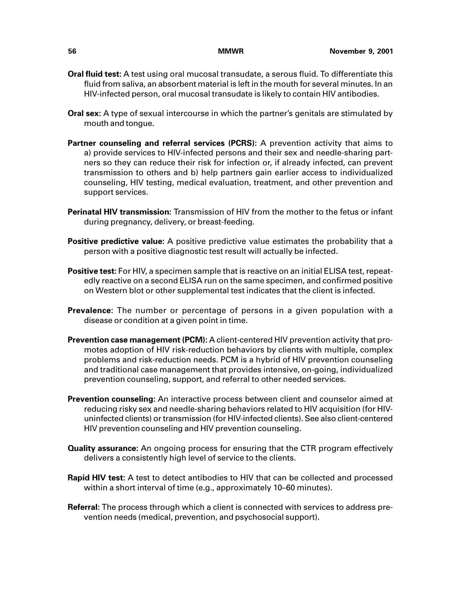- **Oral fluid test:** A test using oral mucosal transudate, a serous fluid. To differentiate this fluid from saliva, an absorbent material is left in the mouth for several minutes. In an HIV-infected person, oral mucosal transudate is likely to contain HIV antibodies.
- **Oral sex:** A type of sexual intercourse in which the partner's genitals are stimulated by mouth and tongue.
- **Partner counseling and referral services (PCRS):** A prevention activity that aims to a) provide services to HIV-infected persons and their sex and needle-sharing partners so they can reduce their risk for infection or, if already infected, can prevent transmission to others and b) help partners gain earlier access to individualized counseling, HIV testing, medical evaluation, treatment, and other prevention and support services.
- **Perinatal HIV transmission:** Transmission of HIV from the mother to the fetus or infant during pregnancy, delivery, or breast-feeding.
- **Positive predictive value:** A positive predictive value estimates the probability that a person with a positive diagnostic test result will actually be infected.
- **Positive test:** For HIV, a specimen sample that is reactive on an initial ELISA test, repeatedly reactive on a second ELISA run on the same specimen, and confirmed positive on Western blot or other supplemental test indicates that the client is infected.
- **Prevalence:** The number or percentage of persons in a given population with a disease or condition at a given point in time.
- **Prevention case management (PCM):** A client-centered HIV prevention activity that promotes adoption of HIV risk-reduction behaviors by clients with multiple, complex problems and risk-reduction needs. PCM is a hybrid of HIV prevention counseling and traditional case management that provides intensive, on-going, individualized prevention counseling, support, and referral to other needed services.
- **Prevention counseling:** An interactive process between client and counselor aimed at reducing risky sex and needle-sharing behaviors related to HIV acquisition (for HIVuninfected clients) or transmission (for HIV-infected clients). See also client-centered HIV prevention counseling and HIV prevention counseling.
- **Quality assurance:** An ongoing process for ensuring that the CTR program effectively delivers a consistently high level of service to the clients.
- **Rapid HIV test:** A test to detect antibodies to HIV that can be collected and processed within a short interval of time (e.g., approximately 10–60 minutes).
- **Referral:** The process through which a client is connected with services to address prevention needs (medical, prevention, and psychosocial support).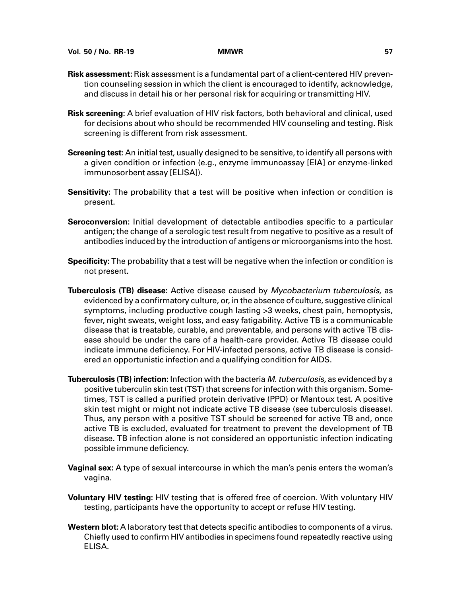- **Risk assessment:** Risk assessment is a fundamental part of a client-centered HIV prevention counseling session in which the client is encouraged to identify, acknowledge, and discuss in detail his or her personal risk for acquiring or transmitting HIV.
- **Risk screening:** A brief evaluation of HIV risk factors, both behavioral and clinical, used for decisions about who should be recommended HIV counseling and testing. Risk screening is different from risk assessment.
- **Screening test:** An initial test, usually designed to be sensitive, to identify all persons with a given condition or infection (e.g., enzyme immunoassay [EIA] or enzyme-linked immunosorbent assay [ELISA]).
- **Sensitivity:** The probability that a test will be positive when infection or condition is present.
- **Seroconversion:** Initial development of detectable antibodies specific to a particular antigen; the change of a serologic test result from negative to positive as a result of antibodies induced by the introduction of antigens or microorganisms into the host.
- **Specificity:** The probability that a test will be negative when the infection or condition is not present.
- **Tuberculosis (TB) disease:** Active disease caused by Mycobacterium tuberculosis, as evidenced by a confirmatory culture, or, in the absence of culture, suggestive clinical symptoms, including productive cough lasting  $\geq$ 3 weeks, chest pain, hemoptysis, fever, night sweats, weight loss, and easy fatigability. Active TB is a communicable disease that is treatable, curable, and preventable, and persons with active TB disease should be under the care of a health-care provider. Active TB disease could indicate immune deficiency. For HIV-infected persons, active TB disease is considered an opportunistic infection and a qualifying condition for AIDS.
- **Tuberculosis (TB) infection:** Infection with the bacteria M. tuberculosis, as evidenced by a positive tuberculin skin test (TST) that screens for infection with this organism. Sometimes, TST is called a purified protein derivative (PPD) or Mantoux test. A positive skin test might or might not indicate active TB disease (see tuberculosis disease). Thus, any person with a positive TST should be screened for active TB and, once active TB is excluded, evaluated for treatment to prevent the development of TB disease. TB infection alone is not considered an opportunistic infection indicating possible immune deficiency.
- **Vaginal sex:** A type of sexual intercourse in which the man's penis enters the woman's vagina.
- **Voluntary HIV testing:** HIV testing that is offered free of coercion. With voluntary HIV testing, participants have the opportunity to accept or refuse HIV testing.
- **Western blot:** A laboratory test that detects specific antibodies to components of a virus. Chiefly used to confirm HIV antibodies in specimens found repeatedly reactive using ELISA.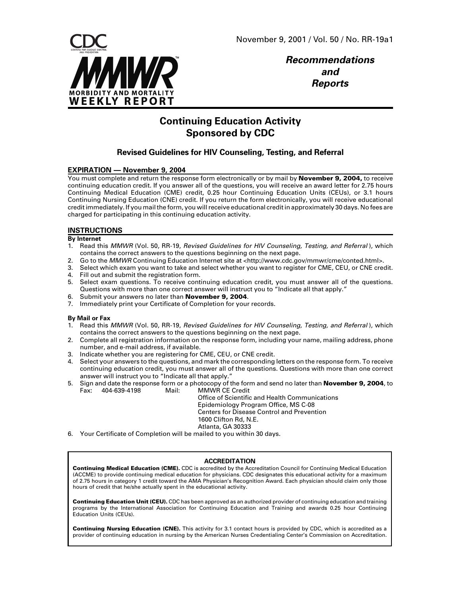

**Recommendations and Reports**

# **Continuing Education Activity Sponsored by CDC**

## **Revised Guidelines for HIV Counseling, Testing, and Referral**

### **EXPIRATION — November 9, 2004**

You must complete and return the response form electronically or by mail by **November 9, 2004,** to receive continuing education credit. If you answer all of the questions, you will receive an award letter for 2.75 hours Continuing Medical Education (CME) credit, 0.25 hour Continuing Education Units (CEUs), or 3.1 hours Continuing Nursing Education (CNE) credit. If you return the form electronically, you will receive educational credit immediately. If you mail the form, you will receive educational credit in approximately 30 days. No fees are charged for participating in this continuing education activity.

### **INSTRUCTIONS**

**By Internet**

- 1. Read this MMWR (Vol. 50, RR-19, Revised Guidelines for HIV Counseling, Testing, and Referral), which contains the correct answers to the questions beginning on the next page.
- 2. Go to the MMWR Continuing Education Internet site at [<http://www.cdc.gov/mmwr/cme/conted.html>.](http://www.cdc.gov/mmwr/cme/conted.html)
- 3. Select which exam you want to take and select whether you want to register for CME, CEU, or CNE credit. 4. Fill out and submit the registration form.
- 5. Select exam questions. To receive continuing education credit, you must answer all of the questions. Questions with more than one correct answer will instruct you to "Indicate all that apply."
- 6. Submit your answers no later than **November 9, 2004**.
- 7. Immediately print your Certificate of Completion for your records.

#### **By Mail or Fax**

- 1. Read this MMWR (Vol. 50, RR-19, Revised Guidelines for HIV Counseling, Testing, and Referral), which contains the correct answers to the questions beginning on the next page.
- 2. Complete all registration information on the response form, including your name, mailing address, phone number, and e-mail address, if available.
- 3. Indicate whether you are registering for CME, CEU, or CNE credit.
- 4. Select your answers to the questions, and mark the corresponding letters on the response form. To receive continuing education credit, you must answer all of the questions. Questions with more than one correct answer will instruct you to "Indicate all that apply."
- 5. Sign and date the response form or a photocopy of the form and send no later than **November 9, 2004**, to Fax: 404-639-4198 Mail: MMWR CE Credit

Office of Scientific and Health Communications Epidemiology Program Office, MS C-08 Centers for Disease Control and Prevention 1600 Clifton Rd, N.E. Atlanta, GA 30333

6. Your Certificate of Completion will be mailed to you within 30 days.

#### **ACCREDITATION**

**Continuing Medical Education (CME).** CDC is accredited by the Accreditation Council for Continuing Medical Education (ACCME) to provide continuing medical education for physicians. CDC designates this educational activity for a maximum of 2.75 hours in category 1 credit toward the AMA Physician's Recognition Award. Each physician should claim only those hours of credit that he/she actually spent in the educational activity.

**Continuing Education Unit (CEU).** CDC has been approved as an authorized provider of continuing education and training programs by the International Association for Continuing Education and Training and awards 0.25 hour Continuing Education Units (CEUs).

**Continuing Nursing Education (CNE).** This activity for 3.1 contact hours is provided by CDC, which is accredited as a provider of continuing education in nursing by the American Nurses Credentialing Center's Commission on Accreditation.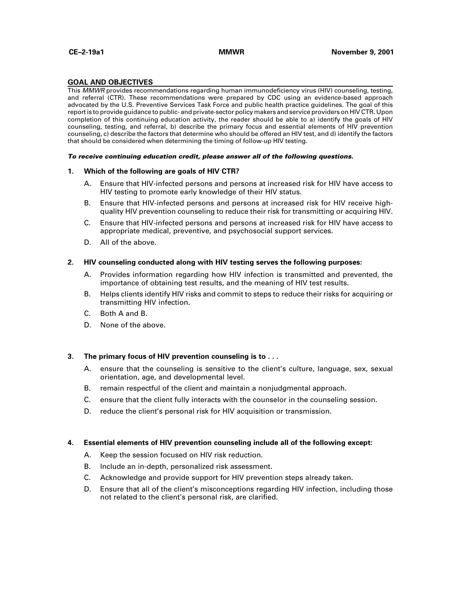#### **GOAL AND OBJECTIVES**

This MMWR provides recommendations regarding human immunodeficiency virus (HIV) counseling, testing, and referral (CTR). These recommendations were prepared by CDC using an evidence-based approach advocated by the U.S. Preventive Services Task Force and public health practice guidelines. The goal of this report is to provide guidance to public- and private-sector policy makers and service providers on HIV CTR. Upon completion of this continuing education activity, the reader should be able to a) identify the goals of HIV counseling, testing, and referral, b) describe the primary focus and essential elements of HIV prevention counseling, c) describe the factors that determine who should be offered an HIV test, and d) identify the factors that should be considered when determining the timing of follow-up HIV testing.

#### **To receive continuing education credit, please answer all of the following questions.**

#### **1. Which of the following are goals of HIV CTR?**

- A. Ensure that HIV-infected persons and persons at increased risk for HIV have access to HIV testing to promote early knowledge of their HIV status.
- B. Ensure that HIV-infected persons and persons at increased risk for HIV receive highquality HIV prevention counseling to reduce their risk for transmitting or acquiring HIV.
- C. Ensure that HIV-infected persons and persons at increased risk for HIV have access to appropriate medical, preventive, and psychosocial support services.
- D. All of the above.

#### **2. HIV counseling conducted along with HIV testing serves the following purposes:**

- A. Provides information regarding how HIV infection is transmitted and prevented, the importance of obtaining test results, and the meaning of HIV test results.
- B. Helps clients identify HIV risks and commit to steps to reduce their risks for acquiring or transmitting HIV infection.
- C. Both A and B.
- D. None of the above.

### **3. The primary focus of HIV prevention counseling is to . . .**

- A. ensure that the counseling is sensitive to the client's culture, language, sex, sexual orientation, age, and developmental level.
- B. remain respectful of the client and maintain a nonjudgmental approach.
- C. ensure that the client fully interacts with the counselor in the counseling session.
- D. reduce the client's personal risk for HIV acquisition or transmission.

#### **4. Essential elements of HIV prevention counseling include all of the following except:**

- A. Keep the session focused on HIV risk reduction.
- B. Include an in-depth, personalized risk assessment.
- C. Acknowledge and provide support for HIV prevention steps already taken.
- D. Ensure that all of the client's misconceptions regarding HIV infection, including those not related to the client's personal risk, are clarified.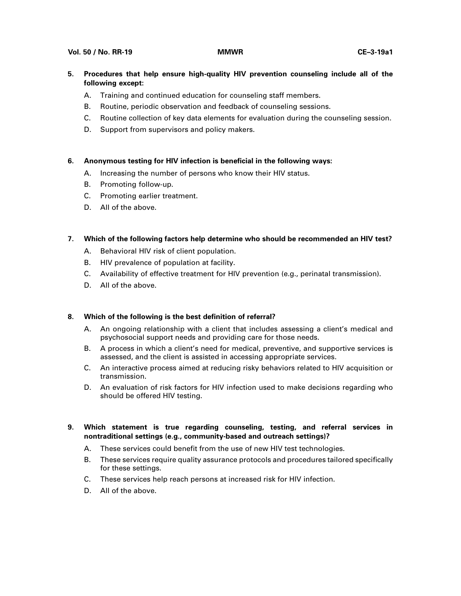#### **Vol. 50 / No. RR-19 MMWR CE–3-19a1**

- **5. Procedures that help ensure high-quality HIV prevention counseling include all of the following except:**
	- A. Training and continued education for counseling staff members.
	- B. Routine, periodic observation and feedback of counseling sessions.
	- C. Routine collection of key data elements for evaluation during the counseling session.
	- D. Support from supervisors and policy makers.

### **6. Anonymous testing for HIV infection is beneficial in the following ways:**

- A. Increasing the number of persons who know their HIV status.
- B. Promoting follow-up.
- C. Promoting earlier treatment.
- D. All of the above.

### **7. Which of the following factors help determine who should be recommended an HIV test?**

- A. Behavioral HIV risk of client population.
- B. HIV prevalence of population at facility.
- C. Availability of effective treatment for HIV prevention (e.g., perinatal transmission).
- D. All of the above.

### **8. Which of the following is the best definition of referral?**

- A. An ongoing relationship with a client that includes assessing a client's medical and psychosocial support needs and providing care for those needs.
- B. A process in which a client's need for medical, preventive, and supportive services is assessed, and the client is assisted in accessing appropriate services.
- C. An interactive process aimed at reducing risky behaviors related to HIV acquisition or transmission.
- D. An evaluation of risk factors for HIV infection used to make decisions regarding who should be offered HIV testing.

### **9. Which statement is true regarding counseling, testing, and referral services in nontraditional settings (e.g., community-based and outreach settings)?**

- A. These services could benefit from the use of new HIV test technologies.
- B. These services require quality assurance protocols and procedures tailored specifically for these settings.
- C. These services help reach persons at increased risk for HIV infection.
- D. All of the above.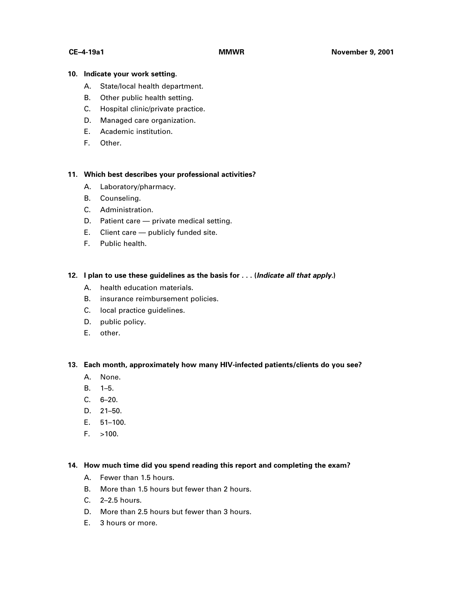### **10. Indicate your work setting.**

- A. State/local health department.
- B. Other public health setting.
- C. Hospital clinic/private practice.
- D. Managed care organization.
- E. Academic institution.
- F. Other.

### **11. Which best describes your professional activities?**

- A. Laboratory/pharmacy.
- B. Counseling.
- C. Administration.
- D. Patient care private medical setting.
- E. Client care publicly funded site.
- F. Public health.

### **12. I plan to use these guidelines as the basis for . . . (Indicate all that apply.)**

- A. health education materials.
- B. insurance reimbursement policies.
- C. local practice guidelines.
- D. public policy.
- E. other.

**13. Each month, approximately how many HIV-infected patients/clients do you see?**

- A. None.
- B. 1–5.
- C. 6–20.
- D. 21–50.
- E. 51–100.
- $F. > 100.$

### **14. How much time did you spend reading this report and completing the exam?**

- A. Fewer than 1.5 hours.
- B. More than 1.5 hours but fewer than 2 hours.
- C. 2–2.5 hours.
- D. More than 2.5 hours but fewer than 3 hours.
- E. 3 hours or more.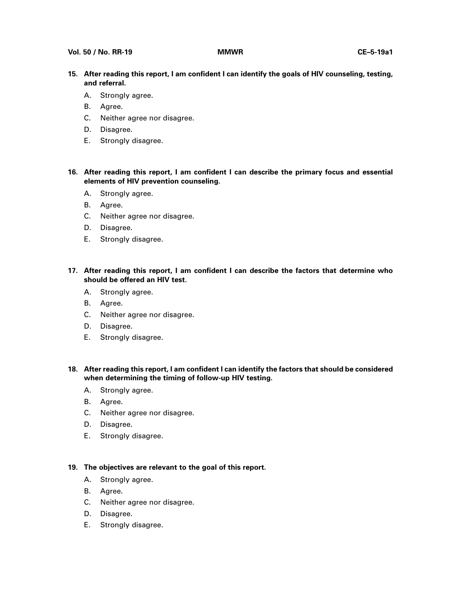- **15. After reading this report, I am confident I can identify the goals of HIV counseling, testing, and referral.**
	- A. Strongly agree.
	- B. Agree.
	- C. Neither agree nor disagree.
	- D. Disagree.
	- E. Strongly disagree.
- **16. After reading this report, I am confident I can describe the primary focus and essential elements of HIV prevention counseling.**
	- A. Strongly agree.
	- B. Agree.
	- C. Neither agree nor disagree.
	- D. Disagree.
	- E. Strongly disagree.
- **17. After reading this report, I am confident I can describe the factors that determine who should be offered an HIV test.**
	- A. Strongly agree.
	- B. Agree.
	- C. Neither agree nor disagree.
	- D. Disagree.
	- E. Strongly disagree.
- **18. After reading this report, I am confident I can identify the factors that should be considered when determining the timing of follow-up HIV testing.**
	- A. Strongly agree.
	- B. Agree.
	- C. Neither agree nor disagree.
	- D. Disagree.
	- E. Strongly disagree.

### **19. The objectives are relevant to the goal of this report.**

- A. Strongly agree.
- B. Agree.
- C. Neither agree nor disagree.
- D. Disagree.
- E. Strongly disagree.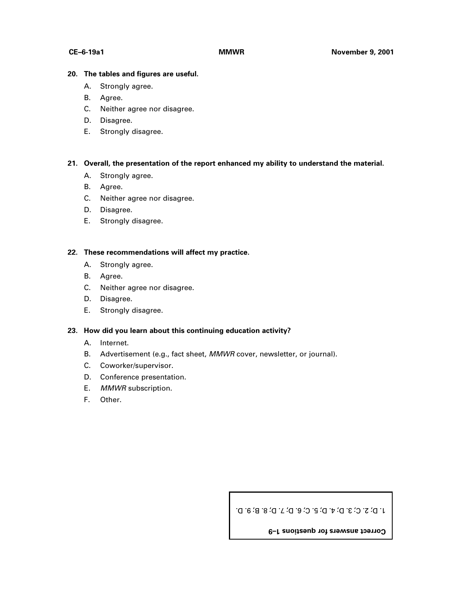### **20. The tables and figures are useful.**

- A. Strongly agree.
- B. Agree.
- C. Neither agree nor disagree.
- D. Disagree.
- E. Strongly disagree.

### **21. Overall, the presentation of the report enhanced my ability to understand the material.**

- A. Strongly agree.
- B. Agree.
- C. Neither agree nor disagree.
- D. Disagree.
- E. Strongly disagree.

### **22. These recommendations will affect my practice.**

- A. Strongly agree.
- B. Agree.
- C. Neither agree nor disagree.
- D. Disagree.
- E. Strongly disagree.

### **23. How did you learn about this continuing education activity?**

- A. Internet.
- B. Advertisement (e.g., fact sheet, MMWR cover, newsletter, or journal).
- C. Coworker/supervisor.
- D. Conference presentation.
- E. MMWR subscription.
- F. Other.

1. D; 2. C; 3. D; 4. D; 5. C; 6. D; 7. D; 8. B; 9. D.

**Correct answers for questions 1–9**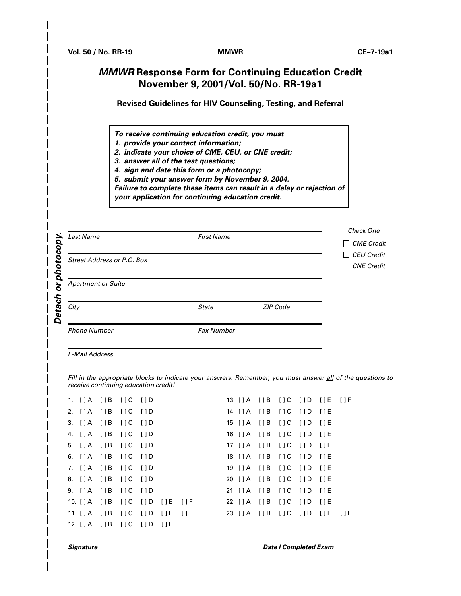# **MMWR Response Form for Continuing Education Credit November 9, 2001/Vol. 50/No. RR-19a1**

**Revised Guidelines for HIV Counseling, Testing, and Referral**

**To receive continuing education credit, you must**

**1. provide your contact information;**

**2. indicate your choice of CME, CEU, or CNE credit;**

**3. answer all of the test questions;**

**4. sign and date this form or a photocopy;**

**5. submit your answer form by November 9, 2004.**

**Failure to complete these items can result in a delay or rejection of**

**your application for continuing education credit.**

| ↘<br>o           | <b>Last Name</b>           | <b>First Name</b> |          | <b>Check One</b><br><b>CME</b> Credit<br>$\Box$          |  |  |  |
|------------------|----------------------------|-------------------|----------|----------------------------------------------------------|--|--|--|
| င္ပ<br>5,<br>oho | Street Address or P.O. Box |                   |          | $\Box$ CEU Credit<br><b>CNE</b> Credit<br>$\blacksquare$ |  |  |  |
| O<br>Ъ           | <b>Apartment or Suite</b>  |                   |          |                                                          |  |  |  |
| Deta             | City                       | <b>State</b>      | ZIP Code |                                                          |  |  |  |
|                  | <b>Phone Number</b>        | <b>Fax Number</b> |          |                                                          |  |  |  |

E-Mail Address

Fill in the appropriate blocks to indicate your answers. Remember, you must answer all of the questions to receive continuing education credit!

|  | 1. []A []B []C []D                      |  |  | 13. [ ] A [ ] B [ ] C [ ] D [ ] E [ ] F |  |  |  |
|--|-----------------------------------------|--|--|-----------------------------------------|--|--|--|
|  | 2. []A []B []C []D                      |  |  | 14. [ ] A [ ] B [ ] C [ ] D [ ] E       |  |  |  |
|  | 3. []A []B []C []D                      |  |  | 15. [ ] A [ ] B [ ] C [ ] D [ ] E       |  |  |  |
|  | 4. []A []B []C []D                      |  |  | 16. [ ] A [ ] B [ ] C [ ] D [ ] E       |  |  |  |
|  | 5. []A []B []C []D                      |  |  | 17. [ ] A [ ] B [ ] C [ ] D [ ] E       |  |  |  |
|  | 6. []A []B []C []D                      |  |  | 18. [ ] A [ ] B [ ] C [ ] D [ ] E       |  |  |  |
|  | 7. []A []B []C []D                      |  |  | 19. [ ] A [ ] B [ ] C [ ] D [ ] E       |  |  |  |
|  | 8. []A []B []C []D                      |  |  | 20. [ ] A [ ] B [ ] C [ ] D [ ] E       |  |  |  |
|  | 9. []A []B []C []D                      |  |  | 21. [ ] A [ ] B [ ] C [ ] D [ ] E       |  |  |  |
|  | 10. [ ] A [ ] B [ ] C [ ] D [ ] E [ ] F |  |  | 22. [ ] A [ ] B [ ] C [ ] D [ ] E       |  |  |  |
|  | 11. [] A [] B [] C [] D [] E [] F       |  |  |                                         |  |  |  |
|  | 12. [ ] A [ ] B [ ] C [ ] D [ ] E       |  |  |                                         |  |  |  |
|  |                                         |  |  |                                         |  |  |  |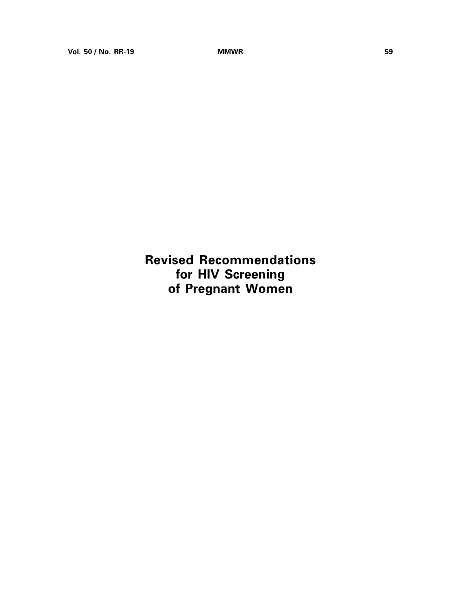**Revised Recommendations for HIV Screening of Pregnant Women**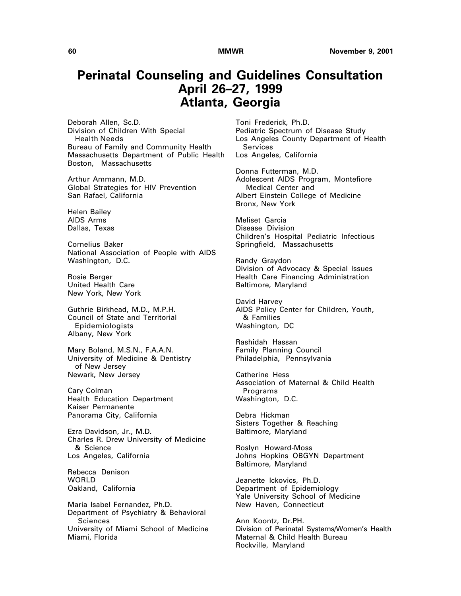# **Perinatal Counseling and Guidelines Consultation April 26–27, 1999 Atlanta, Georgia**

Deborah Allen, Sc.D. Division of Children With Special Health Needs Bureau of Family and Community Health Massachusetts Department of Public Health Boston, Massachusetts

Arthur Ammann, M.D. Global Strategies for HIV Prevention San Rafael, California

Helen Bailey AIDS Arms Dallas, Texas

Cornelius Baker National Association of People with AIDS Washington, D.C.

Rosie Berger United Health Care New York, New York

Guthrie Birkhead, M.D., M.P.H. Council of State and Territorial Epidemiologists Albany, New York

Mary Boland, M.S.N., F.A.A.N. University of Medicine & Dentistry of New Jersey Newark, New Jersey

Cary Colman Health Education Department Kaiser Permanente Panorama City, California

Ezra Davidson, Jr., M.D. Charles R. Drew University of Medicine & Science Los Angeles, California

Rebecca Denison WORLD Oakland, California

Maria Isabel Fernandez, Ph.D. Department of Psychiatry & Behavioral Sciences University of Miami School of Medicine Miami, Florida

Toni Frederick, Ph.D. Pediatric Spectrum of Disease Study Los Angeles County Department of Health Services Los Angeles, California

Donna Futterman, M.D. Adolescent AIDS Program, Montefiore Medical Center and Albert Einstein College of Medicine Bronx, New York

Meliset Garcia Disease Division Children's Hospital Pediatric Infectious Springfield, Massachusetts

Randy Graydon Division of Advocacy & Special Issues Health Care Financing Administration Baltimore, Maryland

David Harvey AIDS Policy Center for Children, Youth, & Families Washington, DC

Rashidah Hassan Family Planning Council Philadelphia, Pennsylvania

Catherine Hess Association of Maternal & Child Health **Programs** Washington, D.C.

Debra Hickman Sisters Together & Reaching Baltimore, Maryland

Roslyn Howard-Moss Johns Hopkins OBGYN Department Baltimore, Maryland

Jeanette Ickovics, Ph.D. Department of Epidemiology Yale University School of Medicine New Haven, Connecticut

Ann Koontz, Dr.PH. Division of Perinatal Systems/Women's Health Maternal & Child Health Bureau Rockville, Maryland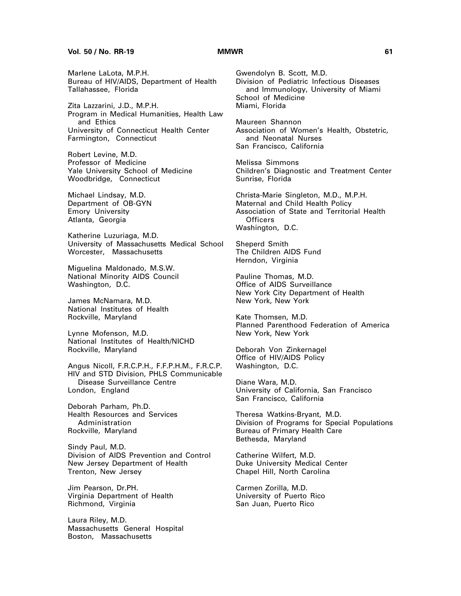#### **Vol. 50 / No. RR-19 MMWR 61**

Marlene LaLota, M.P.H. Bureau of HIV/AIDS, Department of Health Tallahassee, Florida

Zita Lazzarini, J.D., M.P.H. Program in Medical Humanities, Health Law and Ethics University of Connecticut Health Center Farmington, Connecticut

Robert Levine, M.D. Professor of Medicine Yale University School of Medicine Woodbridge, Connecticut

Michael Lindsay, M.D. Department of OB-GYN Emory University Atlanta, Georgia

Katherine Luzuriaga, M.D. University of Massachusetts Medical School Worcester, Massachusetts

Miguelina Maldonado, M.S.W. National Minority AIDS Council Washington, D.C.

James McNamara, M.D. National Institutes of Health Rockville, Maryland

Lynne Mofenson, M.D. National Institutes of Health/NICHD Rockville, Maryland

Angus Nicoll, F.R.C.P.H., F.F.P.H.M., F.R.C.P. HIV and STD Division, PHLS Communicable Disease Surveillance Centre London, England

Deborah Parham, Ph.D. Health Resources and Services Administration Rockville, Maryland

Sindy Paul, M.D. Division of AIDS Prevention and Control New Jersey Department of Health Trenton, New Jersey

Jim Pearson, Dr.PH. Virginia Department of Health Richmond, Virginia

Laura Riley, M.D. Massachusetts General Hospital Boston, Massachusetts

Gwendolyn B. Scott, M.D. Division of Pediatric Infectious Diseases and Immunology, University of Miami School of Medicine Miami, Florida

Maureen Shannon Association of Women's Health, Obstetric, and Neonatal Nurses San Francisco, California

Melissa Simmons Children's Diagnostic and Treatment Center Sunrise, Florida

Christa-Marie Singleton, M.D., M.P.H. Maternal and Child Health Policy Association of State and Territorial Health **Officers** Washington, D.C.

Sheperd Smith The Children AIDS Fund Herndon, Virginia

Pauline Thomas, M.D. Office of AIDS Surveillance New York City Department of Health New York, New York

Kate Thomsen, M.D. Planned Parenthood Federation of America New York, New York

Deborah Von Zinkernagel Office of HIV/AIDS Policy Washington, D.C.

Diane Wara, M.D. University of California, San Francisco San Francisco, California

Theresa Watkins-Bryant, M.D. Division of Programs for Special Populations Bureau of Primary Health Care Bethesda, Maryland

Catherine Wilfert, M.D. Duke University Medical Center Chapel Hill, North Carolina

Carmen Zorilla, M.D. University of Puerto Rico San Juan, Puerto Rico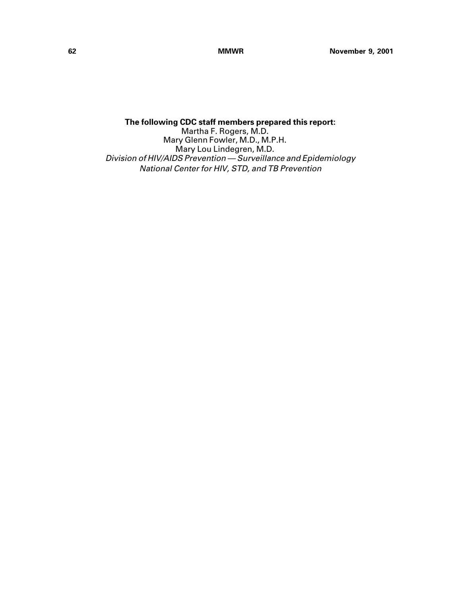**The following CDC staff members prepared this report:** Martha F. Rogers, M.D. Mary Glenn Fowler, M.D., M.P.H. Mary Lou Lindegren, M.D. Division of HIV/AIDS Prevention — Surveillance and Epidemiology National Center for HIV, STD, and TB Prevention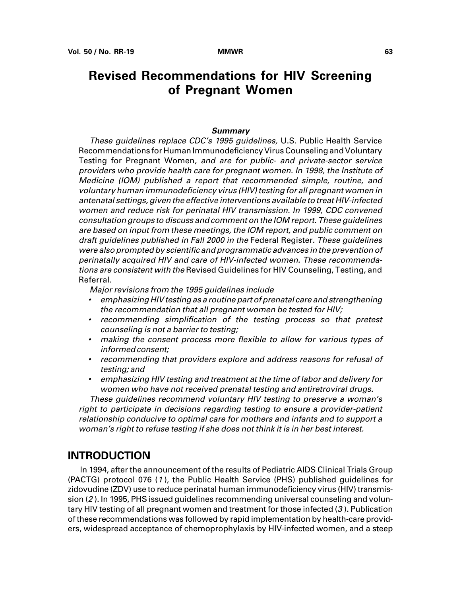# **Revised Recommendations for HIV Screening of Pregnant Women**

#### **Summary**

These guidelines replace CDC's 1995 guidelines, U.S. Public Health Service Recommendations for Human Immunodeficiency Virus Counseling and Voluntary Testing for Pregnant Women, and are for public- and private-sector service providers who provide health care for pregnant women. In 1998, the Institute of Medicine (IOM) published a report that recommended simple, routine, and voluntary human immunodeficiency virus (HIV) testing for all pregnant women in antenatal settings, given the effective interventions available to treat HIV-infected women and reduce risk for perinatal HIV transmission. In 1999, CDC convened consultation groups to discuss and comment on the IOM report. These guidelines are based on input from these meetings, the IOM report, and public comment on draft guidelines published in Fall 2000 in the Federal Register. These guidelines were also prompted by scientific and programmatic advances in the prevention of perinatally acquired HIV and care of HIV-infected women. These recommendations are consistent with the Revised Guidelines for HIV Counseling, Testing, and Referral.

Major revisions from the 1995 guidelines include

- • emphasizing HIV testing as a routine part of prenatal care and strengthening the recommendation that all pregnant women be tested for HIV;
- recommending simplification of the testing process so that pretest counseling is not a barrier to testing;
- making the consent process more flexible to allow for various types of informed consent;
- recommending that providers explore and address reasons for refusal of testing; and
- • emphasizing HIV testing and treatment at the time of labor and delivery for women who have not received prenatal testing and antiretroviral drugs.

These guidelines recommend voluntary HIV testing to preserve a woman's right to participate in decisions regarding testing to ensure a provider-patient relationship conducive to optimal care for mothers and infants and to support a woman's right to refuse testing if she does not think it is in her best interest.

## **INTRODUCTION**

In 1994, after the announcement of the results of Pediatric AIDS Clinical Trials Group (PACTG) protocol 076 (<sup>1</sup> ), the Public Health Service (PHS) published guidelines for zidovudine (ZDV) use to reduce perinatal human immunodeficiency virus (HIV) transmission (2 ). In 1995, PHS issued guidelines recommending universal counseling and voluntary HIV testing of all pregnant women and treatment for those infected (3 ). Publication of these recommendations was followed by rapid implementation by health-care providers, widespread acceptance of chemoprophylaxis by HIV-infected women, and a steep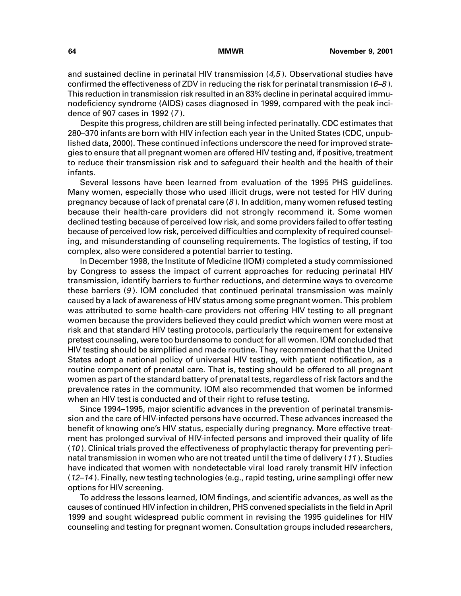and sustained decline in perinatal HIV transmission (4,5 ). Observational studies have confirmed the effectiveness of ZDV in reducing the risk for perinatal transmission  $(6-8)$ . This reduction in transmission risk resulted in an 83% decline in perinatal acquired immunodeficiency syndrome (AIDS) cases diagnosed in 1999, compared with the peak incidence of 907 cases in 1992 (<sup>7</sup> ).

Despite this progress, children are still being infected perinatally. CDC estimates that 280–370 infants are born with HIV infection each year in the United States (CDC, unpublished data, 2000). These continued infections underscore the need for improved strategies to ensure that all pregnant women are offered HIV testing and, if positive, treatment to reduce their transmission risk and to safeguard their health and the health of their infants.

Several lessons have been learned from evaluation of the 1995 PHS guidelines. Many women, especially those who used illicit drugs, were not tested for HIV during pregnancy because of lack of prenatal care  $(8)$ . In addition, many women refused testing because their health-care providers did not strongly recommend it. Some women declined testing because of perceived low risk, and some providers failed to offer testing because of perceived low risk, perceived difficulties and complexity of required counseling, and misunderstanding of counseling requirements. The logistics of testing, if too complex, also were considered a potential barrier to testing.

In December 1998, the Institute of Medicine (IOM) completed a study commissioned by Congress to assess the impact of current approaches for reducing perinatal HIV transmission, identify barriers to further reductions, and determine ways to overcome these barriers (9 ). IOM concluded that continued perinatal transmission was mainly caused by a lack of awareness of HIV status among some pregnant women. This problem was attributed to some health-care providers not offering HIV testing to all pregnant women because the providers believed they could predict which women were most at risk and that standard HIV testing protocols, particularly the requirement for extensive pretest counseling, were too burdensome to conduct for all women. IOM concluded that HIV testing should be simplified and made routine. They recommended that the United States adopt a national policy of universal HIV testing, with patient notification, as a routine component of prenatal care. That is, testing should be offered to all pregnant women as part of the standard battery of prenatal tests, regardless of risk factors and the prevalence rates in the community. IOM also recommended that women be informed when an HIV test is conducted and of their right to refuse testing.

Since 1994–1995, major scientific advances in the prevention of perinatal transmission and the care of HIV-infected persons have occurred. These advances increased the benefit of knowing one's HIV status, especially during pregnancy. More effective treatment has prolonged survival of HIV-infected persons and improved their quality of life  $(10)$ . Clinical trials proved the effectiveness of prophylactic therapy for preventing perinatal transmission in women who are not treated until the time of delivery (<sup>11</sup> ). Studies have indicated that women with nondetectable viral load rarely transmit HIV infection (12–14 ). Finally, new testing technologies (e.g., rapid testing, urine sampling) offer new options for HIV screening.

To address the lessons learned, IOM findings, and scientific advances, as well as the causes of continued HIV infection in children, PHS convened specialists in the field in April 1999 and sought widespread public comment in revising the 1995 guidelines for HIV counseling and testing for pregnant women. Consultation groups included researchers,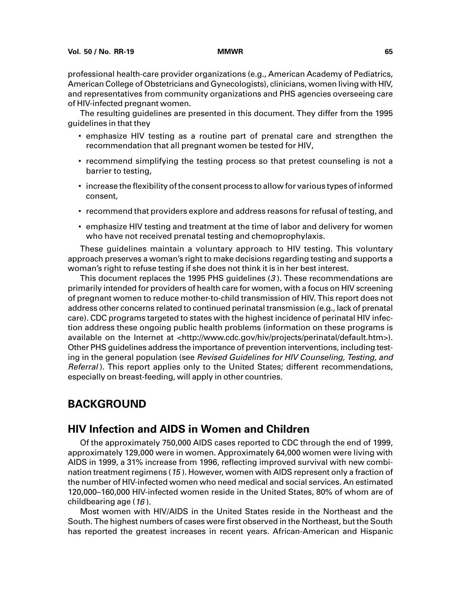professional health-care provider organizations (e.g., American Academy of Pediatrics, American College of Obstetricians and Gynecologists), clinicians, women living with HIV, and representatives from community organizations and PHS agencies overseeing care of HIV-infected pregnant women.

The resulting guidelines are presented in this document. They differ from the 1995 guidelines in that they

- emphasize HIV testing as a routine part of prenatal care and strengthen the recommendation that all pregnant women be tested for HIV,
- recommend simplifying the testing process so that pretest counseling is not a barrier to testing,
- increase the flexibility of the consent process to allow for various types of informed consent,
- recommend that providers explore and address reasons for refusal of testing, and
- emphasize HIV testing and treatment at the time of labor and delivery for women who have not received prenatal testing and chemoprophylaxis.

These guidelines maintain a voluntary approach to HIV testing. This voluntary approach preserves a woman's right to make decisions regarding testing and supports a woman's right to refuse testing if she does not think it is in her best interest.

This document replaces the 1995 PHS guidelines (3 ). These recommendations are primarily intended for providers of health care for women, with a focus on HIV screening of pregnant women to reduce mother-to-child transmission of HIV. This report does not address other concerns related to continued perinatal transmission (e.g., lack of prenatal care). CDC programs targeted to states with the highest incidence of perinatal HIV infection address these ongoing public health problems (information on these programs is available on the Internet at [<http://www.cdc.gov/hiv/projects/perinatal/default.htm>\).](http://www.cdc.gov/hiv/projects/perinatal/default.htm) Other PHS guidelines address the importance of prevention interventions, including testing in the general population (see Revised Guidelines for HIV Counseling, Testing, and Referral). This report applies only to the United States; different recommendations, especially on breast-feeding, will apply in other countries.

## **BACKGROUND**

## **HIV Infection and AIDS in Women and Children**

Of the approximately 750,000 AIDS cases reported to CDC through the end of 1999, approximately 129,000 were in women. Approximately 64,000 women were living with AIDS in 1999, a 31% increase from 1996, reflecting improved survival with new combination treatment regimens (15 ). However, women with AIDS represent only a fraction of the number of HIV-infected women who need medical and social services. An estimated 120,000–160,000 HIV-infected women reside in the United States, 80% of whom are of childbearing age (16 ).

Most women with HIV/AIDS in the United States reside in the Northeast and the South. The highest numbers of cases were first observed in the Northeast, but the South has reported the greatest increases in recent years. African-American and Hispanic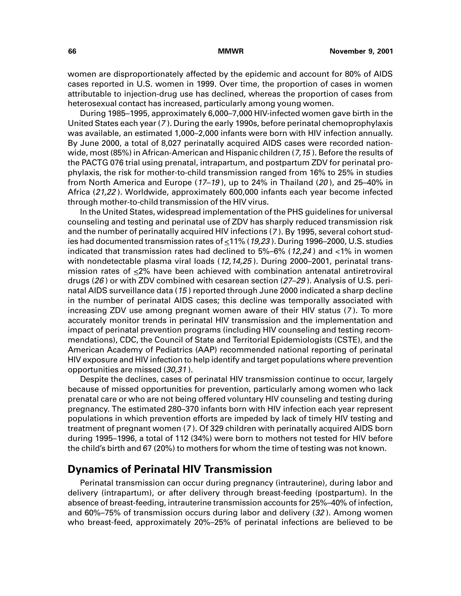women are disproportionately affected by the epidemic and account for 80% of AIDS cases reported in U.S. women in 1999. Over time, the proportion of cases in women attributable to injection-drug use has declined, whereas the proportion of cases from heterosexual contact has increased, particularly among young women.

During 1985–1995, approximately 6,000–7,000 HIV-infected women gave birth in the United States each year (<sup>7</sup> ). During the early 1990s, before perinatal chemoprophylaxis was available, an estimated 1,000–2,000 infants were born with HIV infection annually. By June 2000, a total of 8,027 perinatally acquired AIDS cases were recorded nationwide, most (85%) in African-American and Hispanic children ( $7,15$ ). Before the results of the PACTG 076 trial using prenatal, intrapartum, and postpartum ZDV for perinatal prophylaxis, the risk for mother-to-child transmission ranged from 16% to 25% in studies from North America and Europe  $(17-19)$ , up to 24% in Thailand  $(20)$ , and 25-40% in Africa (21,22 ). Worldwide, approximately 600,000 infants each year become infected through mother-to-child transmission of the HIV virus.

In the United States, widespread implementation of the PHS guidelines for universal counseling and testing and perinatal use of ZDV has sharply reduced transmission risk and the number of perinatally acquired HIV infections (<sup>7</sup> ). By 1995, several cohort studies had documented transmission rates of  $\leq$ 11% (19,23). During 1996–2000, U.S. studies indicated that transmission rates had declined to 5%–6% (12,24 ) and <1% in women with nondetectable plasma viral loads (12,14,25). During 2000–2001, perinatal transmission rates of  $\leq 2\%$  have been achieved with combination antenatal antiretroviral drugs ( $26$ ) or with ZDV combined with cesarean section ( $27-29$ ). Analysis of U.S. perinatal AIDS surveillance data (15 ) reported through June 2000 indicated a sharp decline in the number of perinatal AIDS cases; this decline was temporally associated with increasing ZDV use among pregnant women aware of their HIV status (<sup>7</sup> ). To more accurately monitor trends in perinatal HIV transmission and the implementation and impact of perinatal prevention programs (including HIV counseling and testing recommendations), CDC, the Council of State and Territorial Epidemiologists (CSTE), and the American Academy of Pediatrics (AAP) recommended national reporting of perinatal HIV exposure and HIV infection to help identify and target populations where prevention opportunities are missed (30,31 ).

Despite the declines, cases of perinatal HIV transmission continue to occur, largely because of missed opportunities for prevention, particularly among women who lack prenatal care or who are not being offered voluntary HIV counseling and testing during pregnancy. The estimated 280–370 infants born with HIV infection each year represent populations in which prevention efforts are impeded by lack of timely HIV testing and treatment of pregnant women (<sup>7</sup> ). Of 329 children with perinatally acquired AIDS born during 1995–1996, a total of 112 (34%) were born to mothers not tested for HIV before the child's birth and 67 (20%) to mothers for whom the time of testing was not known.

## **Dynamics of Perinatal HIV Transmission**

Perinatal transmission can occur during pregnancy (intrauterine), during labor and delivery (intrapartum), or after delivery through breast-feeding (postpartum). In the absence of breast-feeding, intrauterine transmission accounts for 25%–40% of infection, and 60%–75% of transmission occurs during labor and delivery (32 ). Among women who breast-feed, approximately 20%–25% of perinatal infections are believed to be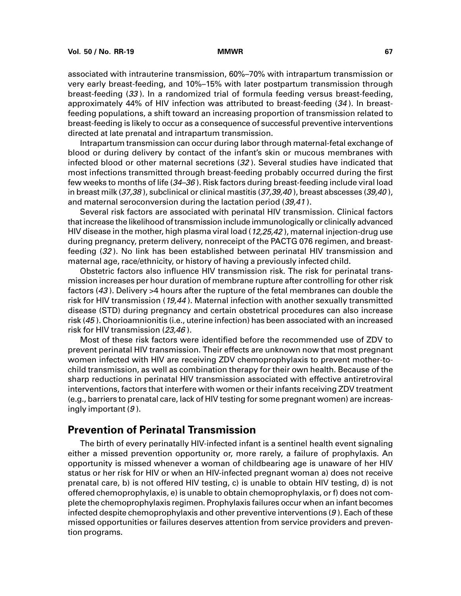associated with intrauterine transmission, 60%–70% with intrapartum transmission or very early breast-feeding, and 10%–15% with later postpartum transmission through breast-feeding (33 ). In a randomized trial of formula feeding versus breast-feeding, approximately 44% of HIV infection was attributed to breast-feeding (34 ). In breastfeeding populations, a shift toward an increasing proportion of transmission related to breast-feeding is likely to occur as a consequence of successful preventive interventions directed at late prenatal and intrapartum transmission.

Intrapartum transmission can occur during labor through maternal-fetal exchange of blood or during delivery by contact of the infant's skin or mucous membranes with infected blood or other maternal secretions (32 ). Several studies have indicated that most infections transmitted through breast-feeding probably occurred during the first few weeks to months of life (34–36 ). Risk factors during breast-feeding include viral load in breast milk (37,38), subclinical or clinical mastitis (37,39,40), breast abscesses (39,40), and maternal seroconversion during the lactation period (39,41 ).

Several risk factors are associated with perinatal HIV transmission. Clinical factors that increase the likelihood of transmission include immunologically or clinically advanced HIV disease in the mother, high plasma viral load  $(12,25,42)$ , maternal injection-drug use during pregnancy, preterm delivery, nonreceipt of the PACTG 076 regimen, and breastfeeding (32 ). No link has been established between perinatal HIV transmission and maternal age, race/ethnicity, or history of having a previously infected child.

Obstetric factors also influence HIV transmission risk. The risk for perinatal transmission increases per hour duration of membrane rupture after controlling for other risk factors (43 ). Delivery >4 hours after the rupture of the fetal membranes can double the risk for HIV transmission (19,44 ). Maternal infection with another sexually transmitted disease (STD) during pregnancy and certain obstetrical procedures can also increase risk (45 ). Chorioamnionitis (i.e., uterine infection) has been associated with an increased risk for HIV transmission (23,46 ).

Most of these risk factors were identified before the recommended use of ZDV to prevent perinatal HIV transmission. Their effects are unknown now that most pregnant women infected with HIV are receiving ZDV chemoprophylaxis to prevent mother-tochild transmission, as well as combination therapy for their own health. Because of the sharp reductions in perinatal HIV transmission associated with effective antiretroviral interventions, factors that interfere with women or their infants receiving ZDV treatment (e.g., barriers to prenatal care, lack of HIV testing for some pregnant women) are increasingly important  $(9)$ .

## **Prevention of Perinatal Transmission**

The birth of every perinatally HIV-infected infant is a sentinel health event signaling either a missed prevention opportunity or, more rarely, a failure of prophylaxis. An opportunity is missed whenever a woman of childbearing age is unaware of her HIV status or her risk for HIV or when an HIV-infected pregnant woman a) does not receive prenatal care, b) is not offered HIV testing, c) is unable to obtain HIV testing, d) is not offered chemoprophylaxis, e) is unable to obtain chemoprophylaxis, or f) does not complete the chemoprophylaxis regimen. Prophylaxis failures occur when an infant becomes infected despite chemoprophylaxis and other preventive interventions (9 ). Each of these missed opportunities or failures deserves attention from service providers and prevention programs.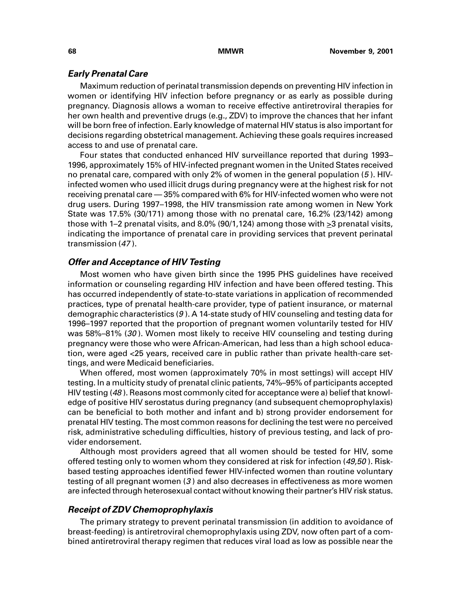### **Early Prenatal Care**

Maximum reduction of perinatal transmission depends on preventing HIV infection in women or identifying HIV infection before pregnancy or as early as possible during pregnancy. Diagnosis allows a woman to receive effective antiretroviral therapies for her own health and preventive drugs (e.g., ZDV) to improve the chances that her infant will be born free of infection. Early knowledge of maternal HIV status is also important for decisions regarding obstetrical management. Achieving these goals requires increased access to and use of prenatal care.

Four states that conducted enhanced HIV surveillance reported that during 1993– 1996, approximately 15% of HIV-infected pregnant women in the United States received no prenatal care, compared with only 2% of women in the general population (5 ). HIVinfected women who used illicit drugs during pregnancy were at the highest risk for not receiving prenatal care — 35% compared with 6% for HIV-infected women who were not drug users. During 1997–1998, the HIV transmission rate among women in New York State was 17.5% (30/171) among those with no prenatal care, 16.2% (23/142) among those with 1–2 prenatal visits, and 8.0% (90/1,124) among those with  $\geq$ 3 prenatal visits, indicating the importance of prenatal care in providing services that prevent perinatal transmission (<sup>47</sup> ).

### **Offer and Acceptance of HIV Testing**

Most women who have given birth since the 1995 PHS guidelines have received information or counseling regarding HIV infection and have been offered testing. This has occurred independently of state-to-state variations in application of recommended practices, type of prenatal health-care provider, type of patient insurance, or maternal demographic characteristics (9 ). A 14-state study of HIV counseling and testing data for 1996–1997 reported that the proportion of pregnant women voluntarily tested for HIV was 58%–81% (30). Women most likely to receive HIV counseling and testing during pregnancy were those who were African-American, had less than a high school education, were aged <25 years, received care in public rather than private health-care settings, and were Medicaid beneficiaries.

When offered, most women (approximately 70% in most settings) will accept HIV testing. In a multicity study of prenatal clinic patients, 74%–95% of participants accepted HIV testing (48). Reasons most commonly cited for acceptance were a) belief that knowledge of positive HIV serostatus during pregnancy (and subsequent chemoprophylaxis) can be beneficial to both mother and infant and b) strong provider endorsement for prenatal HIV testing. The most common reasons for declining the test were no perceived risk, administrative scheduling difficulties, history of previous testing, and lack of provider endorsement.

Although most providers agreed that all women should be tested for HIV, some offered testing only to women whom they considered at risk for infection (49,50). Riskbased testing approaches identified fewer HIV-infected women than routine voluntary testing of all pregnant women (3 ) and also decreases in effectiveness as more women are infected through heterosexual contact without knowing their partner's HIV risk status.

### **Receipt of ZDV Chemoprophylaxis**

The primary strategy to prevent perinatal transmission (in addition to avoidance of breast-feeding) is antiretroviral chemoprophylaxis using ZDV, now often part of a combined antiretroviral therapy regimen that reduces viral load as low as possible near the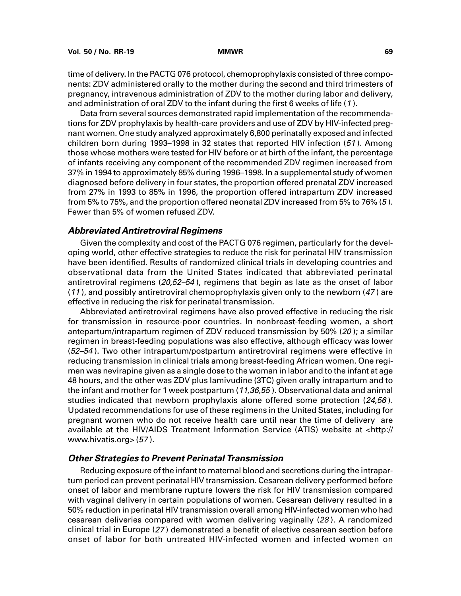time of delivery. In the PACTG 076 protocol, chemoprophylaxis consisted of three components: ZDV administered orally to the mother during the second and third trimesters of pregnancy, intravenous administration of ZDV to the mother during labor and delivery, and administration of oral ZDV to the infant during the first 6 weeks of life (<sup>1</sup> ).

Data from several sources demonstrated rapid implementation of the recommendations for ZDV prophylaxis by health-care providers and use of ZDV by HIV-infected pregnant women. One study analyzed approximately 6,800 perinatally exposed and infected children born during 1993–1998 in 32 states that reported HIV infection (51 ). Among those whose mothers were tested for HIV before or at birth of the infant, the percentage of infants receiving any component of the recommended ZDV regimen increased from 37% in 1994 to approximately 85% during 1996–1998. In a supplemental study of women diagnosed before delivery in four states, the proportion offered prenatal ZDV increased from 27% in 1993 to 85% in 1996, the proportion offered intrapartum ZDV increased from 5% to 75%, and the proportion offered neonatal ZDV increased from 5% to 76% (5 ). Fewer than 5% of women refused ZDV.

### **Abbreviated Antiretroviral Regimens**

Given the complexity and cost of the PACTG 076 regimen, particularly for the developing world, other effective strategies to reduce the risk for perinatal HIV transmission have been identified. Results of randomized clinical trials in developing countries and observational data from the United States indicated that abbreviated perinatal antiretroviral regimens (20,52–54 ), regimens that begin as late as the onset of labor (<sup>11</sup> ), and possibly antiretroviral chemoprophylaxis given only to the newborn (<sup>47</sup> ) are effective in reducing the risk for perinatal transmission.

Abbreviated antiretroviral regimens have also proved effective in reducing the risk for transmission in resource-poor countries. In nonbreast-feeding women, a short antepartum/intrapartum regimen of ZDV reduced transmission by 50% (20 ); a similar regimen in breast-feeding populations was also effective, although efficacy was lower (52–54 ). Two other intrapartum/postpartum antiretroviral regimens were effective in reducing transmission in clinical trials among breast-feeding African women. One regimen was nevirapine given as a single dose to the woman in labor and to the infant at age 48 hours, and the other was ZDV plus lamivudine (3TC) given orally intrapartum and to the infant and mother for 1 week postpartum (11,36,55). Observational data and animal studies indicated that newborn prophylaxis alone offered some protection (24,56). Updated recommendations for use of these regimens in the United States, including for pregnant women who do not receive health care until near the time of delivery are available at the HIV/AIDS Treatment Information Service (ATIS) website at [<http://](http://www.hivatis.org) [www.hivatis.org> \(](http://www.hivatis.org)57 ).

### **Other Strategies to Prevent Perinatal Transmission**

Reducing exposure of the infant to maternal blood and secretions during the intrapartum period can prevent perinatal HIV transmission. Cesarean delivery performed before onset of labor and membrane rupture lowers the risk for HIV transmission compared with vaginal delivery in certain populations of women. Cesarean delivery resulted in a 50% reduction in perinatal HIV transmission overall among HIV-infected women who had cesarean deliveries compared with women delivering vaginally (28 ). A randomized clinical trial in Europe (27 ) demonstrated a benefit of elective cesarean section before onset of labor for both untreated HIV-infected women and infected women on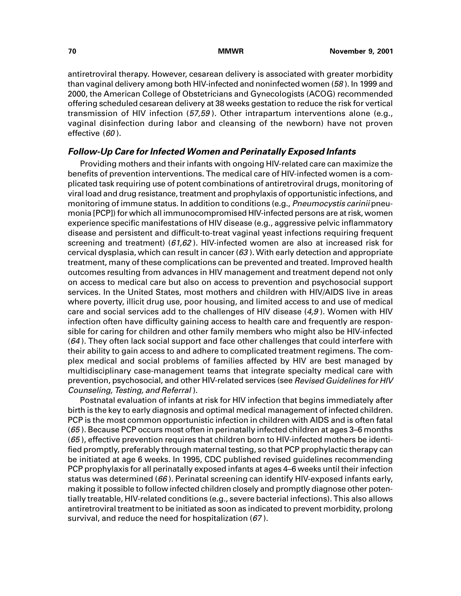antiretroviral therapy. However, cesarean delivery is associated with greater morbidity than vaginal delivery among both HIV-infected and noninfected women (58 ). In 1999 and 2000, the American College of Obstetricians and Gynecologists (ACOG) recommended offering scheduled cesarean delivery at 38 weeks gestation to reduce the risk for vertical transmission of HIV infection (57,59). Other intrapartum interventions alone (e.g., vaginal disinfection during labor and cleansing of the newborn) have not proven effective (60).

### **Follow-Up Care for Infected Women and Perinatally Exposed Infants**

Providing mothers and their infants with ongoing HIV-related care can maximize the benefits of prevention interventions. The medical care of HIV-infected women is a complicated task requiring use of potent combinations of antiretroviral drugs, monitoring of viral load and drug resistance, treatment and prophylaxis of opportunistic infections, and monitoring of immune status. In addition to conditions (e.g., Pneumocystis carinii pneumonia [PCP]) for which all immunocompromised HIV-infected persons are at risk, women experience specific manifestations of HIV disease (e.g., aggressive pelvic inflammatory disease and persistent and difficult-to-treat vaginal yeast infections requiring frequent screening and treatment) (61,62). HIV-infected women are also at increased risk for cervical dysplasia, which can result in cancer  $(63)$ . With early detection and appropriate treatment, many of these complications can be prevented and treated. Improved health outcomes resulting from advances in HIV management and treatment depend not only on access to medical care but also on access to prevention and psychosocial support services. In the United States, most mothers and children with HIV/AIDS live in areas where poverty, illicit drug use, poor housing, and limited access to and use of medical care and social services add to the challenges of HIV disease  $(4,9)$ . Women with HIV infection often have difficulty gaining access to health care and frequently are responsible for caring for children and other family members who might also be HIV-infected  $(64)$ . They often lack social support and face other challenges that could interfere with their ability to gain access to and adhere to complicated treatment regimens. The complex medical and social problems of families affected by HIV are best managed by multidisciplinary case-management teams that integrate specialty medical care with prevention, psychosocial, and other HIV-related services (see Revised Guidelines for HIV Counseling, Testing, and Referral ).

Postnatal evaluation of infants at risk for HIV infection that begins immediately after birth is the key to early diagnosis and optimal medical management of infected children. PCP is the most common opportunistic infection in children with AIDS and is often fatal (65 ). Because PCP occurs most often in perinatally infected children at ages 3–6 months (65 ), effective prevention requires that children born to HIV-infected mothers be identified promptly, preferably through maternal testing, so that PCP prophylactic therapy can be initiated at age 6 weeks. In 1995, CDC published revised guidelines recommending PCP prophylaxis for all perinatally exposed infants at ages 4–6 weeks until their infection status was determined ( $66$ ). Perinatal screening can identify HIV-exposed infants early, making it possible to follow infected children closely and promptly diagnose other potentially treatable, HIV-related conditions (e.g., severe bacterial infections). This also allows antiretroviral treatment to be initiated as soon as indicated to prevent morbidity, prolong survival, and reduce the need for hospitalization (67 ).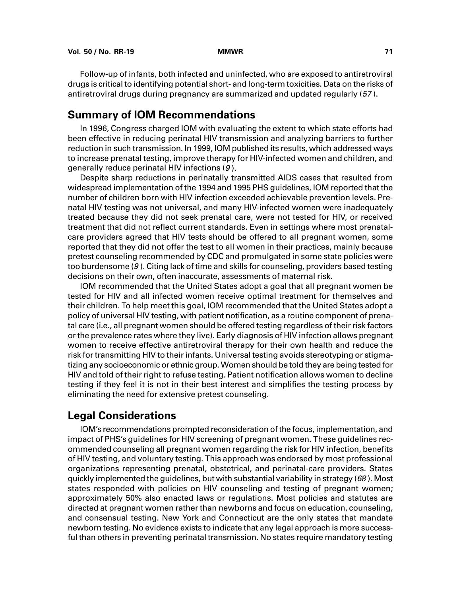Follow-up of infants, both infected and uninfected, who are exposed to antiretroviral drugs is critical to identifying potential short- and long-term toxicities. Data on the risks of antiretroviral drugs during pregnancy are summarized and updated regularly (57 ).

## **Summary of IOM Recommendations**

In 1996, Congress charged IOM with evaluating the extent to which state efforts had been effective in reducing perinatal HIV transmission and analyzing barriers to further reduction in such transmission. In 1999, IOM published its results, which addressed ways to increase prenatal testing, improve therapy for HIV-infected women and children, and generally reduce perinatal HIV infections (9 ).

Despite sharp reductions in perinatally transmitted AIDS cases that resulted from widespread implementation of the 1994 and 1995 PHS guidelines, IOM reported that the number of children born with HIV infection exceeded achievable prevention levels. Prenatal HIV testing was not universal, and many HIV-infected women were inadequately treated because they did not seek prenatal care, were not tested for HIV, or received treatment that did not reflect current standards. Even in settings where most prenatalcare providers agreed that HIV tests should be offered to all pregnant women, some reported that they did not offer the test to all women in their practices, mainly because pretest counseling recommended by CDC and promulgated in some state policies were too burdensome (9 ). Citing lack of time and skills for counseling, providers based testing decisions on their own, often inaccurate, assessments of maternal risk.

IOM recommended that the United States adopt a goal that all pregnant women be tested for HIV and all infected women receive optimal treatment for themselves and their children. To help meet this goal, IOM recommended that the United States adopt a policy of universal HIV testing, with patient notification, as a routine component of prenatal care (i.e., all pregnant women should be offered testing regardless of their risk factors or the prevalence rates where they live). Early diagnosis of HIV infection allows pregnant women to receive effective antiretroviral therapy for their own health and reduce the risk for transmitting HIV to their infants. Universal testing avoids stereotyping or stigmatizing any socioeconomic or ethnic group. Women should be told they are being tested for HIV and told of their right to refuse testing. Patient notification allows women to decline testing if they feel it is not in their best interest and simplifies the testing process by eliminating the need for extensive pretest counseling.

## **Legal Considerations**

IOM's recommendations prompted reconsideration of the focus, implementation, and impact of PHS's guidelines for HIV screening of pregnant women. These guidelines recommended counseling all pregnant women regarding the risk for HIV infection, benefits of HIV testing, and voluntary testing. This approach was endorsed by most professional organizations representing prenatal, obstetrical, and perinatal-care providers. States quickly implemented the guidelines, but with substantial variability in strategy ( $68$ ). Most states responded with policies on HIV counseling and testing of pregnant women; approximately 50% also enacted laws or regulations. Most policies and statutes are directed at pregnant women rather than newborns and focus on education, counseling, and consensual testing. New York and Connecticut are the only states that mandate newborn testing. No evidence exists to indicate that any legal approach is more successful than others in preventing perinatal transmission. No states require mandatory testing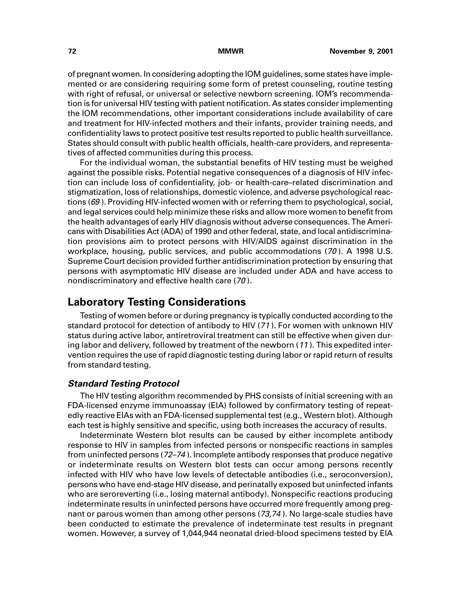of pregnant women. In considering adopting the IOM guidelines, some states have implemented or are considering requiring some form of pretest counseling, routine testing with right of refusal, or universal or selective newborn screening. IOM's recommendation is for universal HIV testing with patient notification. As states consider implementing the IOM recommendations, other important considerations include availability of care and treatment for HIV-infected mothers and their infants, provider training needs, and confidentiality laws to protect positive test results reported to public health surveillance. States should consult with public health officials, health-care providers, and representatives of affected communities during this process.

For the individual woman, the substantial benefits of HIV testing must be weighed against the possible risks. Potential negative consequences of a diagnosis of HIV infection can include loss of confidentiality, job- or health-care–related discrimination and stigmatization, loss of relationships, domestic violence, and adverse psychological reactions (69). Providing HIV-infected women with or referring them to psychological, social, and legal services could help minimize these risks and allow more women to benefit from the health advantages of early HIV diagnosis without adverse consequences. The Americans with Disabilities Act (ADA) of 1990 and other federal, state, and local antidiscrimination provisions aim to protect persons with HIV/AIDS against discrimination in the workplace, housing, public services, and public accommodations (70 ). A 1998 U.S. Supreme Court decision provided further antidiscrimination protection by ensuring that persons with asymptomatic HIV disease are included under ADA and have access to nondiscriminatory and effective health care (70 ).

## **Laboratory Testing Considerations**

Testing of women before or during pregnancy is typically conducted according to the standard protocol for detection of antibody to HIV (<sup>71</sup> ). For women with unknown HIV status during active labor, antiretroviral treatment can still be effective when given during labor and delivery, followed by treatment of the newborn (<sup>11</sup> ). This expedited intervention requires the use of rapid diagnostic testing during labor or rapid return of results from standard testing.

## **Standard Testing Protocol**

The HIV testing algorithm recommended by PHS consists of initial screening with an FDA-licensed enzyme immunoassay (EIA) followed by confirmatory testing of repeatedly reactive EIAs with an FDA-licensed supplemental test (e.g., Western blot). Although each test is highly sensitive and specific, using both increases the accuracy of results.

Indeterminate Western blot results can be caused by either incomplete antibody response to HIV in samples from infected persons or nonspecific reactions in samples from uninfected persons (72–74 ). Incomplete antibody responses that produce negative or indeterminate results on Western blot tests can occur among persons recently infected with HIV who have low levels of detectable antibodies (i.e., seroconversion), persons who have end-stage HIV disease, and perinatally exposed but uninfected infants who are seroreverting (i.e., losing maternal antibody). Nonspecific reactions producing indeterminate results in uninfected persons have occurred more frequently among pregnant or parous women than among other persons (73,74 ). No large-scale studies have been conducted to estimate the prevalence of indeterminate test results in pregnant women. However, a survey of 1,044,944 neonatal dried-blood specimens tested by EIA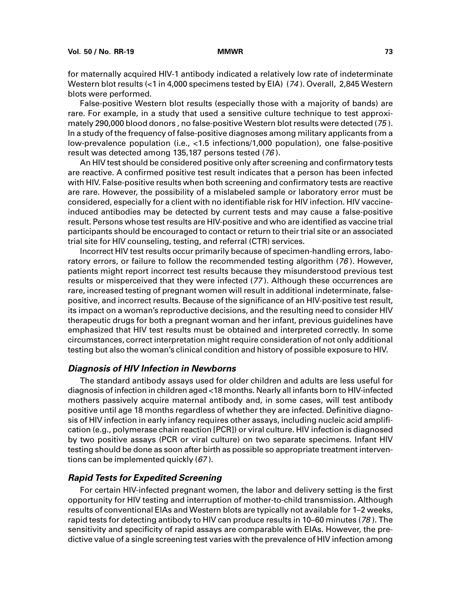for maternally acquired HIV-1 antibody indicated a relatively low rate of indeterminate Western blot results (<1 in 4,000 specimens tested by EIA) (74). Overall, 2,845 Western blots were performed.

False-positive Western blot results (especially those with a majority of bands) are rare. For example, in a study that used a sensitive culture technique to test approximately 290,000 blood donors , no false-positive Western blot results were detected (75 ). In a study of the frequency of false-positive diagnoses among military applicants from a low-prevalence population (i.e., <1.5 infections/1,000 population), one false-positive result was detected among 135,187 persons tested (76 ).

An HIV test should be considered positive only after screening and confirmatory tests are reactive. A confirmed positive test result indicates that a person has been infected with HIV. False-positive results when both screening and confirmatory tests are reactive are rare. However, the possibility of a mislabeled sample or laboratory error must be considered, especially for a client with no identifiable risk for HIV infection. HIV vaccineinduced antibodies may be detected by current tests and may cause a false-positive result. Persons whose test results are HIV-positive and who are identified as vaccine trial participants should be encouraged to contact or return to their trial site or an associated trial site for HIV counseling, testing, and referral (CTR) services.

Incorrect HIV test results occur primarily because of specimen-handling errors, laboratory errors, or failure to follow the recommended testing algorithm (76). However, patients might report incorrect test results because they misunderstood previous test results or misperceived that they were infected (<sup>77</sup> ). Although these occurrences are rare, increased testing of pregnant women will result in additional indeterminate, falsepositive, and incorrect results. Because of the significance of an HIV-positive test result, its impact on a woman's reproductive decisions, and the resulting need to consider HIV therapeutic drugs for both a pregnant woman and her infant, previous guidelines have emphasized that HIV test results must be obtained and interpreted correctly. In some circumstances, correct interpretation might require consideration of not only additional testing but also the woman's clinical condition and history of possible exposure to HIV.

### **Diagnosis of HIV Infection in Newborns**

The standard antibody assays used for older children and adults are less useful for diagnosis of infection in children aged <18 months. Nearly all infants born to HIV-infected mothers passively acquire maternal antibody and, in some cases, will test antibody positive until age 18 months regardless of whether they are infected. Definitive diagnosis of HIV infection in early infancy requires other assays, including nucleic acid amplification (e.g., polymerase chain reaction [PCR]) or viral culture. HIV infection is diagnosed by two positive assays (PCR or viral culture) on two separate specimens. Infant HIV testing should be done as soon after birth as possible so appropriate treatment interventions can be implemented quickly  $(67)$ .

### **Rapid Tests for Expedited Screening**

For certain HIV-infected pregnant women, the labor and delivery setting is the first opportunity for HIV testing and interruption of mother-to-child transmission. Although results of conventional EIAs and Western blots are typically not available for 1–2 weeks, rapid tests for detecting antibody to HIV can produce results in 10–60 minutes (78 ). The sensitivity and specificity of rapid assays are comparable with EIAs. However, the predictive value of a single screening test varies with the prevalence of HIV infection among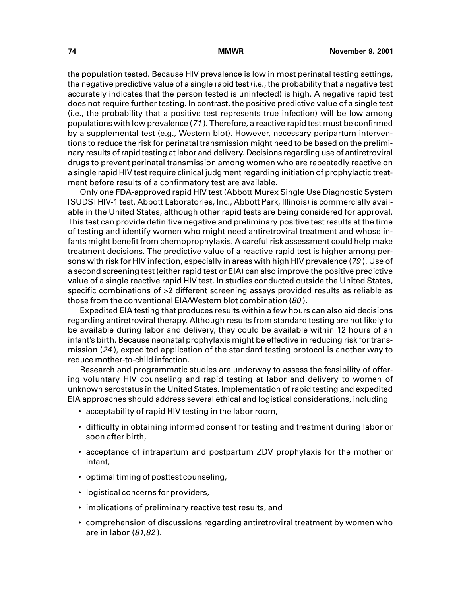the population tested. Because HIV prevalence is low in most perinatal testing settings, the negative predictive value of a single rapid test (i.e., the probability that a negative test accurately indicates that the person tested is uninfected) is high. A negative rapid test does not require further testing. In contrast, the positive predictive value of a single test (i.e., the probability that a positive test represents true infection) will be low among populations with low prevalence (<sup>71</sup> ). Therefore, a reactive rapid test must be confirmed by a supplemental test (e.g., Western blot). However, necessary peripartum interventions to reduce the risk for perinatal transmission might need to be based on the preliminary results of rapid testing at labor and delivery. Decisions regarding use of antiretroviral drugs to prevent perinatal transmission among women who are repeatedly reactive on a single rapid HIV test require clinical judgment regarding initiation of prophylactic treatment before results of a confirmatory test are available.

Only one FDA-approved rapid HIV test (Abbott Murex Single Use Diagnostic System [SUDS] HIV-1 test, Abbott Laboratories, Inc., Abbott Park, Illinois) is commercially available in the United States, although other rapid tests are being considered for approval. This test can provide definitive negative and preliminary positive test results at the time of testing and identify women who might need antiretroviral treatment and whose infants might benefit from chemoprophylaxis. A careful risk assessment could help make treatment decisions. The predictive value of a reactive rapid test is higher among persons with risk for HIV infection, especially in areas with high HIV prevalence (79). Use of a second screening test (either rapid test or EIA) can also improve the positive predictive value of a single reactive rapid HIV test. In studies conducted outside the United States, specific combinations of >2 different screening assays provided results as reliable as those from the conventional EIA/Western blot combination (80 ).

Expedited EIA testing that produces results within a few hours can also aid decisions regarding antiretroviral therapy. Although results from standard testing are not likely to be available during labor and delivery, they could be available within 12 hours of an infant's birth. Because neonatal prophylaxis might be effective in reducing risk for transmission (24 ), expedited application of the standard testing protocol is another way to reduce mother-to-child infection.

Research and programmatic studies are underway to assess the feasibility of offering voluntary HIV counseling and rapid testing at labor and delivery to women of unknown serostatus in the United States. Implementation of rapid testing and expedited EIA approaches should address several ethical and logistical considerations, including

- acceptability of rapid HIV testing in the labor room,
- difficulty in obtaining informed consent for testing and treatment during labor or soon after birth,
- acceptance of intrapartum and postpartum ZDV prophylaxis for the mother or infant,
- optimal timing of posttest counseling,
- logistical concerns for providers,
- implications of preliminary reactive test results, and
- comprehension of discussions regarding antiretroviral treatment by women who are in labor (81,82 ).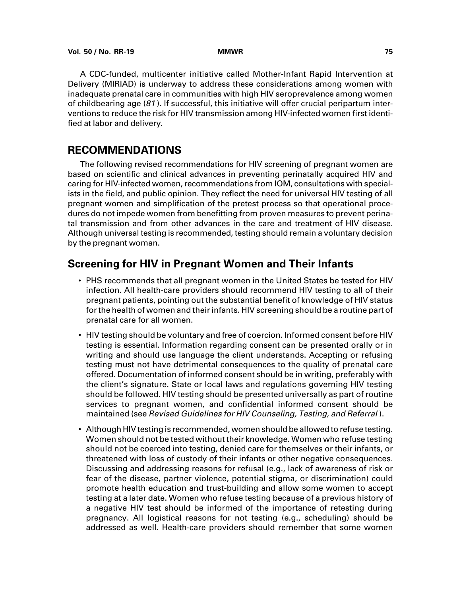A CDC-funded, multicenter initiative called Mother-Infant Rapid Intervention at Delivery (MIRIAD) is underway to address these considerations among women with inadequate prenatal care in communities with high HIV seroprevalence among women of childbearing age  $(81)$ . If successful, this initiative will offer crucial peripartum interventions to reduce the risk for HIV transmission among HIV-infected women first identified at labor and delivery.

# **RECOMMENDATIONS**

The following revised recommendations for HIV screening of pregnant women are based on scientific and clinical advances in preventing perinatally acquired HIV and caring for HIV-infected women, recommendations from IOM, consultations with specialists in the field, and public opinion. They reflect the need for universal HIV testing of all pregnant women and simplification of the pretest process so that operational procedures do not impede women from benefitting from proven measures to prevent perinatal transmission and from other advances in the care and treatment of HIV disease. Although universal testing is recommended, testing should remain a voluntary decision by the pregnant woman.

# **Screening for HIV in Pregnant Women and Their Infants**

- PHS recommends that all pregnant women in the United States be tested for HIV infection. All health-care providers should recommend HIV testing to all of their pregnant patients, pointing out the substantial benefit of knowledge of HIV status for the health of women and their infants. HIV screening should be a routine part of prenatal care for all women.
- HIV testing should be voluntary and free of coercion. Informed consent before HIV testing is essential. Information regarding consent can be presented orally or in writing and should use language the client understands. Accepting or refusing testing must not have detrimental consequences to the quality of prenatal care offered. Documentation of informed consent should be in writing, preferably with the client's signature. State or local laws and regulations governing HIV testing should be followed. HIV testing should be presented universally as part of routine services to pregnant women, and confidential informed consent should be maintained (see Revised Guidelines for HIV Counseling, Testing, and Referral ).
- Although HIV testing is recommended, women should be allowed to refuse testing. Women should not be tested without their knowledge. Women who refuse testing should not be coerced into testing, denied care for themselves or their infants, or threatened with loss of custody of their infants or other negative consequences. Discussing and addressing reasons for refusal (e.g., lack of awareness of risk or fear of the disease, partner violence, potential stigma, or discrimination) could promote health education and trust-building and allow some women to accept testing at a later date. Women who refuse testing because of a previous history of a negative HIV test should be informed of the importance of retesting during pregnancy. All logistical reasons for not testing (e.g., scheduling) should be addressed as well. Health-care providers should remember that some women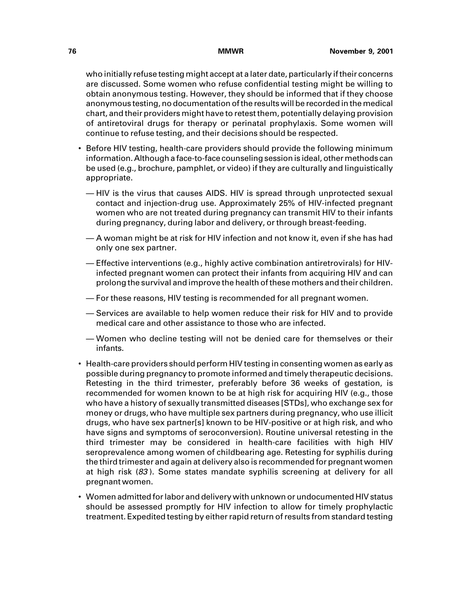who initially refuse testing might accept at a later date, particularly if their concerns are discussed. Some women who refuse confidential testing might be willing to obtain anonymous testing. However, they should be informed that if they choose anonymous testing, no documentation of the results will be recorded in the medical chart, and their providers might have to retest them, potentially delaying provision of antiretoviral drugs for therapy or perinatal prophylaxis. Some women will continue to refuse testing, and their decisions should be respected.

- Before HIV testing, health-care providers should provide the following minimum information. Although a face-to-face counseling session is ideal, other methods can be used (e.g., brochure, pamphlet, or video) if they are culturally and linguistically appropriate.
	- HIV is the virus that causes AIDS. HIV is spread through unprotected sexual contact and injection-drug use. Approximately 25% of HIV-infected pregnant women who are not treated during pregnancy can transmit HIV to their infants during pregnancy, during labor and delivery, or through breast-feeding.
	- A woman might be at risk for HIV infection and not know it, even if she has had only one sex partner.
	- Effective interventions (e.g., highly active combination antiretrovirals) for HIVinfected pregnant women can protect their infants from acquiring HIV and can prolong the survival and improve the health of these mothers and their children.
	- For these reasons, HIV testing is recommended for all pregnant women.
	- Services are available to help women reduce their risk for HIV and to provide medical care and other assistance to those who are infected.
	- Women who decline testing will not be denied care for themselves or their infants.
- Health-care providers should perform HIV testing in consenting women as early as possible during pregnancy to promote informed and timely therapeutic decisions. Retesting in the third trimester, preferably before 36 weeks of gestation, is recommended for women known to be at high risk for acquiring HIV (e.g., those who have a history of sexually transmitted diseases [STDs], who exchange sex for money or drugs, who have multiple sex partners during pregnancy, who use illicit drugs, who have sex partner[s] known to be HIV-positive or at high risk, and who have signs and symptoms of seroconversion). Routine universal retesting in the third trimester may be considered in health-care facilities with high HIV seroprevalence among women of childbearing age. Retesting for syphilis during the third trimester and again at delivery also is recommended for pregnant women at high risk (83 ). Some states mandate syphilis screening at delivery for all pregnant women.
- Women admitted for labor and delivery with unknown or undocumented HIV status should be assessed promptly for HIV infection to allow for timely prophylactic treatment. Expedited testing by either rapid return of results from standard testing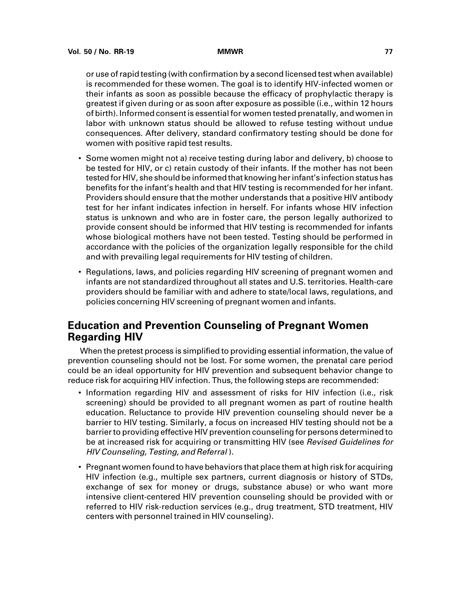or use of rapid testing (with confirmation by a second licensed test when available) is recommended for these women. The goal is to identify HIV-infected women or their infants as soon as possible because the efficacy of prophylactic therapy is greatest if given during or as soon after exposure as possible (i.e., within 12 hours of birth). Informed consent is essential for women tested prenatally, and women in labor with unknown status should be allowed to refuse testing without undue consequences. After delivery, standard confirmatory testing should be done for women with positive rapid test results.

- Some women might not a) receive testing during labor and delivery, b) choose to be tested for HIV, or c) retain custody of their infants. If the mother has not been tested for HIV, she should be informed that knowing her infant's infection status has benefits for the infant's health and that HIV testing is recommended for her infant. Providers should ensure that the mother understands that a positive HIV antibody test for her infant indicates infection in herself. For infants whose HIV infection status is unknown and who are in foster care, the person legally authorized to provide consent should be informed that HIV testing is recommended for infants whose biological mothers have not been tested. Testing should be performed in accordance with the policies of the organization legally responsible for the child and with prevailing legal requirements for HIV testing of children.
- Regulations, laws, and policies regarding HIV screening of pregnant women and infants are not standardized throughout all states and U.S. territories. Health-care providers should be familiar with and adhere to state/local laws, regulations, and policies concerning HIV screening of pregnant women and infants.

# **Education and Prevention Counseling of Pregnant Women Regarding HIV**

When the pretest process is simplified to providing essential information, the value of prevention counseling should not be lost. For some women, the prenatal care period could be an ideal opportunity for HIV prevention and subsequent behavior change to reduce risk for acquiring HIV infection. Thus, the following steps are recommended:

- Information regarding HIV and assessment of risks for HIV infection (i.e., risk screening) should be provided to all pregnant women as part of routine health education. Reluctance to provide HIV prevention counseling should never be a barrier to HIV testing. Similarly, a focus on increased HIV testing should not be a barrier to providing effective HIV prevention counseling for persons determined to be at increased risk for acquiring or transmitting HIV (see Revised Guidelines for HIV Counseling, Testing, and Referral ).
- Pregnant women found to have behaviors that place them at high risk for acquiring HIV infection (e.g., multiple sex partners, current diagnosis or history of STDs, exchange of sex for money or drugs, substance abuse) or who want more intensive client-centered HIV prevention counseling should be provided with or referred to HIV risk-reduction services (e.g., drug treatment, STD treatment, HIV centers with personnel trained in HIV counseling).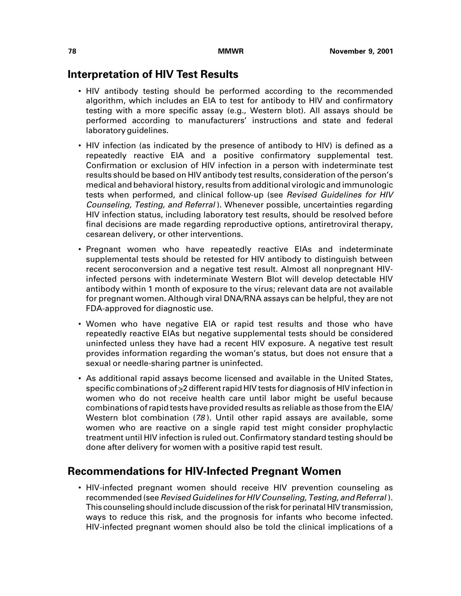## **Interpretation of HIV Test Results**

- HIV antibody testing should be performed according to the recommended algorithm, which includes an EIA to test for antibody to HIV and confirmatory testing with a more specific assay (e.g., Western blot). All assays should be performed according to manufacturers' instructions and state and federal laboratory guidelines.
- HIV infection (as indicated by the presence of antibody to HIV) is defined as a repeatedly reactive EIA and a positive confirmatory supplemental test. Confirmation or exclusion of HIV infection in a person with indeterminate test results should be based on HIV antibody test results, consideration of the person's medical and behavioral history, results from additional virologic and immunologic tests when performed, and clinical follow-up (see Revised Guidelines for HIV Counseling, Testing, and Referral ). Whenever possible, uncertainties regarding HIV infection status, including laboratory test results, should be resolved before final decisions are made regarding reproductive options, antiretroviral therapy, cesarean delivery, or other interventions.
- Pregnant women who have repeatedly reactive EIAs and indeterminate supplemental tests should be retested for HIV antibody to distinguish between recent seroconversion and a negative test result. Almost all nonpregnant HIVinfected persons with indeterminate Western Blot will develop detectable HIV antibody within 1 month of exposure to the virus; relevant data are not available for pregnant women. Although viral DNA/RNA assays can be helpful, they are not FDA-approved for diagnostic use.
- Women who have negative EIA or rapid test results and those who have repeatedly reactive EIAs but negative supplemental tests should be considered uninfected unless they have had a recent HIV exposure. A negative test result provides information regarding the woman's status, but does not ensure that a sexual or needle-sharing partner is uninfected.
- As additional rapid assays become licensed and available in the United States, specific combinations of  $\geq$  2 different rapid HIV tests for diagnosis of HIV infection in women who do not receive health care until labor might be useful because combinations of rapid tests have provided results as reliable as those from the EIA/ Western blot combination (78 ). Until other rapid assays are available, some women who are reactive on a single rapid test might consider prophylactic treatment until HIV infection is ruled out. Confirmatory standard testing should be done after delivery for women with a positive rapid test result.

# **Recommendations for HIV-Infected Pregnant Women**

• HIV-infected pregnant women should receive HIV prevention counseling as recommended (see Revised Guidelines for HIV Counseling, Testing, and Referral ). This counseling should include discussion of the risk for perinatal HIV transmission, ways to reduce this risk, and the prognosis for infants who become infected. HIV-infected pregnant women should also be told the clinical implications of a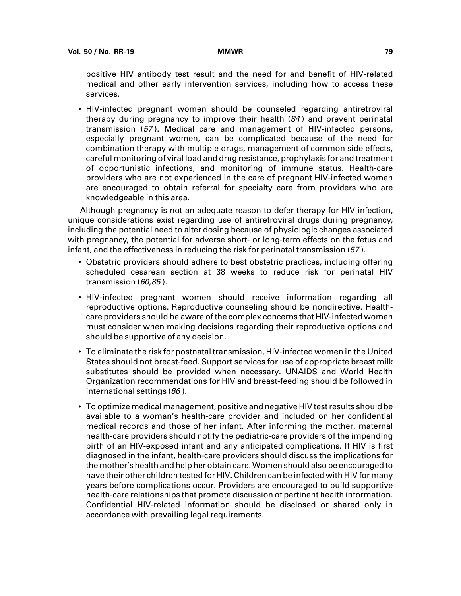positive HIV antibody test result and the need for and benefit of HIV-related medical and other early intervention services, including how to access these services.

• HIV-infected pregnant women should be counseled regarding antiretroviral therapy during pregnancy to improve their health (84 ) and prevent perinatal transmission (57 ). Medical care and management of HIV-infected persons, especially pregnant women, can be complicated because of the need for combination therapy with multiple drugs, management of common side effects, careful monitoring of viral load and drug resistance, prophylaxis for and treatment of opportunistic infections, and monitoring of immune status. Health-care providers who are not experienced in the care of pregnant HIV-infected women are encouraged to obtain referral for specialty care from providers who are knowledgeable in this area.

Although pregnancy is not an adequate reason to defer therapy for HIV infection, unique considerations exist regarding use of antiretroviral drugs during pregnancy, including the potential need to alter dosing because of physiologic changes associated with pregnancy, the potential for adverse short- or long-term effects on the fetus and infant, and the effectiveness in reducing the risk for perinatal transmission (57 ).

- Obstetric providers should adhere to best obstetric practices, including offering scheduled cesarean section at 38 weeks to reduce risk for perinatal HIV transmission (60,85).
- HIV-infected pregnant women should receive information regarding all reproductive options. Reproductive counseling should be nondirective. Healthcare providers should be aware of the complex concerns that HIV-infected women must consider when making decisions regarding their reproductive options and should be supportive of any decision.
- To eliminate the risk for postnatal transmission, HIV-infected women in the United States should not breast-feed. Support services for use of appropriate breast milk substitutes should be provided when necessary. UNAIDS and World Health Organization recommendations for HIV and breast-feeding should be followed in international settings (86 ).
- To optimize medical management, positive and negative HIV test results should be available to a woman's health-care provider and included on her confidential medical records and those of her infant. After informing the mother, maternal health-care providers should notify the pediatric-care providers of the impending birth of an HIV-exposed infant and any anticipated complications. If HIV is first diagnosed in the infant, health-care providers should discuss the implications for the mother's health and help her obtain care. Women should also be encouraged to have their other children tested for HIV. Children can be infected with HIV for many years before complications occur. Providers are encouraged to build supportive health-care relationships that promote discussion of pertinent health information. Confidential HIV-related information should be disclosed or shared only in accordance with prevailing legal requirements.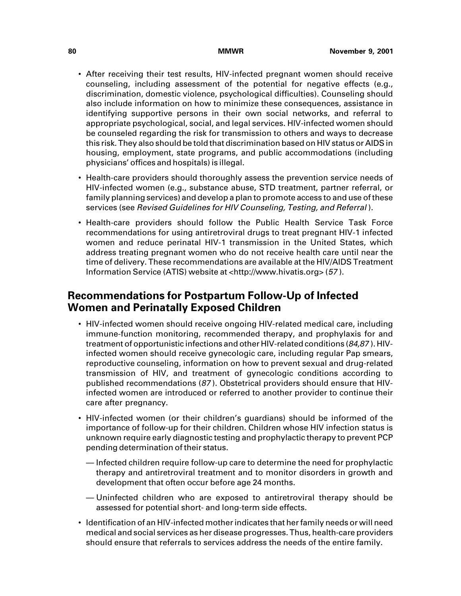- After receiving their test results, HIV-infected pregnant women should receive counseling, including assessment of the potential for negative effects (e.g., discrimination, domestic violence, psychological difficulties). Counseling should also include information on how to minimize these consequences, assistance in identifying supportive persons in their own social networks, and referral to appropriate psychological, social, and legal services. HIV-infected women should be counseled regarding the risk for transmission to others and ways to decrease this risk. They also should be told that discrimination based on HIV status or AIDS in housing, employment, state programs, and public accommodations (including physicians' offices and hospitals) is illegal.
- Health-care providers should thoroughly assess the prevention service needs of HIV-infected women (e.g., substance abuse, STD treatment, partner referral, or family planning services) and develop a plan to promote access to and use of these services (see Revised Guidelines for HIV Counseling, Testing, and Referral ).
- Health-care providers should follow the Public Health Service Task Force recommendations for using antiretroviral drugs to treat pregnant HIV-1 infected women and reduce perinatal HIV-1 transmission in the United States, which address treating pregnant women who do not receive health care until near the time of delivery. These recommendations are available at the HIV/AIDS Treatment Information Service (ATIS) website at [<http://www.hivatis.org> \(](http://www.hivatis.org)57 ).

# **Recommendations for Postpartum Follow-Up of Infected Women and Perinatally Exposed Children**

- HIV-infected women should receive ongoing HIV-related medical care, including immune-function monitoring, recommended therapy, and prophylaxis for and treatment of opportunistic infections and other HIV-related conditions (84,87 ). HIVinfected women should receive gynecologic care, including regular Pap smears, reproductive counseling, information on how to prevent sexual and drug-related transmission of HIV, and treatment of gynecologic conditions according to published recommendations (87 ). Obstetrical providers should ensure that HIVinfected women are introduced or referred to another provider to continue their care after pregnancy.
- HIV-infected women (or their children's guardians) should be informed of the importance of follow-up for their children. Children whose HIV infection status is unknown require early diagnostic testing and prophylactic therapy to prevent PCP pending determination of their status.
	- Infected children require follow-up care to determine the need for prophylactic therapy and antiretroviral treatment and to monitor disorders in growth and development that often occur before age 24 months.
	- Uninfected children who are exposed to antiretroviral therapy should be assessed for potential short- and long-term side effects.
- Identification of an HIV-infected mother indicates that her family needs or will need medical and social services as her disease progresses. Thus, health-care providers should ensure that referrals to services address the needs of the entire family.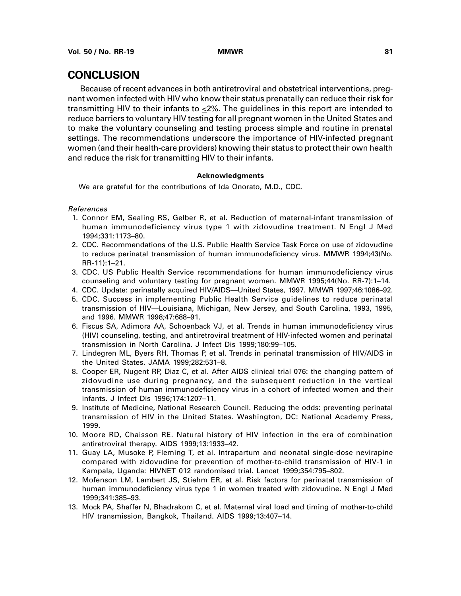# **CONCLUSION**

Because of recent advances in both antiretroviral and obstetrical interventions, pregnant women infected with HIV who know their status prenatally can reduce their risk for transmitting HIV to their infants to <2%. The guidelines in this report are intended to reduce barriers to voluntary HIV testing for all pregnant women in the United States and to make the voluntary counseling and testing process simple and routine in prenatal settings. The recommendations underscore the importance of HIV-infected pregnant women (and their health-care providers) knowing their status to protect their own health and reduce the risk for transmitting HIV to their infants.

### **Acknowledgments**

We are grateful for the contributions of Ida Onorato, M.D., CDC.

References

- 1. Connor EM, Sealing RS, Gelber R, et al. Reduction of maternal-infant transmission of human immunodeficiency virus type 1 with zidovudine treatment. N Engl J Med 1994;331:1173–80.
- 2. CDC. Recommendations of the U.S. Public Health Service Task Force on use of zidovudine to reduce perinatal transmission of human immunodeficiency virus. MMWR 1994;43(No. RR-11):1–21.
- 3. CDC. US Public Health Service recommendations for human immunodeficiency virus counseling and voluntary testing for pregnant women. MMWR 1995;44(No. RR-7):1–14.
- 4. CDC. Update: perinatally acquired HIV/AIDS—United States, 1997. MMWR 1997;46:1086–92.
- 5. CDC. Success in implementing Public Health Service guidelines to reduce perinatal transmission of HIV—Louisiana, Michigan, New Jersey, and South Carolina, 1993, 1995, and 1996. MMWR 1998;47:688–91.
- 6. Fiscus SA, Adimora AA, Schoenback VJ, et al. Trends in human immunodeficiency virus (HIV) counseling, testing, and antiretroviral treatment of HIV-infected women and perinatal transmission in North Carolina. J Infect Dis 1999;180:99–105.
- 7. Lindegren ML, Byers RH, Thomas P, et al. Trends in perinatal transmission of HIV/AIDS in the United States. JAMA 1999;282:531–8.
- 8. Cooper ER, Nugent RP, Diaz C, et al. After AIDS clinical trial 076: the changing pattern of zidovudine use during pregnancy, and the subsequent reduction in the vertical transmission of human immunodeficiency virus in a cohort of infected women and their infants. J Infect Dis 1996;174:1207–11.
- 9. Institute of Medicine, National Research Council. Reducing the odds: preventing perinatal transmission of HIV in the United States. Washington, DC: National Academy Press, 1999.
- 10. Moore RD, Chaisson RE. Natural history of HIV infection in the era of combination antiretroviral therapy. AIDS 1999;13:1933–42.
- 11. Guay LA, Musoke P, Fleming T, et al. Intrapartum and neonatal single-dose nevirapine compared with zidovudine for prevention of mother-to-child transmission of HIV-1 in Kampala, Uganda: HIVNET 012 randomised trial. Lancet 1999;354:795–802.
- 12. Mofenson LM, Lambert JS, Stiehm ER, et al. Risk factors for perinatal transmission of human immunodeficiency virus type 1 in women treated with zidovudine. N Engl J Med 1999;341:385–93.
- 13. Mock PA, Shaffer N, Bhadrakom C, et al. Maternal viral load and timing of mother-to-child HIV transmission, Bangkok, Thailand. AIDS 1999;13:407–14.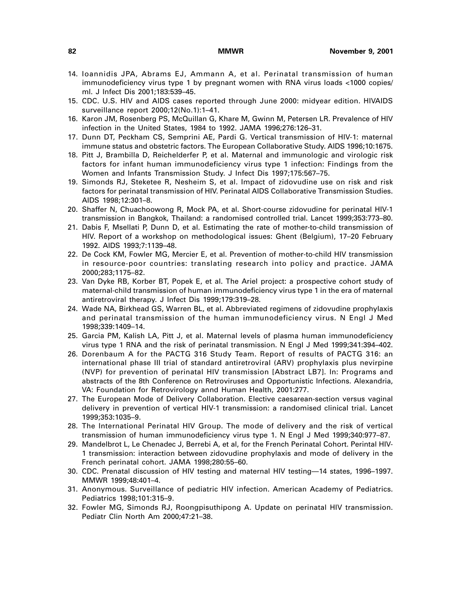- 14. Ioannidis JPA, Abrams EJ, Ammann A, et al. Perinatal transmission of human immunodeficiency virus type 1 by pregnant women with RNA virus loads <1000 copies/ ml. J Infect Dis 2001;183:539–45.
- 15. CDC. U.S. HIV and AIDS cases reported through June 2000: midyear edition. HIVAIDS surveillance report 2000;12(No.1):1–41.
- 16. Karon JM, Rosenberg PS, McQuillan G, Khare M, Gwinn M, Petersen LR. Prevalence of HIV infection in the United States, 1984 to 1992. JAMA 1996;276:126–31.
- 17. Dunn DT, Peckham CS, Semprini AE, Pardi G. Vertical transmission of HIV-1: maternal immune status and obstetric factors. The European Collaborative Study. AIDS 1996;10:1675.
- 18. Pitt J, Brambilla D, Reichelderfer P, et al. Maternal and immunologic and virologic risk factors for infant human immunodeficiency virus type 1 infection: Findings from the Women and Infants Transmission Study. J Infect Dis 1997;175:567–75.
- 19. Simonds RJ, Steketee R, Nesheim S, et al. Impact of zidovudine use on risk and risk factors for perinatal transmission of HIV. Perinatal AIDS Collaborative Transmission Studies. AIDS 1998;12:301–8.
- 20. Shaffer N, Chuachoowong R, Mock PA, et al. Short-course zidovudine for perinatal HIV-1 transmission in Bangkok, Thailand: a randomised controlled trial. Lancet 1999;353:773–80.
- 21. Dabis F, Msellati P, Dunn D, et al. Estimating the rate of mother-to-child transmission of HIV. Report of a workshop on methodological issues: Ghent (Belgium), 17–20 February 1992. AIDS 1993;7:1139–48.
- 22. De Cock KM, Fowler MG, Mercier E, et al. Prevention of mother-to-child HIV transmission in resource-poor countries: translating research into policy and practice. JAMA 2000;283;1175–82.
- 23. Van Dyke RB, Korber BT, Popek E, et al. The Ariel project: a prospective cohort study of maternal-child transmission of human immunodeficiency virus type 1 in the era of maternal antiretroviral therapy. J Infect Dis 1999;179:319–28.
- 24. Wade NA, Birkhead GS, Warren BL, et al. Abbreviated regimens of zidovudine prophylaxis and perinatal transmission of the human immunodeficiency virus. N Engl J Med 1998;339:1409–14.
- 25. Garcia PM, Kalish LA, Pitt J, et al. Maternal levels of plasma human immunodeficiency virus type 1 RNA and the risk of perinatal transmission. N Engl J Med 1999;341:394–402.
- 26. Dorenbaum A for the PACTG 316 Study Team. Report of results of PACTG 316: an international phase III trial of standard antiretroviral (ARV) prophylaxis plus nevirpine (NVP) for prevention of perinatal HIV transmission [Abstract LB7]. In: Programs and abstracts of the 8th Conference on Retroviruses and Opportunistic Infections. Alexandria, VA: Foundation for Retrovirology annd Human Health, 2001:277.
- 27. The European Mode of Delivery Collaboration. Elective caesarean-section versus vaginal delivery in prevention of vertical HIV-1 transmission: a randomised clinical trial. Lancet 1999;353:1035–9.
- 28. The International Perinatal HIV Group. The mode of delivery and the risk of vertical transmission of human immunodeficiency virus type 1. N Engl J Med 1999;340:977–87.
- 29. Mandelbrot L, Le Chenadec J, Berrebi A, et al, for the French Perinatal Cohort. Perintal HIV-1 transmission: interaction between zidovudine prophylaxis and mode of delivery in the French perinatal cohort. JAMA 1998;280:55–60.
- 30. CDC. Prenatal discussion of HIV testing and maternal HIV testing—14 states, 1996–1997. MMWR 1999;48:401–4.
- 31. Anonymous. Surveillance of pediatric HIV infection. American Academy of Pediatrics. Pediatrics 1998;101:315–9.
- 32. Fowler MG, Simonds RJ, Roongpisuthipong A. Update on perinatal HIV transmission. Pediatr Clin North Am 2000;47:21–38.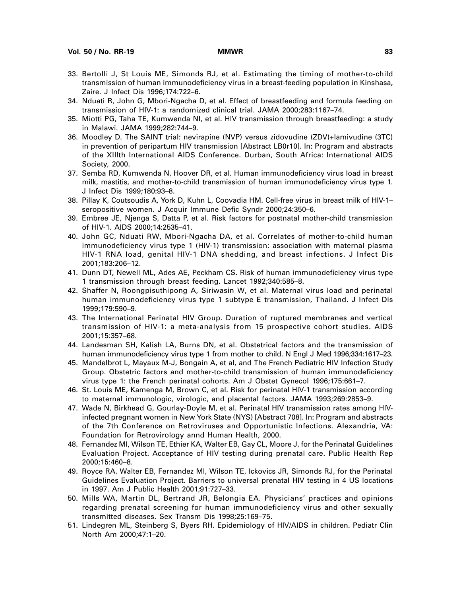- 33. Bertolli J, St Louis ME, Simonds RJ, et al. Estimating the timing of mother-to-child transmission of human immunodeficiency virus in a breast-feeding population in Kinshasa, Zaire. J Infect Dis 1996;174:722–6.
- 34. Nduati R, John G, Mbori-Ngacha D, et al. Effect of breastfeeding and formula feeding on transmission of HIV-1: a randomized clinical trial. JAMA 2000;283:1167–74.
- 35. Miotti PG, Taha TE, Kumwenda NI, et al. HIV transmission through breastfeeding: a study in Malawi. JAMA 1999;282:744–9.
- 36. Moodley D. The SAINT trial: nevirapine (NVP) versus zidovudine (ZDV)+lamivudine (3TC) in prevention of peripartum HIV transmission [Abstract LB0r10]. In: Program and abstracts of the XIIIth International AIDS Conference. Durban, South Africa: International AIDS Society, 2000.
- 37. Semba RD, Kumwenda N, Hoover DR, et al. Human immunodeficiency virus load in breast milk, mastitis, and mother-to-child transmission of human immunodeficiency virus type 1. J Infect Dis 1999;180:93–8.
- 38. Pillay K, Coutsoudis A, York D, Kuhn L, Coovadia HM. Cell-free virus in breast milk of HIV-1– seropositive women. J Acquir Immune Defic Syndr 2000;24:350–6.
- 39. Embree JE, Njenga S, Datta P, et al. Risk factors for postnatal mother-child transmission of HIV-1. AIDS 2000;14:2535–41.
- 40. John GC, Nduati RW, Mbori-Ngacha DA, et al. Correlates of mother-to-child human immunodeficiency virus type 1 (HIV-1) transmission: association with maternal plasma HIV-1 RNA load, genital HIV-1 DNA shedding, and breast infections. J Infect Dis 2001;183:206–12.
- 41. Dunn DT, Newell ML, Ades AE, Peckham CS. Risk of human immunodeficiency virus type 1 transmission through breast feeding. Lancet 1992;340:585–8.
- 42. Shaffer N, Roongpisuthipong A, Siriwasin W, et al. Maternal virus load and perinatal human immunodeficiency virus type 1 subtype E transmission, Thailand. J Infect Dis 1999;179:590–9.
- 43. The International Perinatal HIV Group. Duration of ruptured membranes and vertical transmission of HIV-1: a meta-analysis from 15 prospective cohort studies. AIDS 2001;15:357–68.
- 44. Landesman SH, Kalish LA, Burns DN, et al. Obstetrical factors and the transmission of human immunodeficiency virus type 1 from mother to child. N Engl J Med 1996;334:1617–23.
- 45. Mandelbrot L, Mayaux M-J, Bongain A, et al, and The French Pediatric HIV Infection Study Group. Obstetric factors and mother-to-child transmission of human immunodeficiency virus type 1: the French perinatal cohorts. Am J Obstet Gynecol 1996;175:661–7.
- 46. St. Louis ME, Kamenga M, Brown C, et al. Risk for perinatal HIV-1 transmission according to maternal immunologic, virologic, and placental factors. JAMA 1993;269:2853–9.
- 47. Wade N, Birkhead G, Gourlay-Doyle M, et al. Perinatal HIV transmission rates among HIVinfected pregnant women in New York State (NYS) [Abstract 708]. In: Program and abstracts of the 7th Conference on Retroviruses and Opportunistic Infections. Alexandria, VA: Foundation for Retrovirology annd Human Health, 2000.
- 48. Fernandez MI, Wilson TE, Ethier KA, Walter EB, Gay CL, Moore J, for the Perinatal Guidelines Evaluation Project. Acceptance of HIV testing during prenatal care. Public Health Rep 2000;15:460–8.
- 49. Royce RA, Walter EB, Fernandez MI, Wilson TE, Ickovics JR, Simonds RJ, for the Perinatal Guidelines Evaluation Project. Barriers to universal prenatal HIV testing in 4 US locations in 1997. Am J Public Health 2001;91:727–33.
- 50. Mills WA, Martin DL, Bertrand JR, Belongia EA. Physicians' practices and opinions regarding prenatal screening for human immunodeficiency virus and other sexually transmitted diseases. Sex Transm Dis 1998;25:169–75.
- 51. Lindegren ML, Steinberg S, Byers RH. Epidemiology of HIV/AIDS in children. Pediatr Clin North Am 2000;47:1–20.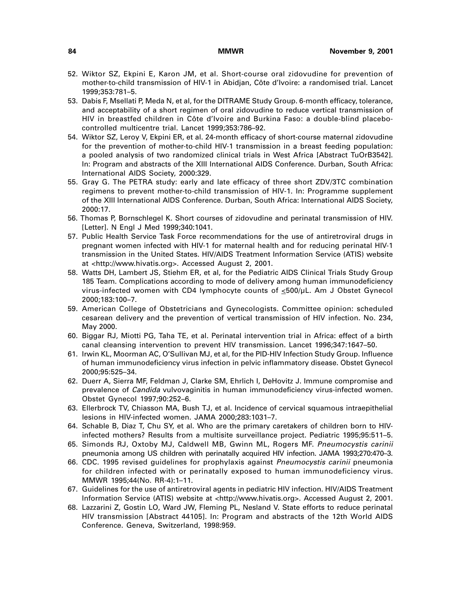- 52. Wiktor SZ, Ekpini E, Karon JM, et al. Short-course oral zidovudine for prevention of mother-to-child transmission of HIV-1 in Abidjan, Côte d'Ivoire: a randomised trial. Lancet 1999;353:781–5.
- 53. Dabis F, Msellati P, Meda N, et al, for the DITRAME Study Group. 6-month efficacy, tolerance, and acceptability of a short regimen of oral zidovudine to reduce vertical transmission of HIV in breastfed children in Côte d'Ivoire and Burkina Faso: a double-blind placebocontrolled multicentre trial. Lancet 1999;353:786–92.
- 54. Wiktor SZ, Leroy V, Ekpini ER, et al. 24-month efficacy of short-course maternal zidovudine for the prevention of mother-to-child HIV-1 transmission in a breast feeding population: a pooled analysis of two randomized clinical trials in West Africa [Abstract TuOrB3542]. In: Program and abstracts of the XIII International AIDS Conference. Durban, South Africa: International AIDS Society, 2000:329.
- 55. Gray G. The PETRA study: early and late efficacy of three short ZDV/3TC combination regimens to prevent mother-to-child transmission of HIV-1. In: Programme supplement of the XIII International AIDS Conference. Durban, South Africa: International AIDS Society, 2000:17.
- 56. Thomas P, Bornschlegel K. Short courses of zidovudine and perinatal transmission of HIV. [Letter]. N Engl J Med 1999;340:1041.
- 57. Public Health Service Task Force recommendations for the use of antiretroviral drugs in pregnant women infected with HIV-1 for maternal health and for reducing perinatal HIV-1 transmission in the United States. HIV/AIDS Treatment Information Service (ATIS) website at [<http://www.hivatis.org>.](http://www.hivatis.org) Accessed August 2, 2001.
- 58. Watts DH, Lambert JS, Stiehm ER, et al, for the Pediatric AIDS Clinical Trials Study Group 185 Team. Complications according to mode of delivery among human immunodeficiency virus-infected women with CD4 lymphocyte counts of <500/µL. Am J Obstet Gynecol 2000;183:100–7.
- 59. American College of Obstetricians and Gynecologists. Committee opinion: scheduled cesarean delivery and the prevention of vertical transmission of HIV infection. No. 234, May 2000.
- 60. Biggar RJ, Miotti PG, Taha TE, et al. Perinatal intervention trial in Africa: effect of a birth canal cleansing intervention to prevent HIV transmission. Lancet 1996;347:1647–50.
- 61. Irwin KL, Moorman AC, O'Sullivan MJ, et al, for the PID-HIV Infection Study Group. Influence of human immunodeficiency virus infection in pelvic inflammatory disease. Obstet Gynecol 2000;95:525–34.
- 62. Duerr A, Sierra MF, Feldman J, Clarke SM, Ehrlich I, DeHovitz J. Immune compromise and prevalence of *Candida* vulvovaginitis in human immunodeficiency virus-infected women. Obstet Gynecol 1997;90:252–6.
- 63. Ellerbrock TV, Chiasson MA, Bush TJ, et al. Incidence of cervical squamous intraepithelial lesions in HIV-infected women. JAMA 2000;283:1031–7.
- 64. Schable B, Diaz T, Chu SY, et al. Who are the primary caretakers of children born to HIVinfected mothers? Results from a multisite surveillance project. Pediatric 1995;95:511–5.
- 65. Simonds RJ, Oxtoby MJ, Caldwell MB, Gwinn ML, Rogers MF. Pneumocystis carinii pneumonia among US children with perinatally acquired HIV infection. JAMA 1993;270:470–3.
- 66. CDC. 1995 revised guidelines for prophylaxis against Pneumocystis carinii pneumonia for children infected with or perinatally exposed to human immunodeficiency virus. MMWR 1995;44(No. RR-4):1–11.
- 67. Guidelines for the use of antiretroviral agents in pediatric HIV infection. HIV/AIDS Treatment Information Service (ATIS) website at [<http://www.hivatis.org>.](http://www.hivatis.org) Accessed August 2, 2001.
- 68. Lazzarini Z, Gostin LO, Ward JW, Fleming PL, Nesland V. State efforts to reduce perinatal HIV transmission [Abstract 44105]. In: Program and abstracts of the 12th World AIDS Conference. Geneva, Switzerland, 1998:959.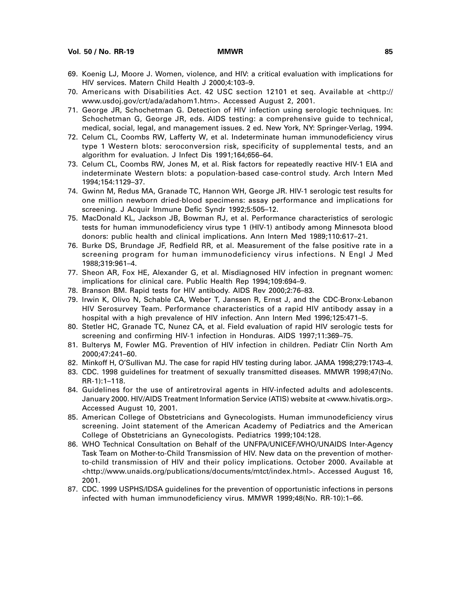- 69. Koenig LJ, Moore J. Women, violence, and HIV: a critical evaluation with implications for HIV services. Matern Child Health J 2000;4:103–9.
- 70. Americans with Disabilities Act. 42 USC section 12101 et seq. Available at [<http://](http://www.usdoj.gov/crt/ada/adahom1.htm) [www.usdoj.gov/crt/ada/adahom1.htm>.](http://www.usdoj.gov/crt/ada/adahom1.htm) Accessed August 2, 2001.
- 71. George JR, Schochetman G. Detection of HIV infection using serologic techniques. In: Schochetman G, George JR, eds. AIDS testing: a comprehensive guide to technical, medical, social, legal, and management issues. 2 ed. New York, NY: Springer-Verlag, 1994.
- 72. Celum CL, Coombs RW, Lafferty W, et al. Indeterminate human immunodeficiency virus type 1 Western blots: seroconversion risk, specificity of supplemental tests, and an algorithm for evaluation. J Infect Dis 1991;164;656–64.
- 73. Celum CL, Coombs RW, Jones M, et al. Risk factors for repeatedly reactive HIV-1 EIA and indeterminate Western blots: a population-based case-control study. Arch Intern Med 1994;154:1129–37.
- 74. Gwinn M, Redus MA, Granade TC, Hannon WH, George JR. HIV-1 serologic test results for one million newborn dried-blood specimens: assay performance and implications for screening. J Acquir Immune Defic Syndr 1992;5:505–12.
- 75. MacDonald KL, Jackson JB, Bowman RJ, et al. Performance characteristics of serologic tests for human immunodeficiency virus type 1 (HIV-1) antibody among Minnesota blood donors: public health and clinical implications. Ann Intern Med 1989;110:617–21.
- 76. Burke DS, Brundage JF, Redfield RR, et al. Measurement of the false positive rate in a screening program for human immunodeficiency virus infections. N Engl J Med 1988;319:961–4.
- 77. Sheon AR, Fox HE, Alexander G, et al. Misdiagnosed HIV infection in pregnant women: implications for clinical care. Public Health Rep 1994;109:694–9.
- 78. Branson BM. Rapid tests for HIV antibody. AIDS Rev 2000;2:76–83.
- 79. Irwin K, Olivo N, Schable CA, Weber T, Janssen R, Ernst J, and the CDC-Bronx-Lebanon HIV Serosurvey Team. Performance characteristics of a rapid HIV antibody assay in a hospital with a high prevalence of HIV infection. Ann Intern Med 1996;125:471–5.
- 80. Stetler HC, Granade TC, Nunez CA, et al. Field evaluation of rapid HIV serologic tests for screening and confirming HIV-1 infection in Honduras. AIDS 1997;11:369–75.
- 81. Bulterys M, Fowler MG. Prevention of HIV infection in children. Pediatr Clin North Am 2000;47:241–60.
- 82. Minkoff H, O'Sullivan MJ. The case for rapid HIV testing during labor. JAMA 1998;279:1743–4.
- 83. CDC. 1998 guidelines for treatment of sexually transmitted diseases. MMWR 1998;47(No. RR-1):1–118.
- 84. Guidelines for the use of antiretroviral agents in HIV-infected adults and adolescents. January 2000. HIV/AIDS Treatment Information Service (ATIS) website at <www.hivatis.org>. Accessed August 10, 2001.
- 85. American College of Obstetricians and Gynecologists. Human immunodeficiency virus screening. Joint statement of the American Academy of Pediatrics and the American College of Obstetricians an Gynecologists. Pediatrics 1999;104:128.
- 86. WHO Technical Consultation on Behalf of the UNFPA/UNICEF/WHO/UNAIDS Inter-Agency Task Team on Mother-to-Child Transmission of HIV. New data on the prevention of motherto-child transmission of HIV and their policy implications. October 2000. Available at [<http://www.unaids.org/publications/documents/mtct/index.html>.](http://www.unaids.org/publications/documents/mtct/index.html) Accessed August 16, 2001.
- 87. CDC. 1999 USPHS/IDSA guidelines for the prevention of opportunistic infections in persons infected with human immunodeficiency virus. MMWR 1999;48(No. RR-10):1–66.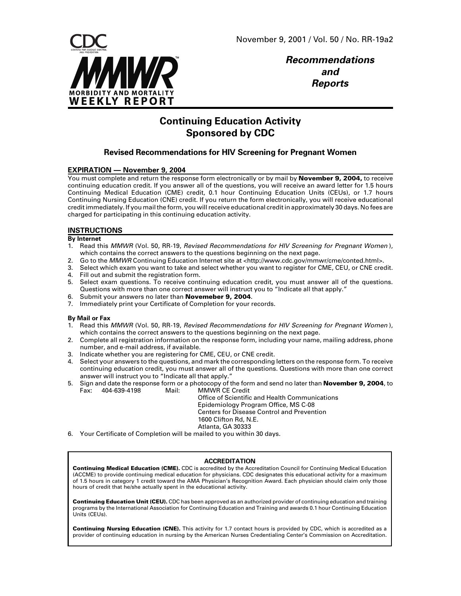

**Recommendations and Reports**

# **Continuing Education Activity Sponsored by CDC**

### **Revised Recommendations for HIV Screening for Pregnant Women**

### **EXPIRATION — November 9, 2004**

You must complete and return the response form electronically or by mail by **November 9, 2004,** to receive continuing education credit. If you answer all of the questions, you will receive an award letter for 1.5 hours Continuing Medical Education (CME) credit, 0.1 hour Continuing Education Units (CEUs), or 1.7 hours Continuing Nursing Education (CNE) credit. If you return the form electronically, you will receive educational credit immediately. If you mail the form, you will receive educational credit in approximately 30 days. No fees are charged for participating in this continuing education activity.

### **INSTRUCTIONS**

#### **By Internet**

- 1. Read this MMWR (Vol. 50, RR-19, Revised Recommendations for HIV Screening for Pregnant Women), which contains the correct answers to the questions beginning on the next page.
- 2. Go to the MMWR Continuing Education Internet site at [<http://www.cdc.gov/mmwr/cme/conted.html>.](http://www.cdc.gov/mmwr/cme/conted.html)
- 3. Select which exam you want to take and select whether you want to register for CME, CEU, or CNE credit. 4. Fill out and submit the registration form.
- 5. Select exam questions. To receive continuing education credit, you must answer all of the questions. Questions with more than one correct answer will instruct you to "Indicate all that apply."
- 6. Submit your answers no later than **Novemeber 9, 2004**.
- 7. Immediately print your Certificate of Completion for your records.

#### **By Mail or Fax**

- 1. Read this MMWR (Vol. 50, RR-19, Revised Recommendations for HIV Screening for Pregnant Women ), which contains the correct answers to the questions beginning on the next page.
- 2. Complete all registration information on the response form, including your name, mailing address, phone number, and e-mail address, if available.
- 3. Indicate whether you are registering for CME, CEU, or CNE credit.
- 4. Select your answers to the questions, and mark the corresponding letters on the response form. To receive continuing education credit, you must answer all of the questions. Questions with more than one correct answer will instruct you to "Indicate all that apply."
- 5. Sign and date the response form or a photocopy of the form and send no later than **November 9, 2004**, to Fax: 404-639-4198 Mail: MMWR CE Credit

Office of Scientific and Health Communications Epidemiology Program Office, MS C-08 Centers for Disease Control and Prevention 1600 Clifton Rd, N.E. Atlanta, GA 30333

6. Your Certificate of Completion will be mailed to you within 30 days.

#### **ACCREDITATION**

**Continuing Medical Education (CME).** CDC is accredited by the Accreditation Council for Continuing Medical Education (ACCME) to provide continuing medical education for physicians. CDC designates this educational activity for a maximum of 1.5 hours in category 1 credit toward the AMA Physician's Recognition Award. Each physician should claim only those hours of credit that he/she actually spent in the educational activity.

**Continuing Education Unit (CEU).** CDC has been approved as an authorized provider of continuing education and training programs by the International Association for Continuing Education and Training and awards 0.1 hour Continuing Education Units (CEUs).

**Continuing Nursing Education (CNE).** This activity for 1.7 contact hours is provided by CDC, which is accredited as a provider of continuing education in nursing by the American Nurses Credentialing Center's Commission on Accreditation.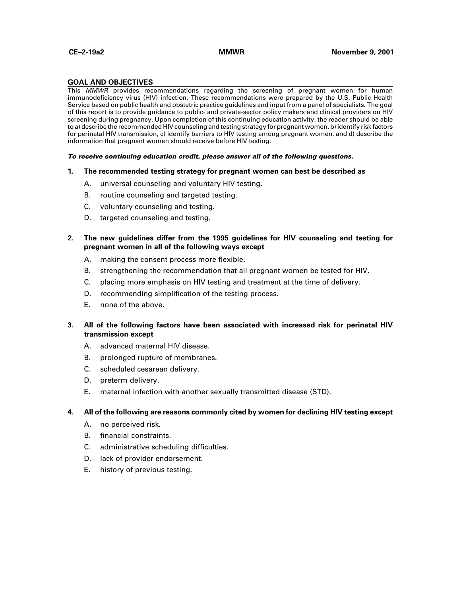#### **GOAL AND OBJECTIVES**

This MMWR provides recommendations regarding the screening of pregnant women for human immunodeficiency virus (HIV) infection. These recommendations were prepared by the U.S. Public Health Service based on public health and obstetric practice guidelines and input from a panel of specialists. The goal of this report is to provide guidance to public- and private-sector policy makers and clinical providers on HIV screening during pregnancy. Upon completion of this continuing education activity, the reader should be able to a) describe the recommended HIV counseling and testing strategy for pregnant women, b) identify risk factors for perinatal HIV transmission, c) identify barriers to HIV testing among pregnant women, and d) describe the information that pregnant women should receive before HIV testing.

#### **To receive continuing education credit, please answer all of the following questions.**

#### **1. The recommended testing strategy for pregnant women can best be described as**

- A. universal counseling and voluntary HIV testing.
- B. routine counseling and targeted testing.
- C. voluntary counseling and testing.
- D. targeted counseling and testing.

### **2. The new guidelines differ from the 1995 guidelines for HIV counseling and testing for pregnant women in all of the following ways except**

- A. making the consent process more flexible.
- B. strengthening the recommendation that all pregnant women be tested for HIV.
- C. placing more emphasis on HIV testing and treatment at the time of delivery.
- D. recommending simplification of the testing process.
- E. none of the above.

### **3. All of the following factors have been associated with increased risk for perinatal HIV transmission except**

- A. advanced maternal HIV disease.
- B. prolonged rupture of membranes.
- C. scheduled cesarean delivery.
- D. preterm delivery.
- E. maternal infection with another sexually transmitted disease (STD).

#### **4. All of the following are reasons commonly cited by women for declining HIV testing except**

- A. no perceived risk.
- B. financial constraints.
- C. administrative scheduling difficulties.
- D. lack of provider endorsement.
- E. history of previous testing.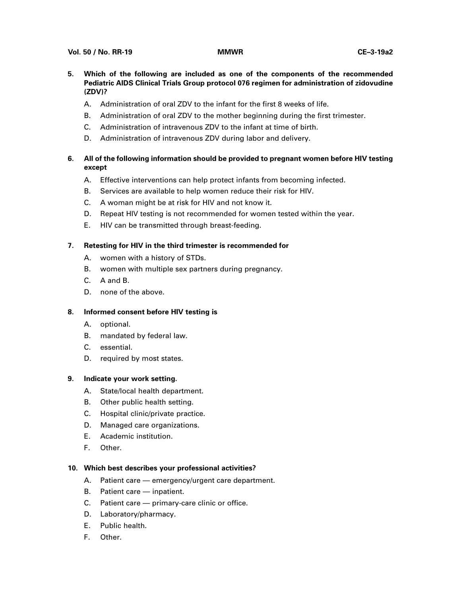- **5. Which of the following are included as one of the components of the recommended Pediatric AIDS Clinical Trials Group protocol 076 regimen for administration of zidovudine (ZDV)?**
	- A. Administration of oral ZDV to the infant for the first 8 weeks of life.
	- B. Administration of oral ZDV to the mother beginning during the first trimester.
	- C. Administration of intravenous ZDV to the infant at time of birth.
	- D. Administration of intravenous ZDV during labor and delivery.

### **6. All of the following information should be provided to pregnant women before HIV testing except**

- A. Effective interventions can help protect infants from becoming infected.
- B. Services are available to help women reduce their risk for HIV.
- C. A woman might be at risk for HIV and not know it.
- D. Repeat HIV testing is not recommended for women tested within the year.
- E. HIV can be transmitted through breast-feeding.

### **7. Retesting for HIV in the third trimester is recommended for**

- A. women with a history of STDs.
- B. women with multiple sex partners during pregnancy.
- C. A and B.
- D. none of the above.

### **8. Informed consent before HIV testing is**

- A. optional.
- B. mandated by federal law.
- C. essential.
- D. required by most states.

### **9. Indicate your work setting.**

- A. State/local health department.
- B. Other public health setting.
- C. Hospital clinic/private practice.
- D. Managed care organizations.
- E. Academic institution.
- F. Other.

### **10. Which best describes your professional activities?**

- A. Patient care emergency/urgent care department.
- B. Patient care inpatient.
- C. Patient care primary-care clinic or office.
- D. Laboratory/pharmacy.
- E. Public health.
- F. Other.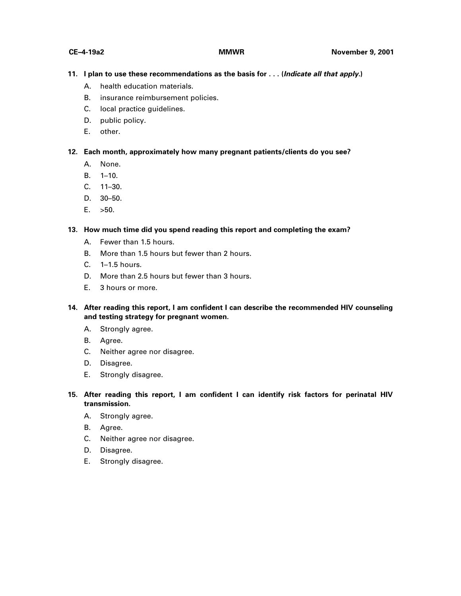### **11. I plan to use these recommendations as the basis for . . . (Indicate all that apply.)**

- A. health education materials.
- B. insurance reimbursement policies.
- C. local practice guidelines.
- D. public policy.
- E. other.

### **12. Each month, approximately how many pregnant patients/clients do you see?**

- A. None.
- B. 1–10.
- C. 11–30.
- D. 30–50.
- E. >50.

### **13. How much time did you spend reading this report and completing the exam?**

- A. Fewer than 1.5 hours.
- B. More than 1.5 hours but fewer than 2 hours.
- C. 1–1.5 hours.
- D. More than 2.5 hours but fewer than 3 hours.
- E. 3 hours or more.
- **14. After reading this report, I am confident I can describe the recommended HIV counseling and testing strategy for pregnant women.**
	- A. Strongly agree.
	- B. Agree.
	- C. Neither agree nor disagree.
	- D. Disagree.
	- E. Strongly disagree.
- **15. After reading this report, I am confident I can identify risk factors for perinatal HIV transmission.**
	- A. Strongly agree.
	- B. Agree.
	- C. Neither agree nor disagree.
	- D. Disagree.
	- E. Strongly disagree.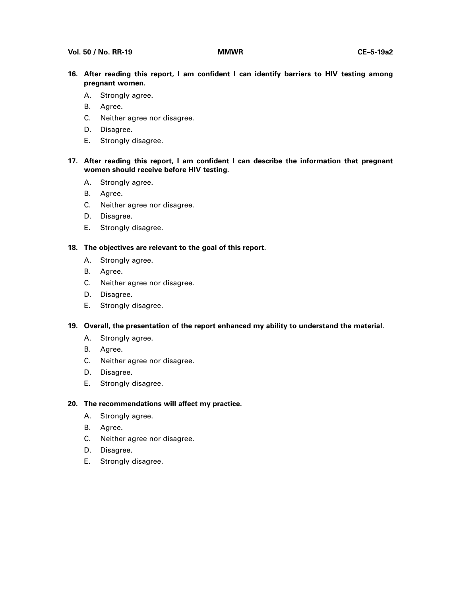- **16. After reading this report, I am confident I can identify barriers to HIV testing among pregnant women.**
	- A. Strongly agree.
	- B. Agree.
	- C. Neither agree nor disagree.
	- D. Disagree.
	- E. Strongly disagree.
- **17. After reading this report, I am confident I can describe the information that pregnant women should receive before HIV testing.**
	- A. Strongly agree.
	- B. Agree.
	- C. Neither agree nor disagree.
	- D. Disagree.
	- E. Strongly disagree.

### **18. The objectives are relevant to the goal of this report.**

- A. Strongly agree.
- B. Agree.
- C. Neither agree nor disagree.
- D. Disagree.
- E. Strongly disagree.
- **19. Overall, the presentation of the report enhanced my ability to understand the material.**
	- A. Strongly agree.
	- B. Agree.
	- C. Neither agree nor disagree.
	- D. Disagree.
	- E. Strongly disagree.

### **20. The recommendations will affect my practice.**

- A. Strongly agree.
- B. Agree.
- C. Neither agree nor disagree.
- D. Disagree.
- E. Strongly disagree.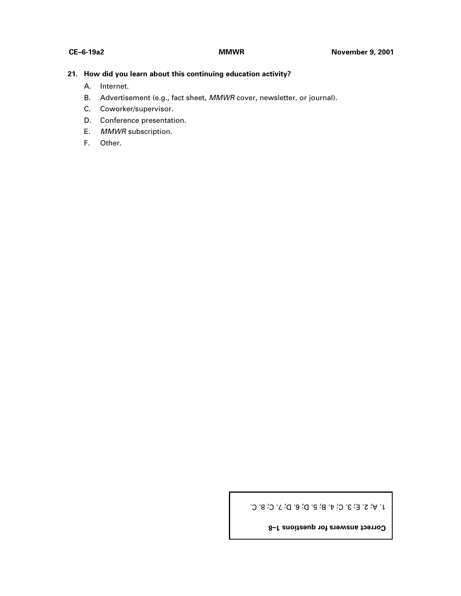### **21. How did you learn about this continuing education activity?**

- A. Internet.
- B. Advertisement (e.g., fact sheet, MMWR cover, newsletter, or journal).
- C. Coworker/supervisor.
- D. Conference presentation.
- E. MMWR subscription.
- F. Other.

1. A; 2. E; 3. C; 4. B; 5. D; 6. D; 7. C; 8. C.

**Correct answers for questions 1–8**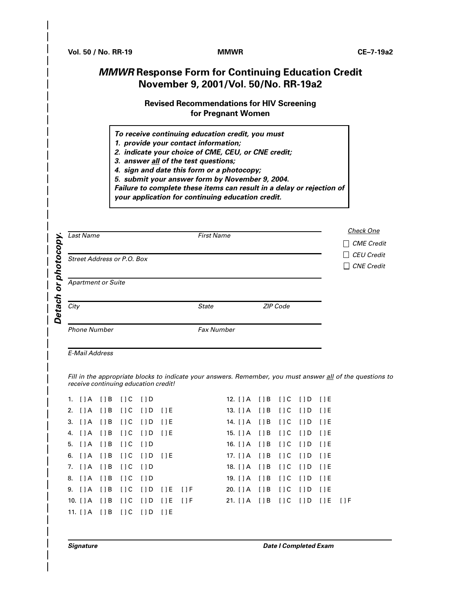# **MMWR Response Form for Continuing Education Credit November 9, 2001/Vol. 50/No. RR-19a2**

## **Revised Recommendations for HIV Screening for Pregnant Women**

- **To receive continuing education credit, you must**
- **1. provide your contact information;**
- **2. indicate your choice of CME, CEU, or CNE credit;**
- **3. answer all of the test questions;**
- **4. sign and date this form or a photocopy;**
- **5. submit your answer form by November 9, 2004.**

**Failure to complete these items can result in a delay or rejection of**

**your application for continuing education credit.**

| ם<br>photoco | <b>Last Name</b>           | <b>Check One</b><br><b>CME</b> Credit<br>$\blacksquare$ |          |  |  |
|--------------|----------------------------|---------------------------------------------------------|----------|--|--|
|              | Street Address or P.O. Box | <b>CEU Credit</b><br>$\perp$<br>$\Box$ CNE Credit       |          |  |  |
| O            | <b>Apartment or Suite</b>  |                                                         |          |  |  |
| Detach       | City                       | <b>State</b>                                            | ZIP Code |  |  |
|              | <b>Phone Number</b>        | <b>Fax Number</b>                                       |          |  |  |

E-Mail Address

Fill in the appropriate blocks to indicate your answers. Remember, you must answer all of the questions to receive continuing education credit!

|  | 1. []A []B []C []D                |                            |  | 12. [ ] A [ ] B [ ] C [ ] D [ ] E                                   |  |  |  |
|--|-----------------------------------|----------------------------|--|---------------------------------------------------------------------|--|--|--|
|  | 2. []A []B []C []D []E            |                            |  | 13. [ ] A [ ] B [ ] C [ ] D [ ] E                                   |  |  |  |
|  | 3. []A []B []C []D []E            |                            |  | 14. [ ] A [ ] B [ ] C [ ] D [ ] E                                   |  |  |  |
|  | 4. []A []B []C []D []E            |                            |  | 15. [ ] A [ ] B [ ] C [ ] D [ ] E                                   |  |  |  |
|  | 5. []A []B []C []D                |                            |  | 16. [ ] A [ ] B [ ] C [ ] D [ ] E                                   |  |  |  |
|  | 6. [ ] A [ ] B [ ] C [ ] D [ ] E  |                            |  | 17. [ ] A [ ] B [ ] C [ ] D [ ] E                                   |  |  |  |
|  | 7. []A []B []C []D                |                            |  | 18. [ ] A [ ] B [ ] C [ ] D [ ] E                                   |  |  |  |
|  | 8. []A []B []C []D                |                            |  | 19. [ ] A [ ] B [ ] C [ ] D [ ] E                                   |  |  |  |
|  |                                   | 9. []A []B []C []D []E []F |  | 20. [ ] A [ ] B [ ] C [ ] D [ ] E                                   |  |  |  |
|  |                                   |                            |  | 10. [] A [] B [] C [] D [] E [] F 21. [] A [] B [] C [] D [] E [] F |  |  |  |
|  | 11. [ ] A [ ] B [ ] C [ ] D [ ] E |                            |  |                                                                     |  |  |  |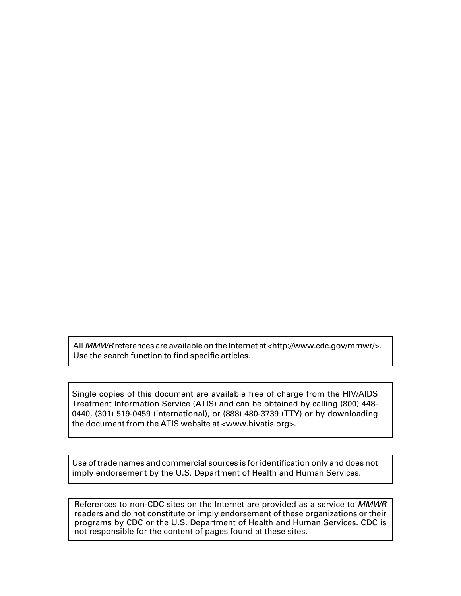All MMWR references are available on the Internet at [<http://www.cdc.gov/mmwr/>.](http://www.cdc.gov/mmwr/) Use the search function to find specific articles.

Single copies of this document are available free of charge from the HIV/AIDS Treatment Information Service (ATIS) and can be obtained by calling (800) 448- 0440, (301) 519-0459 (international), or (888) 480-3739 (TTY) or by downloading the document from the ATIS website at <www.hivatis.org>.

Use of trade names and commercial sources is for identification only and does not imply endorsement by the U.S. Department of Health and Human Services.

References to non-CDC sites on the Internet are provided as a service to MMWR readers and do not constitute or imply endorsement of these organizations or their programs by CDC or the U.S. Department of Health and Human Services. CDC is not responsible for the content of pages found at these sites.